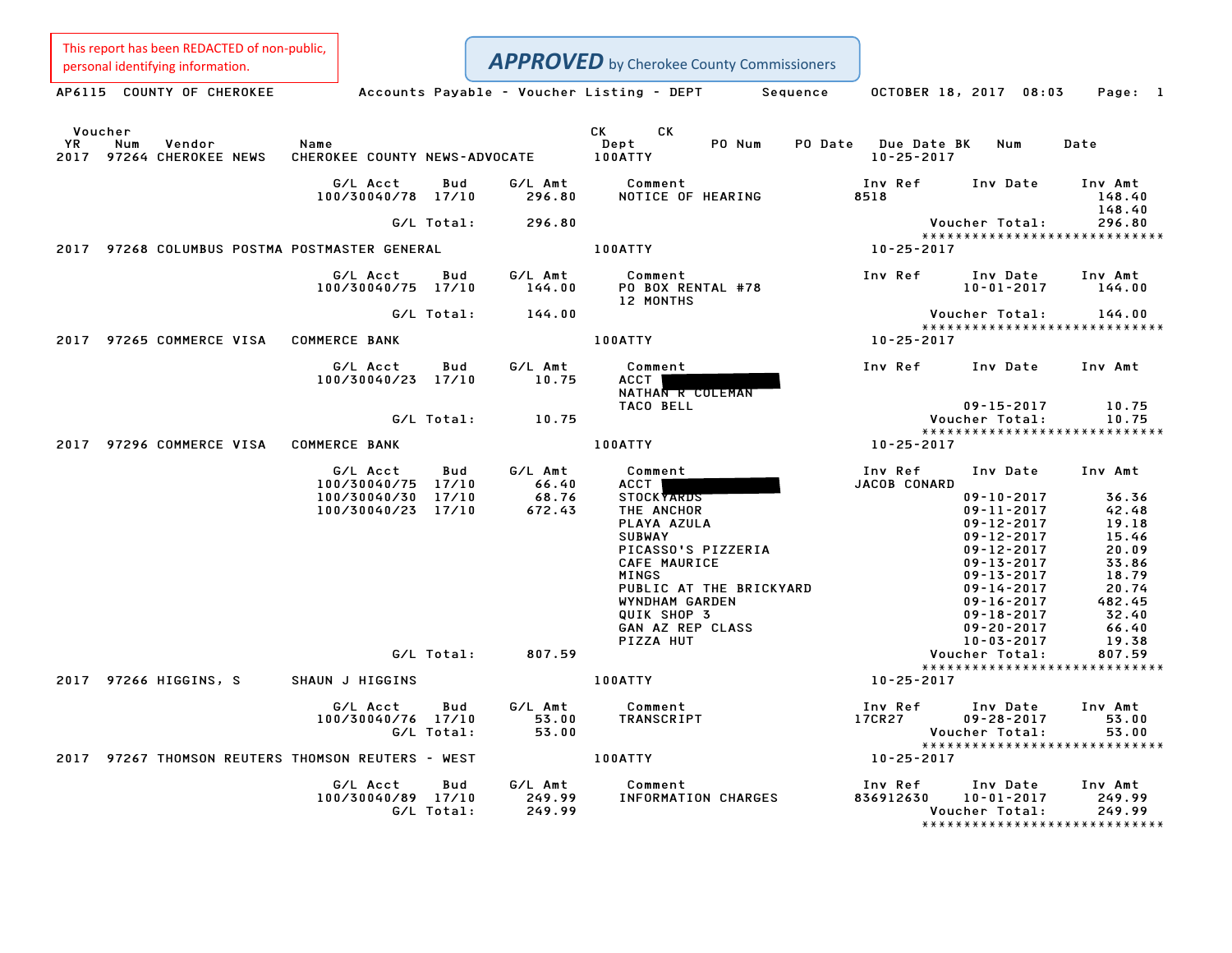This report has been REDACTED of non-public,<br>personal identifying information.

|               | personal identifying information.                 |                                               |            |                   | <b>APPROVED</b> by Cherokee County Commissioners                                                                                                                                                                                                       |                                         |                                      |                                                   |
|---------------|---------------------------------------------------|-----------------------------------------------|------------|-------------------|--------------------------------------------------------------------------------------------------------------------------------------------------------------------------------------------------------------------------------------------------------|-----------------------------------------|--------------------------------------|---------------------------------------------------|
|               |                                                   |                                               |            |                   | AP6115 COUNTY OF CHEROKEE Accounts Payable - Voucher Listing - DEPT Sequence                                                                                                                                                                           |                                         | OCTOBER 18, 2017 08:03               | Page: 1                                           |
| Voucher<br>YR | Num<br>Vendor<br>2017 97264 CHEROKEE NEWS         | Name<br>CHEROKEE COUNTY NEWS-ADVOCATE 100ATTY |            |                   | CK<br>CK and the set of the set of the set of the set of the set of the set of the set of the set of the set of the set of the set of the set of the set of the set of the set of the set of the set of the set of the set of the se<br>PO Num<br>Dept | PO Date Due Date BK<br>$10 - 25 - 2017$ | Num                                  | Date                                              |
|               |                                                   | G/L Acct<br>100/30040/78 17/10                | Bud        | G/L Amt<br>296.80 | Comment<br>NOTICE OF HEARING                                                                                                                                                                                                                           | Inv Ref<br>8518                         | Inv Date                             | Inv Amt<br>148.40                                 |
|               |                                                   |                                               | G/L Total: | 296.80            |                                                                                                                                                                                                                                                        |                                         | Voucher Total:                       | 148.40<br>296.80<br>***************************** |
|               | 2017 97268 COLUMBUS POSTMA POSTMASTER GENERAL     |                                               |            |                   | <b>100ATTY</b>                                                                                                                                                                                                                                         | 10-25-2017                              |                                      |                                                   |
|               |                                                   | G/L Acct<br>100/30040/75 17/10                | Bud        | G/L Amt<br>144.00 | Comment<br>PO BOX RENTAL #78<br>12 MONTHS                                                                                                                                                                                                              | Inv Ref                                 | Inv Date<br>$10 - 01 - 2017$         | Inv Amt<br>144.00                                 |
|               |                                                   |                                               | G/L Total: | 144.00            |                                                                                                                                                                                                                                                        |                                         | Voucher Total:                       | 144.00<br>*****************************           |
|               | 2017 97265 COMMERCE VISA COMMERCE BANK            |                                               |            |                   | 100ATTY                                                                                                                                                                                                                                                | 10-25-2017                              |                                      |                                                   |
|               |                                                   | G/L Acct<br>100/30040/23 17/10                | Bud        | G/L Amt<br>10.75  | Comment<br><b>ACCT</b><br>NATHAN R CULEMAN                                                                                                                                                                                                             | Inv Ref                                 | Inv Date                             | Inv Amt                                           |
|               |                                                   |                                               | G/L Total: | 10.75             | TACO BELL                                                                                                                                                                                                                                              |                                         | $09 - 15 - 2017$<br>Voucher Total:   | 10.75<br>10.75                                    |
|               | 2017 97296 COMMERCE VISA COMMERCE BANK            |                                               |            |                   | <b>100ATTY</b>                                                                                                                                                                                                                                         | 10-25-2017                              |                                      | *****************************                     |
|               |                                                   |                                               |            |                   |                                                                                                                                                                                                                                                        |                                         |                                      |                                                   |
|               |                                                   | G/L Acct<br>100/30040/75 17/10                | Bud        | G/L Amt<br>66.40  | Comment<br>ACCT                                                                                                                                                                                                                                        | Inv Ref<br>JACOB CONARD                 | Inv Date                             | Inv Amt                                           |
|               |                                                   | 100/30040/30 17/10                            |            | 68.76             | STOCK <b>YARDS</b>                                                                                                                                                                                                                                     |                                         | $09 - 10 - 2017$                     | 36.36                                             |
|               |                                                   | 100/30040/23 17/10                            |            | 672.43            | THE ANCHOR<br>PLAYA AZULA                                                                                                                                                                                                                              |                                         | $09 - 11 - 2017$<br>$09 - 12 - 2017$ | 42.48<br>19.18                                    |
|               |                                                   |                                               |            |                   | <b>SUBWAY</b>                                                                                                                                                                                                                                          |                                         | $09 - 12 - 2017$                     | 15.46                                             |
|               |                                                   |                                               |            |                   | PICASSO'S PIZZERIA                                                                                                                                                                                                                                     |                                         | $09 - 12 - 2017$                     | 20.09                                             |
|               |                                                   |                                               |            |                   | CAFE MAURICE                                                                                                                                                                                                                                           |                                         | $09 - 13 - 2017$                     | 33.86                                             |
|               |                                                   |                                               |            |                   | <b>MINGS</b>                                                                                                                                                                                                                                           |                                         | $09 - 13 - 2017$                     | 18.79                                             |
|               |                                                   |                                               |            |                   | PUBLIC AT THE BRICKYARD                                                                                                                                                                                                                                |                                         | 09-14-2017                           | 20.74                                             |
|               |                                                   |                                               |            |                   | WYNDHAM GARDEN<br>QUIK SHOP 3                                                                                                                                                                                                                          |                                         | $09 - 16 - 2017$<br>$09 - 18 - 2017$ | 482.45<br>32.40                                   |
|               |                                                   |                                               |            |                   | GAN AZ REP CLASS                                                                                                                                                                                                                                       |                                         | $09 - 20 - 2017$                     | 66.40                                             |
|               |                                                   |                                               |            |                   | PIZZA HUT                                                                                                                                                                                                                                              |                                         | $10 - 03 - 2017$                     | 19.38                                             |
|               |                                                   |                                               | G/L Total: | 807.59            |                                                                                                                                                                                                                                                        |                                         | Voucher Total:                       | 807.59                                            |
|               | 2017 97266 HIGGINS, S                             | SHAUN J HIGGINS                               |            |                   | 100ATTY                                                                                                                                                                                                                                                | 10-25-2017                              |                                      | *****************************                     |
|               |                                                   | G/L Acct                                      | Bud        | G/L Amt           | Comment                                                                                                                                                                                                                                                | Inv Ref                                 | Inv Date                             | Inv Amt                                           |
|               |                                                   | 100/30040/76 17/10                            |            | 53.00             | TRANSCRIPT                                                                                                                                                                                                                                             | 17CR27                                  | $09 - 28 - 2017$                     | 53.00                                             |
|               |                                                   |                                               | G/L Total: | 53.00             |                                                                                                                                                                                                                                                        |                                         | Voucher Total:                       | 53.00                                             |
|               | 2017 97267 THOMSON REUTERS THOMSON REUTERS - WEST |                                               |            |                   | 100ATTY                                                                                                                                                                                                                                                | 10-25-2017                              |                                      | *****************************                     |
|               |                                                   | G/L Acct                                      | Bud        | G/L Amt           | Comment                                                                                                                                                                                                                                                | Inv Ref                                 | Inv Date                             | Inv Amt                                           |
|               |                                                   | 100/30040/89 17/10                            |            | 249.99            | INFORMATION CHARGES                                                                                                                                                                                                                                    | 836912630                               | 10-01-2017                           | 249.99                                            |
|               |                                                   |                                               | G/L Total: | 249.99            |                                                                                                                                                                                                                                                        |                                         | Voucher Total:                       | 249.99                                            |
|               |                                                   |                                               |            |                   |                                                                                                                                                                                                                                                        |                                         |                                      |                                                   |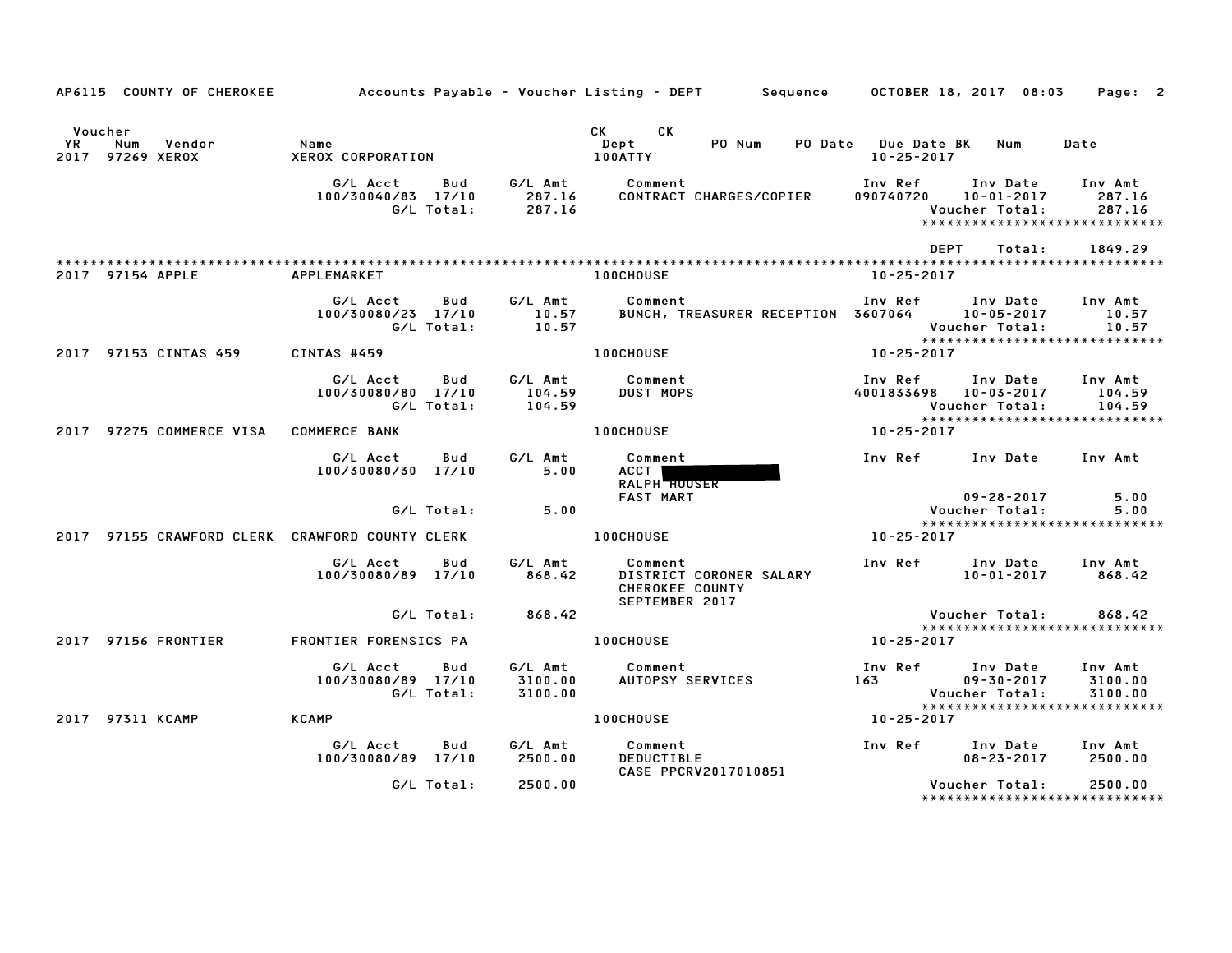|                       | AP6115 COUNTY OF CHEROKEE                       |                                |                   |                               | Accounts Payable – Voucher Listing – DEPT         Sequence |                                    |                                                   | OCTOBER 18, 2017 08:03                                                           | Page: 2                       |
|-----------------------|-------------------------------------------------|--------------------------------|-------------------|-------------------------------|------------------------------------------------------------|------------------------------------|---------------------------------------------------|----------------------------------------------------------------------------------|-------------------------------|
| Voucher<br>YR<br>2017 | Num<br>Vendor<br>97269 XEROX                    | Name<br>XEROX CORPORATION      |                   |                               | CK<br>CK.<br>Dept<br>100ATTY                               | PO Num                             | PO Date<br><b>Due Date BK</b><br>$10 - 25 - 2017$ | Num                                                                              | Date                          |
|                       |                                                 | G/L Acct<br>100/30040/83 17/10 | Bud<br>G/L Total: | G/L Amt<br>287.16<br>287.16   | Comment                                                    | CONTRACT CHARGES/COPIER            | Inv Ref<br>090740720                              | Inv Date<br>$10 - 01 - 2017$<br>Voucher Total:<br>*****************************  | Inv Amt<br>287.16<br>287.16   |
|                       |                                                 |                                |                   |                               |                                                            |                                    |                                                   | <b>DEPT</b><br>Total:                                                            | 1849.29                       |
|                       | 2017 97154 APPLE                                | APPLEMARKET                    |                   |                               | <b>100CHOUSE</b>                                           |                                    | $10 - 25 - 2017$                                  |                                                                                  |                               |
|                       |                                                 | G/L Acct<br>100/30080/23 17/10 | Bud<br>G/L Total: | G/L Amt<br>10.57<br>10.57     | Comment                                                    | BUNCH, TREASURER RECEPTION 3607064 | Inv Ref                                           | Inv Date<br>$10 - 05 - 2017$<br>Voucher Total:                                   | Inv Amt<br>10.57<br>10.57     |
|                       | 2017 97153 CINTAS 459                           | CINTAS #459                    |                   |                               | 100CHOUSE                                                  |                                    | 10-25-2017                                        | *****************************                                                    |                               |
|                       |                                                 | G/L Acct<br>100/30080/80 17/10 | Bud<br>G/L Total: | G/L Amt<br>104.59<br>104.59   | Comment<br><b>DUST MOPS</b>                                |                                    | Inv Ref<br>4001833698                             | Inv Date<br>10-03-2017<br>Voucher Total:                                         | Inv Amt<br>104.59<br>104.59   |
| 2017                  | 97275 COMMERCE VISA                             | <b>COMMERCE BANK</b>           |                   |                               | <b>100CHOUSE</b>                                           |                                    | 10-25-2017                                        | *****************************                                                    |                               |
|                       |                                                 | G/L Acct<br>100/30080/30 17/10 | Bud               | G/L Amt<br>5.00               | Comment<br>ACCT<br>RALPH HOUSER<br><b>FAST MART</b>        |                                    | Inv Ref                                           | Inv Date<br>$09 - 28 - 2017$                                                     | Inv Amt<br>5.00               |
|                       |                                                 |                                | G/L Total:        | 5.00                          |                                                            |                                    |                                                   | Voucher Total:                                                                   | 5.00                          |
|                       | 2017 97155 CRAWFORD CLERK CRAWFORD COUNTY CLERK |                                |                   |                               | <b>100CHOUSE</b>                                           |                                    | 10-25-2017                                        | *****************************                                                    |                               |
|                       |                                                 | G/L Acct<br>100/30080/89 17/10 | Bud               | G/L Amt<br>868.42             | Comment<br><b>CHEROKEE COUNTY</b><br>SEPTEMBER 2017        | DISTRICT CORONER SALARY            | Inv Ref                                           | Inv Date<br>$10 - 01 - 2017$                                                     | Inv Amt<br>868.42             |
|                       |                                                 |                                | G/L Total:        | 868.42                        |                                                            |                                    |                                                   | Voucher Total:                                                                   | 868.42                        |
| 2017                  | 97156 FRONTIER                                  | FRONTIER FORENSICS PA          |                   |                               | <b>100CHOUSE</b>                                           |                                    | 10-25-2017                                        | *****************************                                                    |                               |
|                       |                                                 | G/L Acct<br>100/30080/89 17/10 | Bud<br>G/L Total: | G/L Amt<br>3100.00<br>3100.00 | Comment<br>AUTOPSY SERVICES                                |                                    | Inv Ref<br>163                                    | Inv Date<br>$09 - 30 - 2017$<br>Voucher Total:<br>****************************** | Inv Amt<br>3100.00<br>3100.00 |
|                       | 2017 97311 KCAMP                                | <b>KCAMP</b>                   |                   |                               | <b>100CHOUSE</b>                                           |                                    | 10-25-2017                                        |                                                                                  |                               |
|                       |                                                 | G/L Acct<br>100/30080/89 17/10 | Bud               | G/L Amt<br>2500.00            | Comment<br><b>DEDUCTIBLE</b>                               | CASE PPCRV2017010851               | Inv Ref                                           | Inv Date<br>$08 - 23 - 2017$                                                     | Inv Amt<br>2500.00            |
|                       |                                                 |                                | G/L Total:        | 2500.00                       |                                                            |                                    |                                                   | Voucher Total:<br>*******************************                                | 2500.00                       |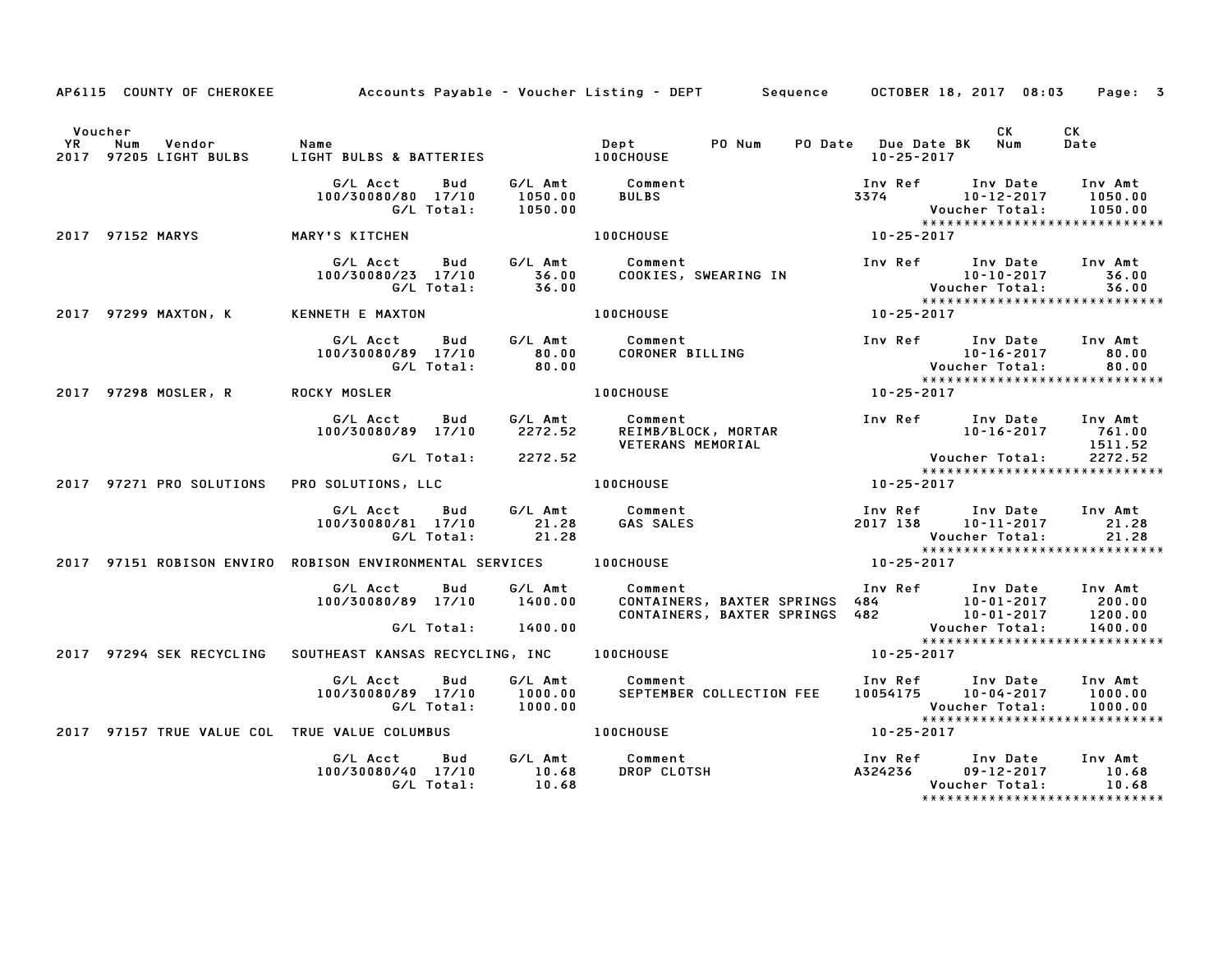|         | AP6115 COUNTY OF CHEROKEE |                                                                                 |                                                                | Accounts Payable – Voucher Listing – DEPT       Sequence     OCTOBER 18, 2017 08:03                                                                                                                                             |                                       | Page: 3                                                                                                                                              |
|---------|---------------------------|---------------------------------------------------------------------------------|----------------------------------------------------------------|---------------------------------------------------------------------------------------------------------------------------------------------------------------------------------------------------------------------------------|---------------------------------------|------------------------------------------------------------------------------------------------------------------------------------------------------|
| Voucher |                           |                                                                                 |                                                                |                                                                                                                                                                                                                                 | PO Date Due Date BK Num<br>10-25-2017 | CK<br><b>CK</b><br>Date                                                                                                                              |
|         |                           | G/L Acct Bud<br>100/30080/80 17/10<br>G/L Total:                                | 1050.00<br>1050.00                                             | G/L Amt 1050.00 BULBS<br>1050.00 BULBS<br>1050.00 1050.00<br>1050.00<br>100CHOUSE 10-25-2017<br>10-25-2017                                                                                                                      |                                       |                                                                                                                                                      |
|         | 2017 97152 MARYS          | MARY'S KITCHEN                                                                  |                                                                |                                                                                                                                                                                                                                 |                                       |                                                                                                                                                      |
|         |                           | G/L Acct<br>100/30080/23 17/10 36.00<br>G/L Total: 36.00                        |                                                                | Bud G/L Amt Comment                                                                                                                                                                                                             |                                       |                                                                                                                                                      |
|         | 2017 97299 MAXTON, K      | KENNETH E MAXTON                                                                |                                                                | <b>100CHOUSE</b>                                                                                                                                                                                                                | $10 - 25 - 2017$                      |                                                                                                                                                      |
|         |                           | G/L Acct Bud<br>100/30080/89 17/10<br>G/L Total:                                | $\begin{array}{c} \texttt{80.00} \ \texttt{80.00} \end{array}$ | G/L Amt Comment<br>Comment<br>CORONER BILLING<br>CORONER BILLING<br>10-16-2017<br>Voucher Total:<br>10-25-2017                                                                                                                  |                                       | Inv Ref Inv Date Inv Amt<br>80.00<br>80.00                                                                                                           |
|         | 2017 97298 MOSLER, R      | <b>ROCKY MOSLER</b>                                                             |                                                                |                                                                                                                                                                                                                                 |                                       | *****************************                                                                                                                        |
|         |                           | G/L Acct<br>Bud<br>100/30080/89 17/10                                           |                                                                | G/L Amt          Comment<br>2272.52       REIMB/BLOCK, MORTAR                                                                                                                                                                   |                                       | Inv Ref       Inv Date     Inv Amt<br>10-16-2017        761.00                                                                                       |
|         |                           | G/L Total: 2272.52                                                              |                                                                |                                                                                                                                                                                                                                 |                                       |                                                                                                                                                      |
|         | 2017 97271 PRO SOLUTIONS  | PRO SOLUTIONS, LLC 100CHOUSE                                                    |                                                                |                                                                                                                                                                                                                                 |                                       |                                                                                                                                                      |
|         |                           | G/L Acct Bud G/L Amt Comment<br>100/30080/81 17/10 21.28<br>G/L Total: 21.28    |                                                                | <b>GAS SALES</b>                                                                                                                                                                                                                | Voucher Total:                        | Inv Ref      Inv Date    Inv Amt<br>2017 138      10–11–2017         21.28<br>Voucher Total:         21.28<br>21.28<br>***************************** |
|         |                           | 2017 97151 ROBISON ENVIRO ROBISON ENVIRONMENTAL SERVICES 100CHOUSE              |                                                                | $10 - 25 - 2017$                                                                                                                                                                                                                |                                       |                                                                                                                                                      |
|         |                           | G/L Acct Bud                                                                    |                                                                | G/L Amt Comment<br>100/30080/89 17/10 1400.00 CONTAINERS, BAXTER SPRINGS 484 10-01-2017 200.00<br>CONTAINERS, BAXTER SPRINGS 482 10-01-2017 1200.00<br>G/L Total: 1400.00 CONTAINERS, BAXTER SPRINGS 482 Voucher Total: 1400.00 |                                       | Inv Ref Inv Date Inv Amt<br>1400.00                                                                                                                  |
|         |                           | 2017 97294 SEK RECYCLING SOUTHEAST KANSAS RECYCLING, INC 100CHOUSE              |                                                                |                                                                                                                                                                                                                                 | $10 - 25 - 2017$                      | *****************************                                                                                                                        |
|         |                           | G/L Acct<br>Bud<br>100/30080/89 17/10<br>G/L Total:                             | $1000.00$<br>$1000.00$                                         | G/L Amt Comment<br>Comment                                Inv Ref      Inv Date    Inv Amt<br>SEPTEMBER COLLECTION FEE     10054175     10-04-2017     1000.00                                                                  |                                       | 1000.00<br>Voucher Total: 1000.00<br>****************************                                                                                    |
|         |                           | 2017 97157 TRUE VALUE COL TRUE VALUE COLUMBUS <b>THE SET ASSESSED</b> 100CHOUSE |                                                                |                                                                                                                                                                                                                                 | $10 - 25 - 2017$                      |                                                                                                                                                      |
|         |                           | G/L Acct Bud<br>100/30080/40 17/10<br>G/L Total:                                | 10.68<br>10.68                                                 | G/L Amt Comment<br>Comment<br>DROP CLOTSH                                                                                                                                                                                       | A324236<br>Voucher Total:             | Inv Ref Inv Date Inv Amt<br>$\begin{array}{c} 10.68\ 10.68 \end{array}$<br>09-12-2017<br>                                                            |

\*\*\*\*\*\*\*\*\*\*\*\*\*\*\*\*\*\*\*\*\*\*\*\*\*\*\*\*\*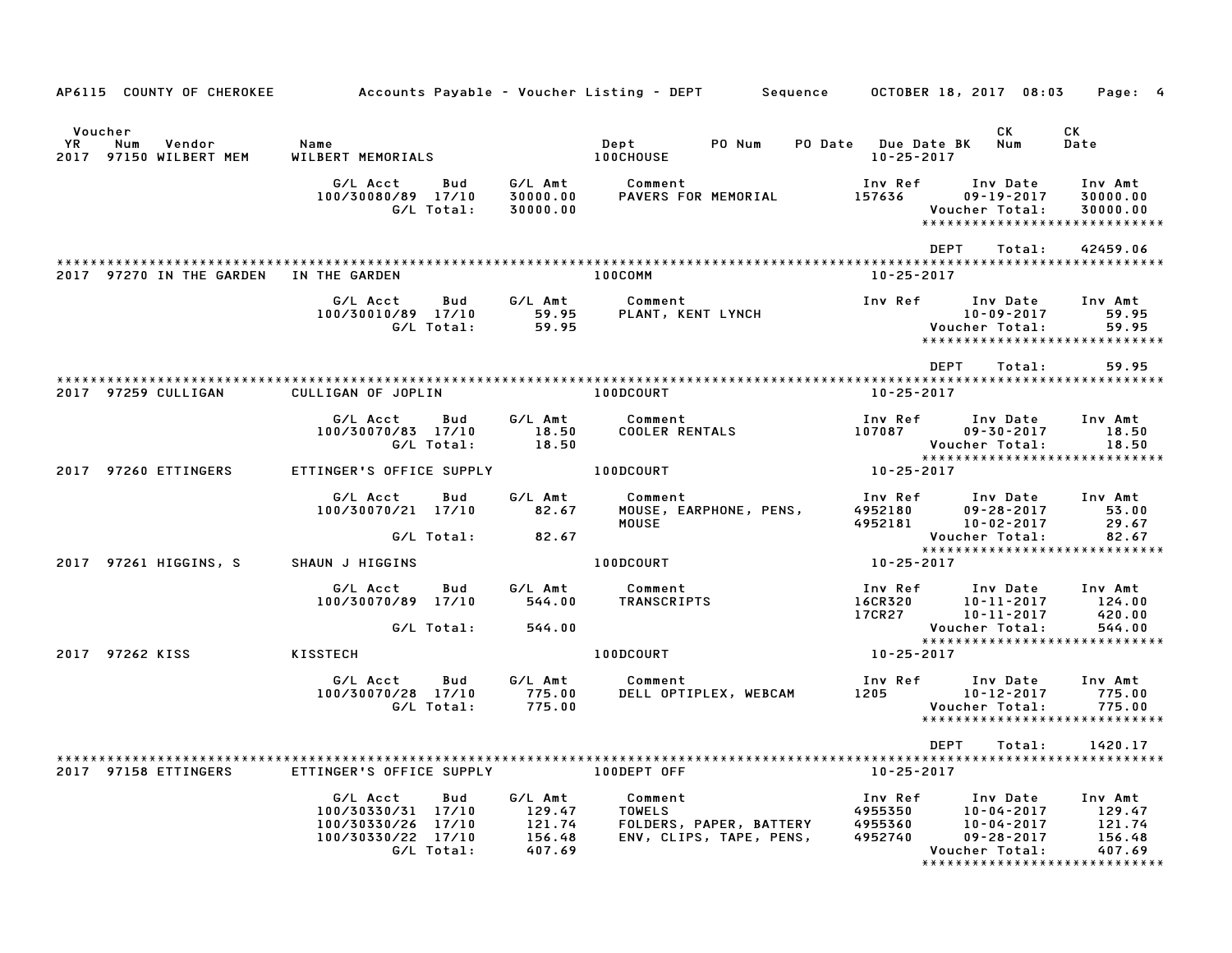|                                                                    |                                                                                                 |                                                         | AP6115 COUNTY OF CHEROKEE Accounts Payable – Voucher Listing – DEPT Sequence OCTOBER 18, 2017 08:03             |                                                                |                                                                                                 | Page: 4                                                           |
|--------------------------------------------------------------------|-------------------------------------------------------------------------------------------------|---------------------------------------------------------|-----------------------------------------------------------------------------------------------------------------|----------------------------------------------------------------|-------------------------------------------------------------------------------------------------|-------------------------------------------------------------------|
| Voucher<br><b>YR</b><br>Vendor<br>Num<br>97150 WILBERT MEM<br>2017 | Name<br>WILBERT MEMORIALS                                                                       |                                                         | <b>100CHOUSE</b>                                                                                                | $10 - 25 - 2017$                                               | CK                                                                                              | CK<br>Date                                                        |
|                                                                    | G/L Total:                                                                                      | 30000.00                                                |                                                                                                                 |                                                                | Inv Date<br>$09 - 19 - 2017$<br>Voucher Total:                                                  | Inv Amt<br>30000.00<br>30000.00<br>****************************** |
| 2017 97270 IN THE GARDEN IN THE GARDEN                             |                                                                                                 |                                                         | 100COMM                                                                                                         | <b>DEPT</b><br>10-25-2017                                      | Total:                                                                                          | 42459.06                                                          |
|                                                                    | G/L Acct<br>Bud<br>100/30010/89 17/10<br>G/L Total:                                             |                                                         | G/L Amt        Comment<br>59.95      PLANT, KENT LYNCH<br>59.95<br>PLANT, KENT LYNCH                            | Inv Ref Inv Date<br>10-09-2017<br>10-09-2017<br>:Voucher Total | 10-09-2017                                                                                      | Inv Amt<br>59.95<br>59.95<br>*****************************        |
| 2017 97259 CULLIGAN                                                | CULLIGAN OF JOPLIN 100DCOURT                                                                    |                                                         |                                                                                                                 | DEPT<br>10-25-2017                                             | Total:                                                                                          | 59.95                                                             |
|                                                                    | G/L Acct<br>Bud<br>100/30070/83 17/10<br>G/L Total:                                             | G/L Amt<br>18.50<br>18.50                               | Comment<br>COOLER RENTALS                                                                                       | Inv Ref<br>107087                                              | Inv Date<br>09-30-2017<br>Voucher Total:                                                        | Inv Amt<br>18.50<br>18.50                                         |
| 2017 97260 ETTINGERS                                               | ETTINGER'S OFFICE SUPPLY 100DCOURT                                                              |                                                         |                                                                                                                 | Vouc<br>*****<br>10-25-2017                                    |                                                                                                 |                                                                   |
|                                                                    | G/L Acct<br>Bud<br>100/30070/21 17/10<br>$G/L$ Total: 82.67                                     | G/L Amt<br>82.67                                        | Comment<br>Comment<br>MOUSE, EARPHONE, PENS,<br>MOUSE<br>MOUSE                                                  | Inv Ref      Inv Date     Inv Amt<br>4952180<br>4952181        | $09 - 28 - 2017$<br>10-02-2017<br>Voucher Total:                                                | 53.00<br>29.67<br>82.67                                           |
| 2017 97261 HIGGINS, S                                              | SHAUN J HIGGINS                                                                                 |                                                         | 100DCOURT AND THE RESIDENCE OF A STRUCK OF A STRUCK OF A STRUCK OF A STRUCK OF A STRUCK OF A STRUCK OF A STRUCK | $10 - 25 - 2017$                                               |                                                                                                 | *****************************                                     |
|                                                                    | G/L Acct<br>100/30070/89 17/10                                                                  |                                                         | Bud G/L Amt Comment<br>544.00 TRANSCRIPTS                                                                       | Inv Ref<br><b>16CR320<br/>17CR27</b>                           | Inv Date Inv Amt<br>10-11-2017<br>10-11-2017                                                    | 124.00<br>420.00                                                  |
| 2017 97262 KISS                                                    | G/L Total:<br><b>EXERCISE AND READ RESISTED HIS</b>                                             | 544.00                                                  | <b>100DCOURT</b>                                                                                                | $10 - 25 - 2017$                                               | Voucher Total:                                                                                  | 544.00<br><b>VOUCNer iutai.</b><br>****************************   |
|                                                                    | <b>Bud</b><br>G/L Acct<br>100/30070/28 17/10<br>G/L Total:                                      | 775.00<br>775.00                                        | G/L Amt Comment<br>DELL OPTIPLEX, WEBCAM 1205                                                                   | Inv Ref                                                        | Inv Date<br>10-12-2017<br>Voucher Total:                                                        | Inv Amt<br>775.00<br>775.00<br>*****************************      |
|                                                                    |                                                                                                 |                                                         |                                                                                                                 | <b>DEPT</b>                                                    | Total:                                                                                          | 1420.17                                                           |
| 2017 97158 ETTINGERS ETTINGER'S OFFICE SUPPLY THE LOODEPT OFF      |                                                                                                 |                                                         |                                                                                                                 | 10-25-2017                                                     |                                                                                                 |                                                                   |
|                                                                    | G/L Acct<br>Bud<br>100/30330/31 17/10<br>100/30330/26 17/10<br>100/30330/22 17/10<br>G/L Total: | G/L Amt<br>$129.47$<br>$121.74$<br>$156.48$<br>$407.69$ | Comment<br>TOWELS<br>TOWELS<br>TOWELS<br>FOLDERS, PAPER, BATTERY<br>ENV, CLIPS, TAPE, PENS,                     | <b>Inv Ref</b><br>4955350<br>4955360<br>4952740                | Inv Date Inv Amt<br>$10 - 04 - 2017$ 129.47<br>10-04-2017<br>$09 - 28 - 2017$<br>Voucher Total: | 121.74<br>156.48<br>407.69                                        |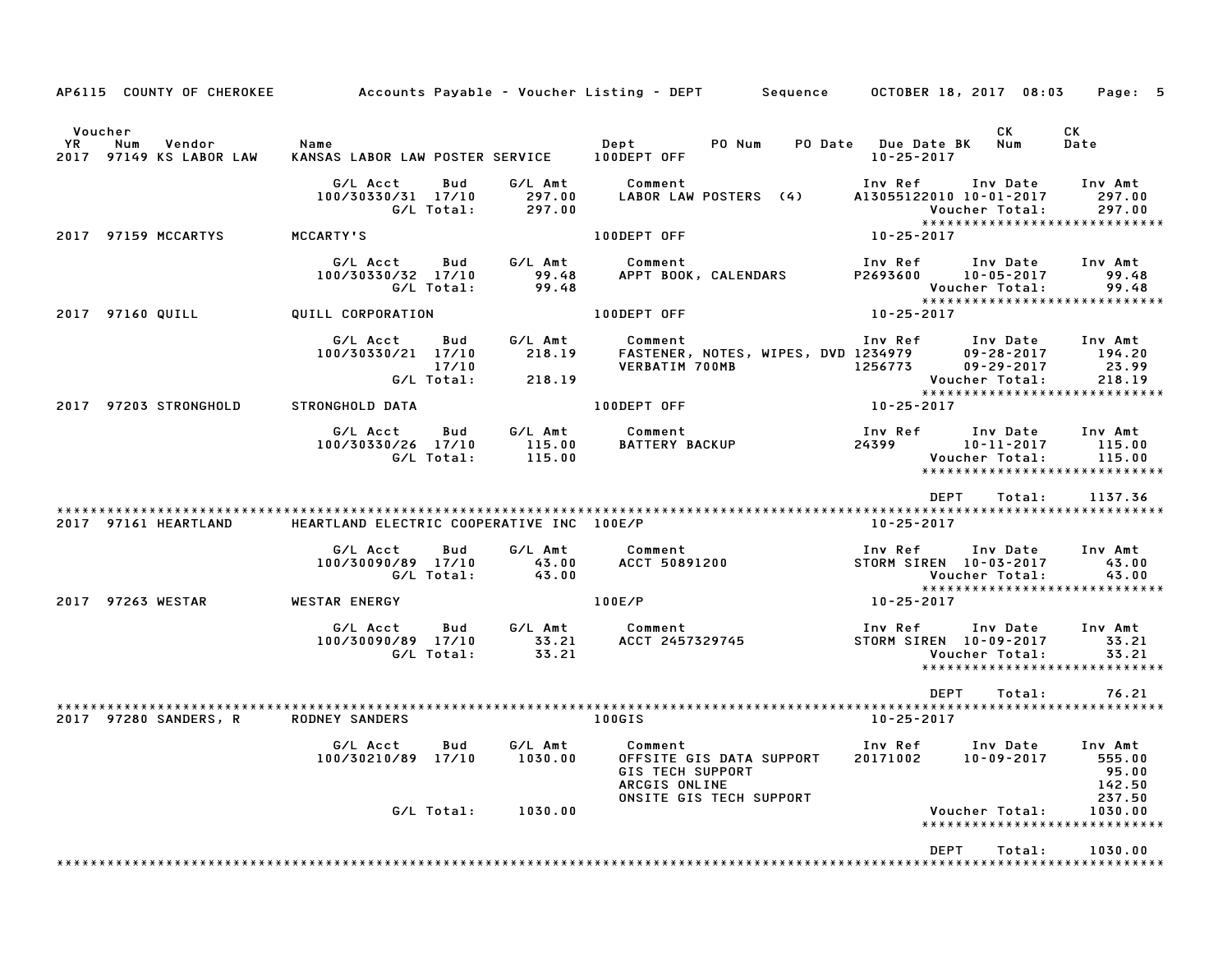| AP6115 COUNTY OF CHEROKEE                                    |                                                     |                            |                             | Accounts Payable – Voucher Listing – DEPT         Sequence                                                 |       |                                                         | OCTOBER 18, 2017 08:03                                             | Page: 5                                                               |
|--------------------------------------------------------------|-----------------------------------------------------|----------------------------|-----------------------------|------------------------------------------------------------------------------------------------------------|-------|---------------------------------------------------------|--------------------------------------------------------------------|-----------------------------------------------------------------------|
| Voucher<br>YR<br>Num<br>Vendor<br>97149 KS LABOR LAW<br>2017 | Name<br>KANSAS LABOR LAW POSTER SERVICE 100DEPT OFF |                            |                             | Dept<br>PO Num                                                                                             |       | PO Date Due Date BK<br>$10 - 25 - 2017$                 | CK<br>Num                                                          | CK<br>Date                                                            |
|                                                              | G/L Acct<br>100/30330/31 17/10                      | Bud<br>G/L Total:          | G/L Amt<br>297.00<br>297.00 | Comment<br>LABOR LAW POSTERS (4)                                                                           |       | Inv Ref<br>A13055122010 10-01-2017                      | Inv Date<br>Voucher Total:                                         | Inv Amt<br>297.00<br>297.00                                           |
| 2017 97159 MCCARTYS                                          | MCCARTY'S                                           |                            |                             | 100DEPT OFF                                                                                                |       | 10-25-2017                                              |                                                                    | *****************************                                         |
|                                                              | G/L Acct<br>100/30330/32 17/10                      | Bud<br>G/L Total:          | G/L Amt<br>99.48<br>99.48   | Comment<br>APPT BOOK, CALENDARS                                                                            |       | Inv Ref<br>P2693600 10-05-2017<br><b>Voucher Total:</b> | Inv Date                                                           | Inv Amt<br>99.48<br>99.48                                             |
| 2017 97160 QUILL                                             | QUILL CORPORATION                                   |                            |                             | 100DEPT OFF                                                                                                |       | $10 - 25 - 2017$                                        |                                                                    | *****************************                                         |
|                                                              | G/L Acct<br>100/30330/21 17/10                      | Bud<br>17/10<br>G/L Total: | G/L Amt<br>218.19<br>218.19 | Comment<br>FASTENER, NOTES, WIPES, DVD 1234979<br>VERBATIM 700MB                                           |       | Inv Ref                                                 | Inv Date<br>$09 - 28 - 2017$<br>$09 - 29 - 2017$<br>Voucher Total: | Inv Amt<br>194.20<br>23.99<br>218.19<br>***************************** |
| 2017 97203 STRONGHOLD                                        | STRONGHOLD DATA                                     |                            |                             | 100DEPT OFF                                                                                                |       | $10 - 25 - 2017$                                        |                                                                    |                                                                       |
|                                                              | G/L Acct<br>100/30330/26 17/10                      | Bud<br>G/L Total:          | G/L Amt<br>115.00<br>115.00 | Comment<br>BATTERY BACKUP                                                                                  | 24399 | Inv Ref                                                 | Inv Date<br>$10 - 11 - 2017$<br>Voucher Total:                     | Inv Amt<br>115.00<br>115.00<br>******************************         |
|                                                              |                                                     |                            |                             |                                                                                                            |       | <b>DEPT</b>                                             | Total:                                                             | 1137.36                                                               |
| 2017 97161 HEARTLAND                                         | HEARTLAND ELECTRIC COOPERATIVE INC 100E/P           |                            |                             |                                                                                                            |       | 10-25-2017                                              |                                                                    |                                                                       |
|                                                              | G/L Acct<br>100/30090/89 17/10                      | Bud<br>G/L Total:          | G/L Amt<br>43.00<br>43.00   | Comment<br>ACCT 50891200                                                                                   |       | Inv Ref<br>STORM SIREN 10-03-2017                       | Inv Date<br>Voucher Total:                                         | Inv Amt<br>43.00<br>43.00<br>*****************************            |
| 2017 97263 WESTAR                                            | <b>WESTAR ENERGY</b>                                |                            |                             | 100E/P                                                                                                     |       | 10-25-2017                                              |                                                                    |                                                                       |
|                                                              | G/L Acct<br>100/30090/89 17/10                      | Bud<br>G/L Total:          | G/L Amt<br>33.21<br>33.21   | Comment<br>ACCT 2457329745                                                                                 |       | Inv Ref<br>STORM SIREN 10-09-2017                       | Inv Date<br>Voucher Total:                                         | Inv Amt<br>33.21<br>33.21<br>******************************           |
| 2017 97280 SANDERS, R                                        | <b>RODNEY SANDERS</b>                               |                            |                             | 100GIS                                                                                                     |       | <b>DEPT</b><br>10-25-2017                               | Total:                                                             | 76.21                                                                 |
|                                                              | G/L Acct<br>100/30210/89 17/10                      | Bud                        | G/L Amt<br>1030.00          | Comment<br>OFFSITE GIS DATA SUPPORT<br><b>GIS TECH SUPPORT</b><br>ARCGIS ONLINE<br>ONSITE GIS TECH SUPPORT |       | Inv Ref Inv Date<br>20171002                            | 10-09-2017                                                         | Inv Amt<br>555.00<br>95.00<br>142.50<br>237.50                        |
|                                                              |                                                     | G/L Total:                 | 1030.00                     |                                                                                                            |       |                                                         | Voucher Total:                                                     | 1030.00<br>*****************************                              |
|                                                              |                                                     |                            |                             |                                                                                                            |       | <b>DEPT</b>                                             | Total:                                                             | 1030.00                                                               |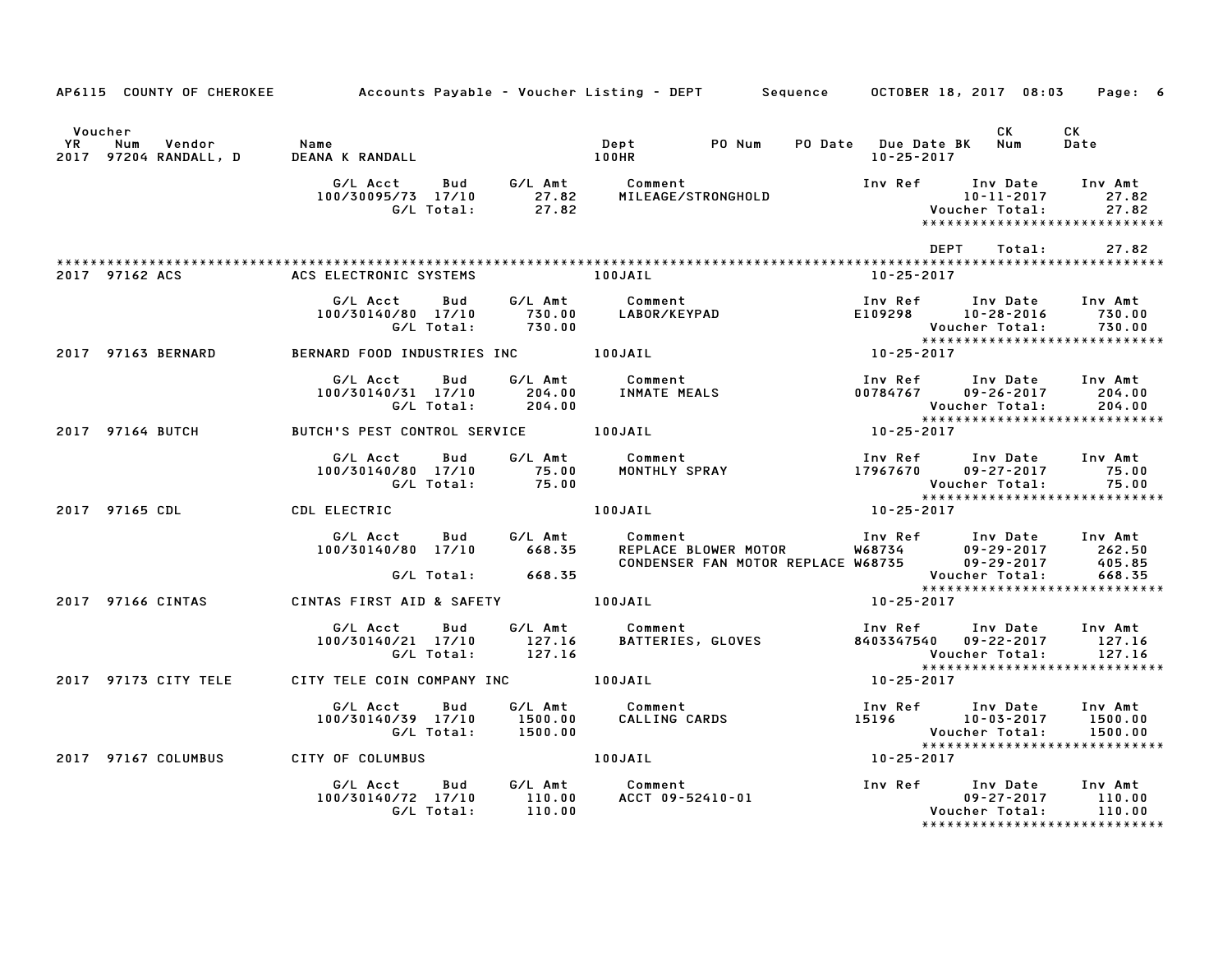|                    |                                  | AP6115 COUNTY OF CHEROKEE Accounts Payable - Voucher Listing - DEPT Sequence OCTOBER 18, 2017 08:03 Page: 6                                                                                                                             |                                                            |                               |
|--------------------|----------------------------------|-----------------------------------------------------------------------------------------------------------------------------------------------------------------------------------------------------------------------------------------|------------------------------------------------------------|-------------------------------|
|                    |                                  |                                                                                                                                                                                                                                         |                                                            | <b>CK</b><br><b>Date</b>      |
|                    |                                  |                                                                                                                                                                                                                                         |                                                            |                               |
|                    |                                  |                                                                                                                                                                                                                                         |                                                            | DEPT Total: 27.82             |
| 2017 97162 ACS     | ACS ELECTRONIC SYSTEMS TO DOJAIL |                                                                                                                                                                                                                                         | 10-25-2017                                                 |                               |
|                    |                                  | 6/L Acct Bud G/L Amt Comment Inv Ref Inv Date Inv Amt<br>100/30140/80 17/10 730.00 LABOR/KEYPAD E109298 10-28-2016 730.00<br>6/L Total: 730.00 100JAIL 100-25-2017<br>BERNARD FOOD_INDUSTRIES_INC 100JAIL 10-25-2017                    |                                                            |                               |
| 2017 97163 BERNARD |                                  |                                                                                                                                                                                                                                         |                                                            |                               |
|                    |                                  | G/L Acct Bud G/L Amt Comment Inv Ref Inv Date Inv Amt<br>100/30140/31 17/10 204.00 INMATEMEALS 00784767 09-26-2017 204.00<br>C/L Total: 204.00 6/L Total: 204.00 Voucher Total: 204.00<br>8UTCH'S PEST CONTROL SERVICE 100JAIL 10-25-20 |                                                            |                               |
|                    |                                  |                                                                                                                                                                                                                                         |                                                            |                               |
|                    |                                  | 6/L Acct Bud G/L Amt Comment Inv Ref Inv Date Inv Amt<br>100/30140/80 17/10 75.00 MONTHLY SPRAY 17967670 09-27-2017 75.00<br>6/L Total: 75.00 75.00 Voucher Total: 75.00<br>2017 97165 CDL CDL ELECTRIC 100JAIL 100JAIL 10-25-2017      |                                                            |                               |
|                    |                                  |                                                                                                                                                                                                                                         |                                                            |                               |
|                    |                                  | G/L Acct Bud G/L Amt Comment Inv Ref Inv Date Inv Amt<br>100/30140/80 17/10 668.35 REPLACE BLOWER MOTOR W68734 09–29–2017 262.50<br>CONDENSER FAN MOTOR REPLACE W68735 09–29–2017 405.85<br>G/L Total: 668.35 CONDENSER FAN MOTOR REPLA |                                                            |                               |
|                    |                                  | 2017 97166 CINTAS CONTAS FIRST AID & SAFETY 100JAIL 10-25-2017 10-25-2017                                                                                                                                                               |                                                            |                               |
|                    |                                  |                                                                                                                                                                                                                                         |                                                            |                               |
|                    |                                  |                                                                                                                                                                                                                                         | Voucher Total: 127.16<br>****************************      |                               |
|                    |                                  | 2017 97173 CITY TELE CITY TELE COIN COMPANY INC 100JAIL 100-25-2017                                                                                                                                                                     |                                                            |                               |
|                    |                                  | G/L Acct Bud G/L Amt Comment Inv Ref Inv Date Inv Amt<br>100/30140/39 17/10 1500.00 CALLING CARDS 15196 10-03-2017 1500.00<br>G/L Total: 1500.00 CALLING CARDS 15196 Voucher Total: 1500.00                                             | Voucher Total: 1500.00<br>******************************** |                               |
|                    |                                  | 2017 97167 COLUMBUS CITY OF COLUMBUS 100JAIL                                                                                                                                                                                            |                                                            |                               |
|                    |                                  |                                                                                                                                                                                                                                         |                                                            | ***************************** |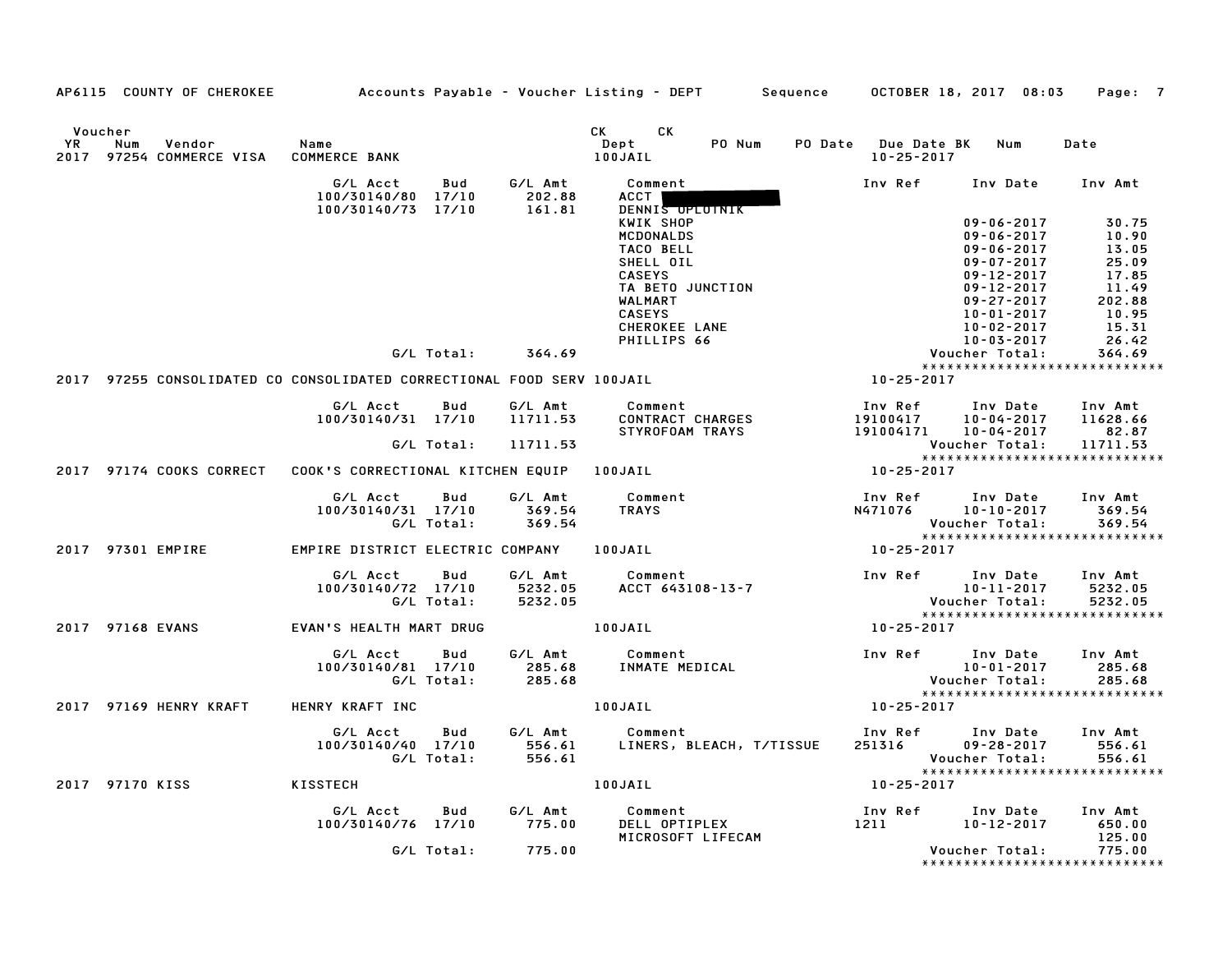|               | AP6115 COUNTY OF CHEROKEE                                              |                                                      |                                      | Accounts Payable – Voucher Listing – DEPT         Sequence | OCTOBER 18, 2017 08:03                                       | Page: 7                                                                                                    |
|---------------|------------------------------------------------------------------------|------------------------------------------------------|--------------------------------------|------------------------------------------------------------|--------------------------------------------------------------|------------------------------------------------------------------------------------------------------------|
| Voucher<br>YR | Num<br>Vendor<br>2017 97254 COMMERCE VISA                              | Name<br><b>COMMERCE BANK</b>                         |                                      | CK <sub>2</sub><br>CK<br>PO Num<br>Dept<br>100JAIL         | PO Date Due Date BK<br>$10 - 25 - 2017$                      | Num<br>Date                                                                                                |
|               |                                                                        | G/L Acct<br>100/30140/80 17/10<br>100/30140/73 17/10 | G/L Amt<br>Bud<br>202.88<br>161.81   | Comment<br>ACCT  <br>DENNIS OPLOTNIK                       | Inv Ref                                                      | Inv Date<br>Inv Amt                                                                                        |
|               |                                                                        |                                                      |                                      | KWIK SHOP<br><b>MCDONALDS</b><br>TACO BELL<br>SHELL OIL    |                                                              | $09 - 06 - 2017$<br>30.75<br>$09 - 06 - 2017$<br>10.90<br>$09 - 06 - 2017$<br>13.05<br>09-07-2017<br>25.09 |
|               |                                                                        |                                                      |                                      | <b>CASEYS</b><br>TA BETO JUNCTION<br>WALMART               |                                                              | 09-12-2017<br>17.85<br>11.49<br>09-12-2017<br>$09 - 27 - 2017$<br>202.88                                   |
|               |                                                                        |                                                      | G/L Total:<br>364.69                 | <b>CASEYS</b><br>CHEROKEE LANE<br>PHILLIPS 66              |                                                              | 10.95<br>10-01-2017<br>$10 - 02 - 2017$<br>$10 - 03 - 2017$<br>15.31<br>26.42<br>364.69                    |
|               |                                                                        |                                                      |                                      |                                                            |                                                              | Voucher Total:<br>*****************************                                                            |
|               | 2017 97255 CONSOLIDATED CO CONSOLIDATED CORRECTIONAL FOOD SERV 100JAIL |                                                      |                                      |                                                            | 10-25-2017                                                   |                                                                                                            |
|               |                                                                        | G/L Acct Bud<br>100/30140/31 17/10                   | G/L Amt<br>11711.53                  | Comment<br>CONTRACT CHARGES<br>STYROFOAM TRAYS             | Inv Ref      Inv Date<br>19100417<br>191004171 10-04-2017    | Inv Amt<br>10-04-2017<br>11628.66<br>82.87                                                                 |
|               |                                                                        | G/L Total:                                           | 11711.53                             |                                                            |                                                              | Voucher Total:<br>11711.53<br>*****************************                                                |
|               | 2017 97174 COOKS CORRECT    COOK'S CORRECTIONAL KITCHEN EQUIP          |                                                      |                                      | 100JAIL                                                    | 10-25-2017                                                   |                                                                                                            |
|               |                                                                        | G/L Acct<br>100/30140/31 17/10<br>G/L Total:         | G/L Amt<br>Bud<br>369.54<br>369.54   | Comment<br>TRAYS                                           | Inv Ref<br><b>N471076</b>                                    | Inv Date<br>Inv Amt<br>369.54<br>10-10-2017<br>Voucher Total:<br>369.54                                    |
|               |                                                                        |                                                      |                                      |                                                            |                                                              | ******************************                                                                             |
|               | 2017 97301 EMPIRE                                                      | EMPIRE DISTRICT ELECTRIC COMPANY 100JAIL             |                                      |                                                            | 10-25-2017                                                   |                                                                                                            |
|               |                                                                        | G/L Acct<br>100/30140/72 17/10<br>G/L Total:         | G/L Amt<br>Bud<br>5232.05<br>5232.05 | Comment<br>ACCT 643108-13-7                                | Inv Ref Inv Date<br>1 v Date<br>10-11-2017<br>Voucher Total: | Inv Amt<br>5232.05<br>5232.05                                                                              |
|               | 2017 97168 EVANS                                                       | EVAN'S HEALTH MART DRUG                              |                                      | 100JAIL                                                    | 10-25-2017                                                   |                                                                                                            |
|               |                                                                        |                                                      |                                      |                                                            |                                                              |                                                                                                            |
|               |                                                                        | G/L Acct<br>100/30140/81 17/10<br>G/L Total:         | G/L Amt<br>Bud<br>285.68<br>285.68   | Comment<br>INMATE MEDICAL                                  | Inv Ref Inv Date                                             | Inv Amt<br>$10 - 01 - 2017$<br>285.68<br><b>Voucher Total:</b><br>285.68                                   |
|               | 2017 97169 HENRY KRAFT                                                 | HENRY KRAFT INC                                      |                                      | 100JAIL                                                    | $10 - 25 - 2017$                                             | *****************************                                                                              |
|               |                                                                        | G/L Acct<br>100/30140/40 17/10<br>G/L Total:         | G/L Amt<br>Bud<br>556.61<br>556.61   | Comment<br>LINERS, BLEACH, T/TISSUE                        | Inv Ref<br>251316                                            | Inv Date<br>Inv Amt<br>$09 - 28 - 2017$<br>556.61<br>Voucher Total:<br>556.61                              |
|               | 2017 97170 KISS                                                        | KISSTECH                                             |                                      | 100JAIL                                                    | $10 - 25 - 2017$                                             |                                                                                                            |
|               |                                                                        | G/L Acct<br>100/30140/76 17/10                       | G/L Amt<br>Bud<br>775.00             | <b>Comment</b><br>DELL OPTIPLEX                            | Inv Ref<br>1211                                              | Inv Date Inv Amt<br>650.00<br>10-12-2017                                                                   |
|               |                                                                        | G/L Total:                                           | 775.00                               | MICROSOFT LIFECAM                                          |                                                              | 125.00<br>Voucher Total:<br>775.00<br>******************************                                       |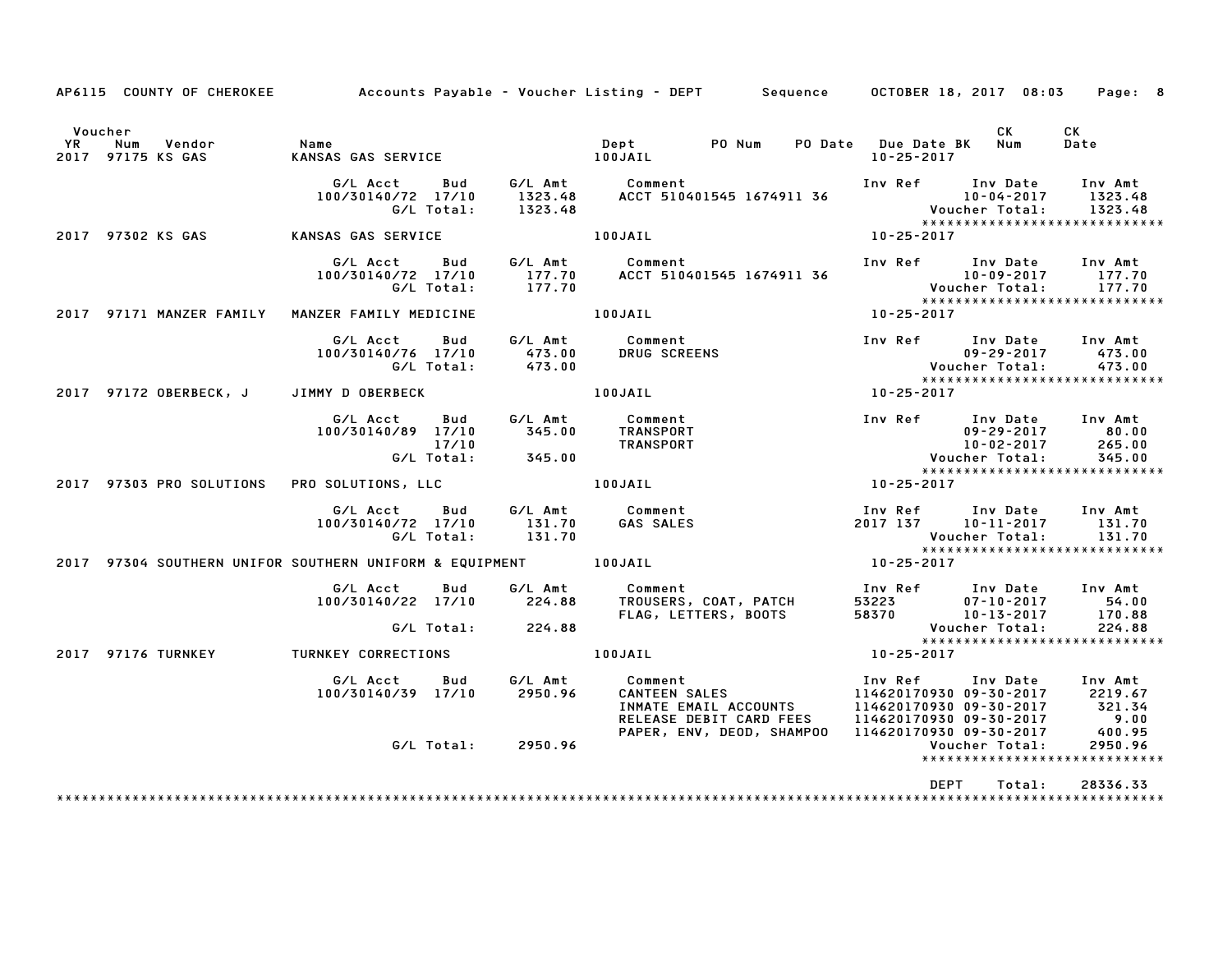|                      |                   |                                | AP6115 COUNTY OF CHEROKEE Accounts Payable - Voucher Listing - DEPT Sequence OCTOBER 18, 2017 08:03 Page: 8                                                                                                                                |                                                 |            |
|----------------------|-------------------|--------------------------------|--------------------------------------------------------------------------------------------------------------------------------------------------------------------------------------------------------------------------------------------|-------------------------------------------------|------------|
| Voucher<br><b>YR</b> | 2017 97175 KS GAS |                                |                                                                                                                                                                                                                                            | CK L                                            | CK<br>Date |
|                      |                   |                                | G/L Acct Bud G/L Amt Comment<br>100/30140/72 17/10 1323.48 ACCT 510401545 1674911 36 10-04-2017 1323.48<br>G/L Total: 1323.48 ACCT 510401545 1674911 36 Voucher Total: 1323.48<br>NSAS GAS SERVICE 100JAIL 100JAIL 10-25-2017              |                                                 |            |
|                      |                   |                                |                                                                                                                                                                                                                                            |                                                 |            |
|                      |                   |                                | G/L Acct Bud G/L Amt Comment Inv Ref Inv Date Inv Amt<br>100/30140/72 17/10 177.70 ACCT 510401545 1674911 36 10-09-2017 177.70<br>G/L Total: 177.70 177.70 Woucher Total: 177.70                                                           |                                                 |            |
|                      |                   |                                | *****<br>2017 10-25-2017 MANZER FAMILY MANZER FAMILY MEDICINE 100JAIL 2017 97171 MANZER FAMILY MANZER                                                                                                                                      |                                                 |            |
|                      |                   |                                | G/L Acct Bud G/L Amt Comment Inv Ref Inv Date Inv Amt<br>100/30140/76 17/10 473.00 DRUG SCREENS 09-29-2017 473.00<br>G/L Total: 473.00 Voucher Total: 473.00<br>2017 97172 OBERBECK, J JIMMY DOBERBECK 10BERBECK 100JAIL 100JAIL 10-25-    |                                                 |            |
|                      |                   |                                |                                                                                                                                                                                                                                            |                                                 |            |
|                      |                   |                                | 6/L Acct Bud 6/L Amt Comment Inv Ref Inv Date Inv Amt<br>100/30140/89 17/10 345.00 TRANSPORT 09-29-2017 80.00<br>77303 PRO SOLUTIONS PRO SOLUTIONS, LLC 100JAIL 100JAIL 10-25-2017<br>265.00 Voucher Total: 345.00<br>2017                 |                                                 |            |
|                      |                   |                                |                                                                                                                                                                                                                                            |                                                 |            |
|                      |                   |                                | G/L Acct Bud G/L Amt Comment Inv Ref Inv Date Inv Amt<br>100/30140/72 17/10 131.70 GAS SALES 2017 137 10-11-2017 131.70<br>G/L Total: 131.70 Voucher Total: 131.70<br>10-25-2017 10-25-2017 100JAIL 100JAIL 10-25-2017                     |                                                 |            |
|                      |                   |                                |                                                                                                                                                                                                                                            |                                                 |            |
|                      |                   |                                | G/L Acct Bud G/L Amt Comment Inv Ref Inv Date Inv Amt<br>100/30140/22 17/10 224.88 TROUSERS, COAT, PATCH 53223 07–10–2017 54.00<br>FLAG, LETTERS, BOOTS 58370 10–13–2017 170.88<br>G/L Total: 224.88 FLAG, LETTERS, BOOTS 58370 10–13–2    |                                                 |            |
|                      |                   |                                | 2017 97176 TURNKEY TURNKEY CORRECTIONS 100JAIL 100JAIL 10-25-2017                                                                                                                                                                          |                                                 |            |
|                      |                   | $100/30140/39$ $17/10$ 2950.96 | 6/L Acct Bud 6/L Amt Comment Inv Ref Inv Date Inv Amt<br>100/30140/39 17/10 2950.96 CANTEEN SALES 114620170930 09-30-2017 2219.67<br>114620170930 09-30-2017 321.34<br>RELEASE DEBIT CARD FEES 114620170930 09-30-2017 9.00<br>PAPER, ENV, |                                                 |            |
|                      |                   | G/L Total: 2950.96             |                                                                                                                                                                                                                                            | Voucher Total:<br>***************************** | 2950.96    |
|                      |                   |                                |                                                                                                                                                                                                                                            | DEPT<br>Total:                                  | 28336.33   |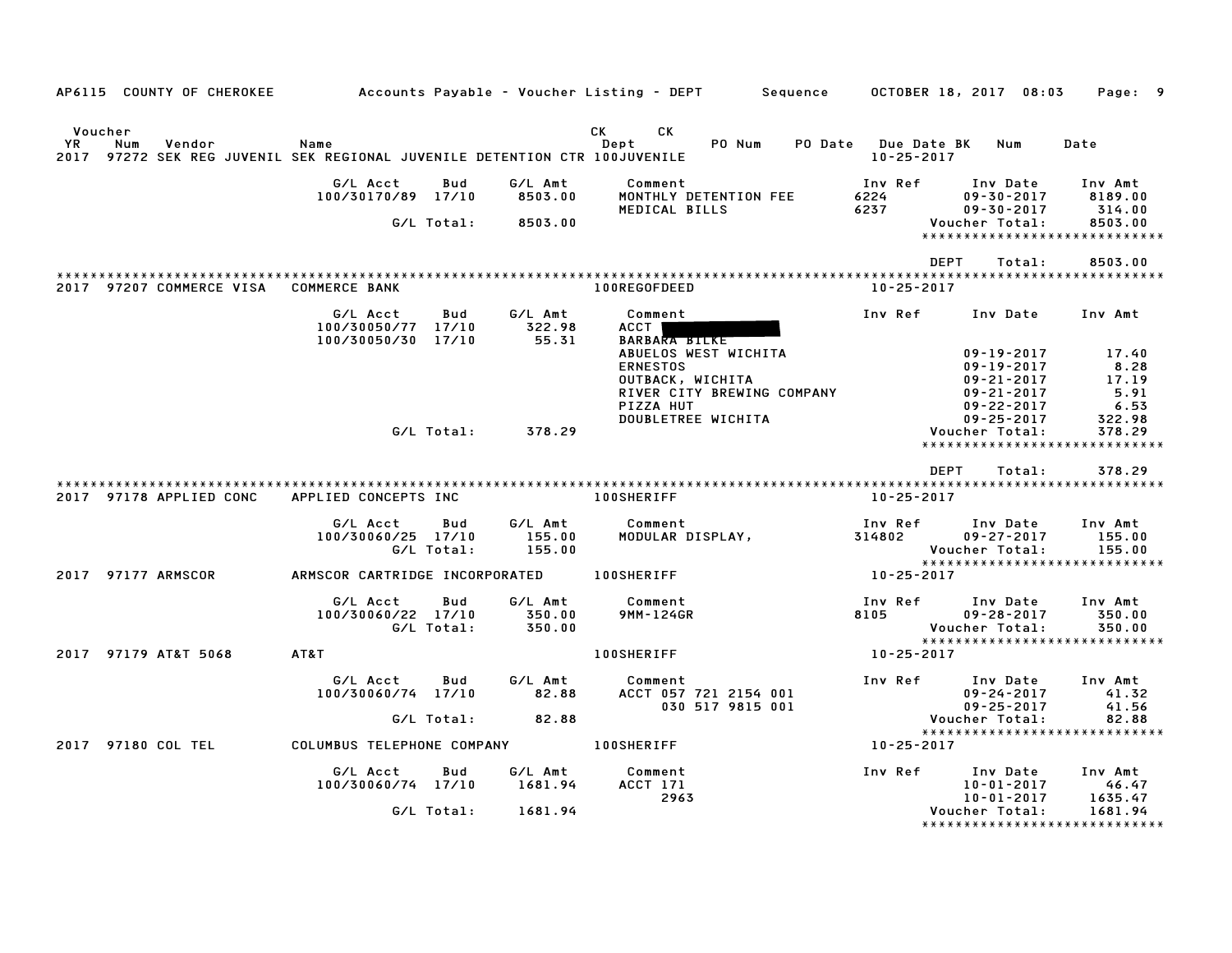| AP6115 COUNTY OF CHEROKEE                                                                                           |                                                             |                             | Accounts Payable – Voucher Listing – DEPT         Sequence       OCTOBER 18, 2017   08:03                                                           |                                             |                                                                                                        | Page: 9                                           |
|---------------------------------------------------------------------------------------------------------------------|-------------------------------------------------------------|-----------------------------|-----------------------------------------------------------------------------------------------------------------------------------------------------|---------------------------------------------|--------------------------------------------------------------------------------------------------------|---------------------------------------------------|
| Voucher<br><b>YR</b><br>Vendor<br>Num<br>2017 97272 SEK REG JUVENIL SEK REGIONAL JUVENILE DETENTION CTR 100JUVENILE | Name                                                        |                             | CK<br>CK<br>PO Num<br>Dept                                                                                                                          | PO Date Due Date BK Num<br>$10 - 25 - 2017$ |                                                                                                        | Date                                              |
|                                                                                                                     | G/L Acct<br>Bud<br>100/30170/89 17/10                       | G/L Amt<br>8503.00          | Comment<br>MONTHLY DETENTION FEE                                                                                                                    | Inv Ref<br>6224                             | Inv Date<br>$09 - 30 - 2017$                                                                           | Inv Amt<br>8189.00                                |
|                                                                                                                     | G/L Total:                                                  | 8503.00                     | MEDICAL BILLS                                                                                                                                       | 6237                                        | $09 - 30 - 2017$<br>Voucher Total:<br>*****************************                                    | 314.00<br>8503.00                                 |
|                                                                                                                     |                                                             |                             |                                                                                                                                                     | <b>DEPT</b>                                 | Total:                                                                                                 | 8503.00                                           |
| 2017 97207 COMMERCE VISA COMMERCE BANK                                                                              |                                                             |                             | 100REGOFDEED                                                                                                                                        | 10-25-2017                                  |                                                                                                        |                                                   |
|                                                                                                                     | G/L Acct<br>Bud<br>100/30050/77 17/10<br>100/30050/30 17/10 | G/L Amt<br>322.98<br>55.31  | Comment<br>ACCT  <br><b>BARBARA BILKE</b><br>ABUELOS WEST WICHITA<br><b>ERNESTOS</b><br>OUTBACK, WICHITA<br>RIVER CITY BREWING COMPANY<br>PIZZA HUT | Inv Ref                                     | Inv Date<br>$09 - 19 - 2017$<br>$09 - 19 - 2017$<br>$09 - 21 - 2017$<br>09-21-2017<br>$09 - 22 - 2017$ | Inv Amt<br>17.40<br>8.28<br>17.19<br>5.91<br>6.53 |
|                                                                                                                     | G/L Total:                                                  | 378.29                      | DOUBLETREE WICHITA                                                                                                                                  |                                             | $09 - 25 - 2017$<br>Voucher Total:<br>*****************************                                    | 322.98<br>378.29                                  |
|                                                                                                                     |                                                             |                             |                                                                                                                                                     | DEPT                                        | Total:                                                                                                 | 378.29                                            |
| 2017 97178 APPLIED CONC                                                                                             | APPLIED CONCEPTS INC                                        |                             | <b>100SHERIFF</b>                                                                                                                                   | 10-25-2017                                  |                                                                                                        |                                                   |
|                                                                                                                     | G/L Acct<br>Bud<br>100/30060/25 17/10<br>G/L Total:         | G/L Amt<br>155.00<br>155.00 | Comment<br>MODULAR DISPLAY,                                                                                                                         | Inv Ref<br>314802                           | Inv Date<br>$09 - 27 - 2017$<br>Voucher Total:<br>******************************                       | Inv Amt<br>155.00<br>155.00                       |
| 2017 97177 ARMSCOR                                                                                                  | ARMSCOR CARTRIDGE INCORPORATED 100SHERIFF                   |                             |                                                                                                                                                     | 10-25-2017                                  |                                                                                                        |                                                   |
|                                                                                                                     | G/L Acct<br>Bud<br>100/30060/22 17/10<br>G/L Total:         | G/L Amt<br>350.00<br>350.00 | Comment<br>9MM-124GR                                                                                                                                | Inv Ref<br>8105                             | Inv Date<br>$09 - 28 - 2017$<br>Voucher Total:<br>*****************************                        | Inv Amt<br>350.00<br>350.00                       |
| 2017 97179 AT&T 5068                                                                                                | AT&T                                                        |                             | 100SHERIFF                                                                                                                                          | 10-25-2017                                  |                                                                                                        |                                                   |
|                                                                                                                     | G/L Acct<br>Bud<br>100/30060/74 17/10<br>G/L Total:         | G/L Amt<br>82.88<br>82.88   | Comment<br>ACCT 057 721 2154 001<br>030 517 9815 001                                                                                                | Inv Ref                                     | Inv Date<br>$09 - 24 - 2017$<br>$09 - 25 - 2017$<br>Voucher Total:                                     | Inv Amt<br>41.32<br>41.56<br>82.88                |
| 2017 97180 COL TEL                                                                                                  | COLUMBUS TELEPHONE COMPANY                                  |                             | <b>100SHERIFF</b>                                                                                                                                   | 10-25-2017                                  | *****************************                                                                          |                                                   |
|                                                                                                                     |                                                             |                             |                                                                                                                                                     |                                             |                                                                                                        |                                                   |
|                                                                                                                     | G/L Acct<br>Bud<br>100/30060/74 17/10                       | G/L Amt<br>1681.94          | Comment<br>ACCT 171<br>2963                                                                                                                         | Inv Ref                                     | Inv Date<br>$10 - 01 - 2017$<br>10-01-2017                                                             | Inv Amt<br>46.47<br>1635.47                       |
|                                                                                                                     | G/L Total:                                                  | 1681.94                     |                                                                                                                                                     |                                             | Voucher Total:<br>*****************************                                                        | 1681.94                                           |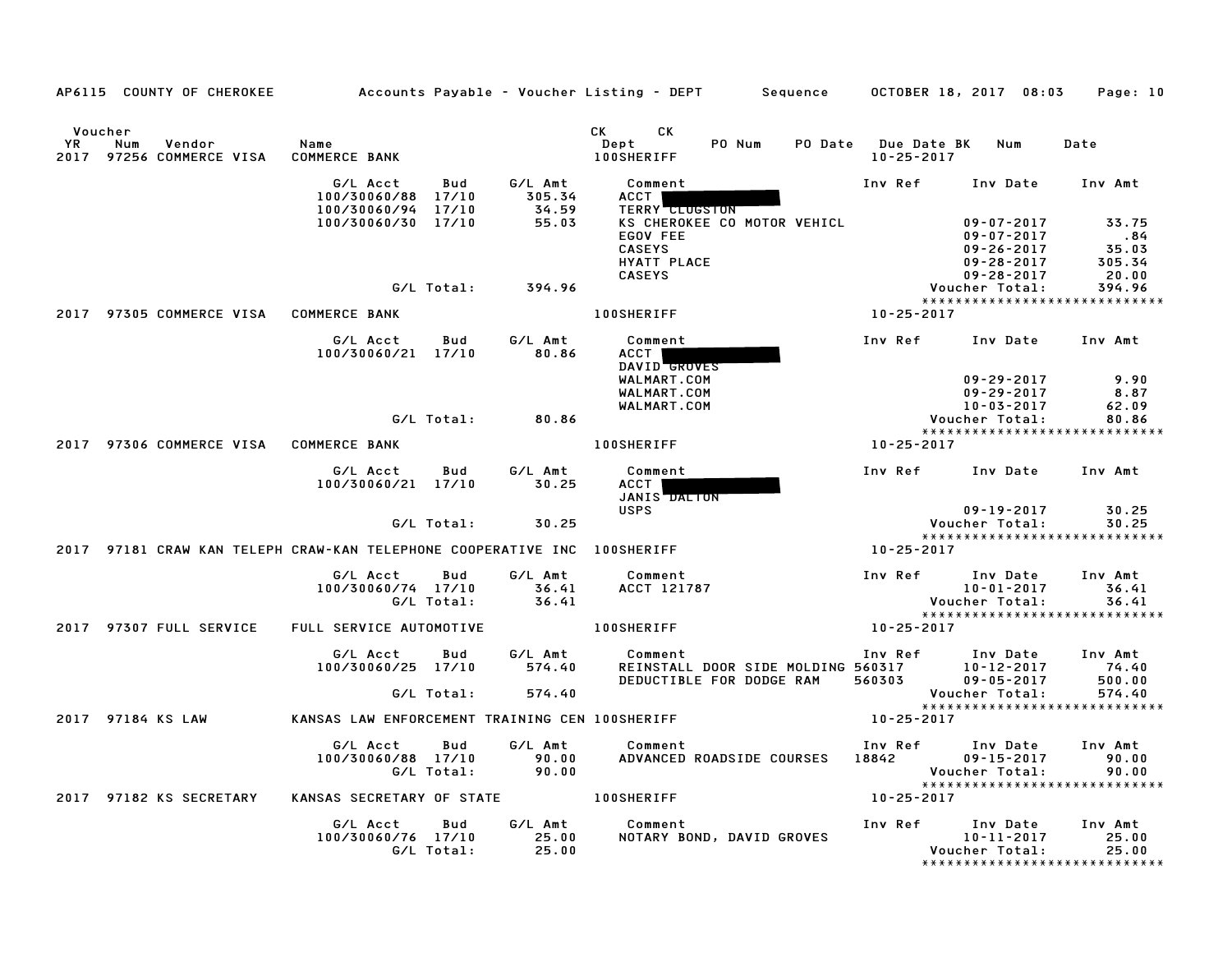|                      | AP6115 COUNTY OF CHEROKEE Accounts Payable - Voucher Listing - DEPT Sequence OCTOBER 18, 2017 08:03 Page: 10 |                                                                    |     |                   |                                                                                                                             |                             |                                                                                                                                                                                                              |                                                                                                          |                           |
|----------------------|--------------------------------------------------------------------------------------------------------------|--------------------------------------------------------------------|-----|-------------------|-----------------------------------------------------------------------------------------------------------------------------|-----------------------------|--------------------------------------------------------------------------------------------------------------------------------------------------------------------------------------------------------------|----------------------------------------------------------------------------------------------------------|---------------------------|
| Voucher<br><b>YR</b> | Num<br>Vendor<br>2017 97256 COMMERCE VISA COMMERCE BANK                                                      | Name                                                               |     |                   | CK CK<br><b>100SHERIFF</b>                                                                                                  |                             | PO Num PO Date Due Date BK Num<br>10-25-2017                                                                                                                                                                 |                                                                                                          | Date                      |
|                      |                                                                                                              | 100/30060/94 17/10                                                 |     | $34.59$<br>55.03  | G/L Acct Bud G/L Amt Comment<br>100/30060/88 17/10 305.34 ACCT<br><b>TERRY CLUGSTON</b>                                     |                             |                                                                                                                                                                                                              | Inv Ref Inv Date Inv Amt                                                                                 |                           |
|                      |                                                                                                              | 100/30060/30 17/10                                                 |     |                   | EGOV FEE<br><b>CASEYS</b>                                                                                                   | KS CHEROKEE CO MOTOR VEHICL | 45.34<br>29.28-2017 55.34<br>CASEYS 09-28-2017 20.00<br>394.96 Voucher Total: 394.96<br>100SHERIFF 100SHERIFF 100SHERIFF 100SHERIFF                                                                          | $09 - 26 - 2017$<br>$09 - 26 - 2017$<br>$09 - 28 - 2017$<br>$09 - 28 - 2017$<br>$09 - 28 - 2017$<br>$00$ |                           |
|                      |                                                                                                              |                                                                    |     | G/L Total: 394.96 |                                                                                                                             |                             |                                                                                                                                                                                                              |                                                                                                          |                           |
|                      | 2017 97305 COMMERCE VISA COMMERCE BANK                                                                       |                                                                    |     |                   |                                                                                                                             |                             |                                                                                                                                                                                                              |                                                                                                          |                           |
|                      |                                                                                                              | G/L Acct Bud G/L Amt<br>100/30060/21 17/10 80.86                   |     |                   | Comment<br>ACCT I<br>DAVID GROVES                                                                                           |                             |                                                                                                                                                                                                              | Inv Ref Inv Date Inv Amt                                                                                 |                           |
|                      |                                                                                                              |                                                                    |     |                   | WALMART.COM<br>WALMART.COM                                                                                                  |                             |                                                                                                                                                                                                              | $09 - 29 - 2017$                                                                                         |                           |
|                      |                                                                                                              |                                                                    |     | G/L Total: 80.86  | WALMART.COM                                                                                                                 |                             |                                                                                                                                                                                                              | 10-03-2017<br>Voucher Total:                                                                             | 62.09<br>80.86<br>80.86   |
|                      | 2017 97306 COMMERCE VISA COMMERCE BANK                                                                       |                                                                    |     |                   | <b>100SHERIFF</b>                                                                                                           |                             | $10 - 25 - 2017$                                                                                                                                                                                             | *****************************                                                                            |                           |
|                      |                                                                                                              |                                                                    |     |                   |                                                                                                                             |                             |                                                                                                                                                                                                              | Inv Ref Inv Date Inv Amt                                                                                 |                           |
|                      |                                                                                                              | G/L Acct  Bud  G/L Amt  Comment<br>100/30060/21 17/10  30.25  ACCT |     |                   | JANIS DALTON                                                                                                                |                             |                                                                                                                                                                                                              |                                                                                                          |                           |
|                      |                                                                                                              |                                                                    |     | G/L Total: 30.25  | <b>USPS</b>                                                                                                                 |                             |                                                                                                                                                                                                              | $09 - 19 - 2017$<br>Voucher Total:                                                                       | 30.25<br>30.25            |
|                      | 2017 97181 CRAW KAN TELEPH CRAW-KAN TELEPHONE COOPERATIVE INC 100SHERIFF                                     |                                                                    |     |                   |                                                                                                                             |                             | $10 - 25 - 2017$                                                                                                                                                                                             | *****************************                                                                            |                           |
|                      |                                                                                                              |                                                                    |     |                   | G/L Acct     Bud        G/L Amt             Comment<br>100/30060/74 17/10 36.41 ACCT 121787<br>G/L Total: 36.41 ACCT 121787 |                             | Inv Ref Inv Date Inv Amt<br>10-01-2017 36.41<br>Voucher Total: 36.41<br>*******************************                                                                                                      |                                                                                                          |                           |
|                      |                                                                                                              |                                                                    |     |                   |                                                                                                                             |                             |                                                                                                                                                                                                              |                                                                                                          |                           |
|                      | 2017 97307 FULL SERVICE FULL SERVICE AUTOMOTIVE TO LOOSHERIFF                                                |                                                                    |     |                   |                                                                                                                             |                             | 10-25-2017                                                                                                                                                                                                   |                                                                                                          |                           |
|                      |                                                                                                              | G/L Acct Bud G/L Amt Comment<br>100/30060/25 17/10 574.40          |     |                   |                                                                                                                             |                             | Comment                               Inv Ref      Inv Date    Inv Amt<br>REINSTALL DOOR SIDE MOLDING 560317       10-12-2017      74.40<br>DEDUCTIBLE FOR DODGE RAM    560303        09-05-2017      500.00 |                                                                                                          |                           |
|                      |                                                                                                              |                                                                    |     | G/L Total: 574.40 |                                                                                                                             |                             |                                                                                                                                                                                                              | Voucher Total: 574.40<br>****************************                                                    | 574.40                    |
|                      | 2017 97184 KS LAW                                                                                            | KANSAS LAW ENFORCEMENT TRAINING CEN 100SHERIFF 10 10-25-2017       |     |                   |                                                                                                                             |                             |                                                                                                                                                                                                              |                                                                                                          |                           |
|                      |                                                                                                              | G/L Acct<br>100/30060/88 17/10 90.00<br>G/L Total: 90.00           | Bud |                   | G/L Amt Comment                                                                                                             |                             |                                                                                                                                                                                                              |                                                                                                          |                           |
|                      | 2017 97182 KS SECRETARY                                                                                      | KANSAS SECRETARY OF STATE 100SHERIFF                               |     |                   |                                                                                                                             |                             | 10-25-2017                                                                                                                                                                                                   |                                                                                                          |                           |
|                      |                                                                                                              | 100/30060/76 17/10 25.00<br>G/L Total: 25.00                       |     |                   | G/L Acct Bud G/L Amt Comment                                                                                                |                             | Comment<br>NOTARY BOND, DAVID GROVES<br>Youcher Total:                                                                                                                                                       | Voucher Total:<br>*****************************                                                          | Inv Amt<br>25.00<br>25.00 |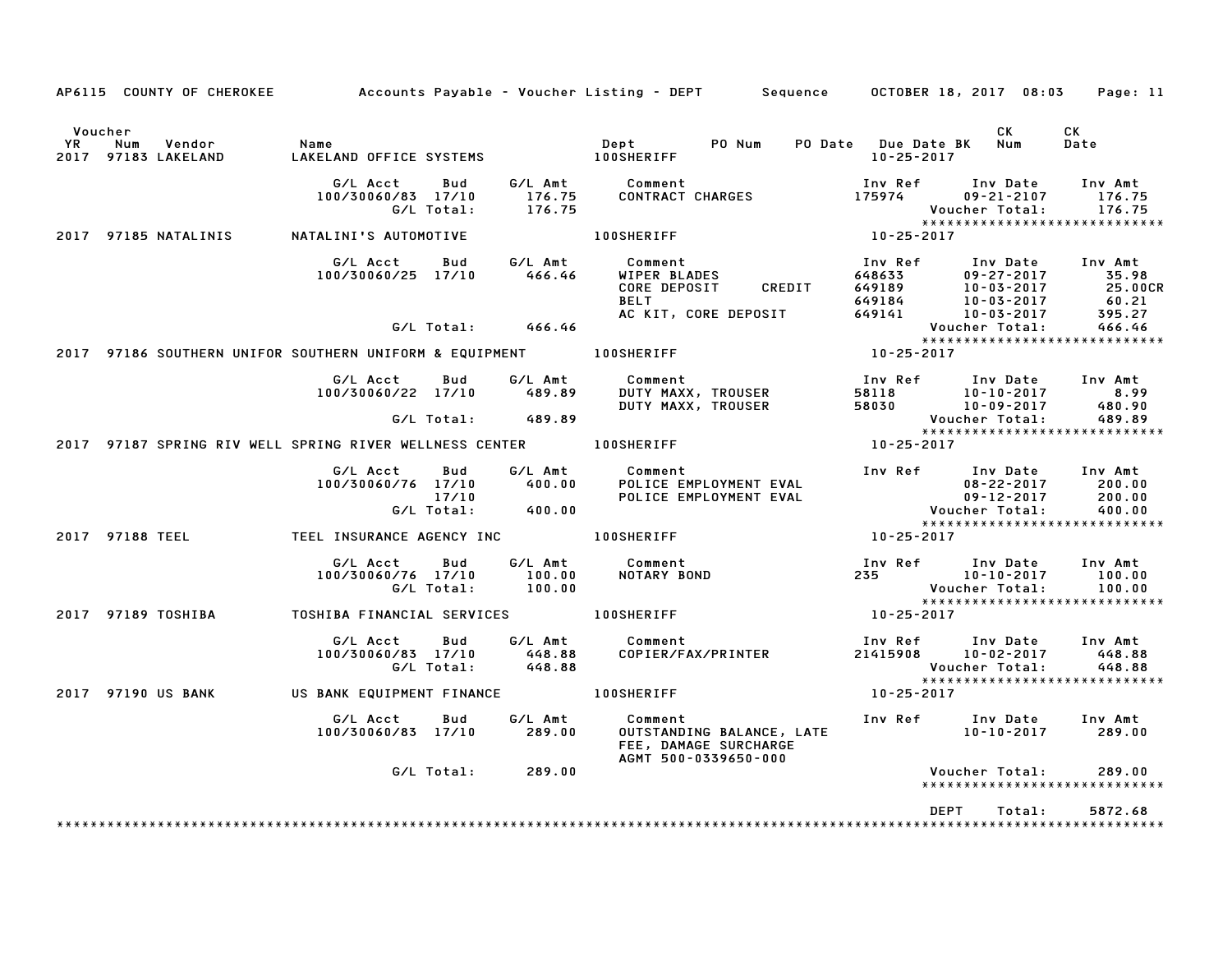|                      |                 |                               |                                                                       |                   |                                        | AP6115 COUNTY OF CHEROKEE Accounts Payable – Voucher Listing – DEPT Sequence OCTOBER 18, 2017 08:03 Page: 11                                 |                                                                              |                                              |                                                               |
|----------------------|-----------------|-------------------------------|-----------------------------------------------------------------------|-------------------|----------------------------------------|----------------------------------------------------------------------------------------------------------------------------------------------|------------------------------------------------------------------------------|----------------------------------------------|---------------------------------------------------------------|
| Voucher<br><b>YR</b> | Num             | Vendor<br>2017 97183 LAKELAND | Name<br>LAKELAND OFFICE SYSTEMS 100SHERIFF                            |                   |                                        | Dept<br>PO Num                                                                                                                               | PO Date Due Date BK Num<br>$10 - 25 - 2017$                                  | CK .                                         | CK<br>Date                                                    |
|                      |                 |                               | G/L Acct<br>100/30060/83 17/10                                        | Bud<br>G/L Total: | 176.75<br>176.75                       | G/L Amt Comment<br>CONTRACT CHARGES                                                                                                          | Inv Ref Inv Date Inv Amt<br>175974                                           | $09 - 21 - 2107$<br>Voucher Total:           | 176.75<br>176.75                                              |
|                      |                 | 2017 97185 NATALINIS          | NATALINI'S AUTOMOTIVE                                                 |                   |                                        | <b>100SHERIFF</b>                                                                                                                            | $10 - 25 - 2017$                                                             |                                              | ******************************                                |
|                      |                 |                               | G/L Acct<br>100/30060/25 17/10                                        | <b>Bud</b>        | 466.46                                 | G/L Amt Comment<br>WIPER BLADES<br>CORE DEPOSIT CREDIT 649189 10-03-2017<br>BELT 649184 10-03-2017<br>AC KIT, CORE DEPOSIT 649141 10-03-2017 | Inv Ref                                                                      | Inv Date                                     | Inv Amt<br>35.98<br>25.00CR<br>25.000<br>60.21<br>395.27      |
|                      |                 |                               |                                                                       |                   | G/L Total: 466.46                      |                                                                                                                                              |                                                                              | Voucher Total:                               | 466.46                                                        |
|                      |                 |                               |                                                                       |                   |                                        | 2017 97186 SOUTHERN UNIFOR SOUTHERN UNIFORM & EQUIPMENT                        100SHERIFF                                                    | $10 - 25 - 2017$                                                             |                                              | *****************************                                 |
|                      |                 |                               | G/L Acct Bud G/L Amt<br>100/30060/22 17/10 489.89                     |                   |                                        | Comment<br><b>DUTY MAXX, TROUSER<br/>DUTY MAXX, TROUSER<br/>DUTY MAXX, TROUSER</b>                                                           | Inv Ref Inv Date Inv Amt<br>58118 10-10-2017 8.99<br>58030 10-09-2017 480.90 |                                              |                                                               |
|                      |                 |                               |                                                                       |                   | G/L Total: 489.89                      |                                                                                                                                              | Voucher Total:<br>****************                                           |                                              | 489.89<br>*****************************                       |
|                      |                 |                               | 2017 97187 SPRING RIV WELL SPRING RIVER WELLNESS CENTER TO LOOSHERIFF |                   |                                        |                                                                                                                                              | $10 - 25 - 2017$                                                             |                                              |                                                               |
|                      |                 |                               | G/L Acct<br>100/30060/76 17/10 400.00                                 | Bud<br>17/10      | 17/10<br>G/L Total:             400.00 | G/L Amt Comment<br><b>POLICE EMPLOYMENT EVAL<br/>POLICE EMPLOYMENT EVAL</b>                                                                  | Inv Ref Inv Date Inv Amt<br>08-22-2017<br>09-12-2017<br>Voucher Total:       | 08-22-2017                                   | 200.00<br>200.00<br>400.00                                    |
|                      | 2017 97188 TEEL |                               | TEEL INSURANCE AGENCY INC <b>THE LOOSHERIFF</b>                       |                   |                                        |                                                                                                                                              | 10-25-2017                                                                   |                                              |                                                               |
|                      |                 |                               | G/L Acct<br>100/30060/76 17/10                                        | Bud<br>G/L Total: | G/L Amt<br>100.00<br>100.00            | Comment<br>NOTARY BOND                                                                                                                       | Inv Ref Inv Date<br>235 10-10-2017                                           | Voucher Total:                               | Inv Amt<br>100.00<br>100.00<br>****************************** |
|                      |                 | 2017 97189 TOSHIBA            | TOSHIBA FINANCIAL SERVICES 100SHERIFF                                 |                   |                                        |                                                                                                                                              | $10 - 25 - 2017$                                                             |                                              |                                                               |
|                      |                 |                               | G/L Acct<br>100/30060/83 17/10                                        | Bud<br>G/L Total: | 448.88<br>448.88                       | G/L Amt Comment<br>COPIER/FAX/PRINTER                                                                                                        | Inv Ref Inv Date<br>21415908 10-02-2017                                      | Voucher Total:                               | Inv Amt<br>448.88<br>448.88<br>****************************** |
|                      |                 | 2017 97190 US BANK            | US BANK EQUIPMENT FINANCE 100SHERIFF                                  |                   |                                        |                                                                                                                                              | 10-25-2017                                                                   |                                              |                                                               |
|                      |                 |                               | G/L Acct<br>100/30060/83 17/10                                        | <b>Bud</b>        | G/L Amt<br>289.00                      | Comment<br>OUTSTANDING BALANCE, LATE<br>FEE, DAMAGE SURCHARGE<br>AGMT 500-0339650-000                                                        |                                                                              | Inv Ref Inv Date Inv Amt<br>$10 - 10 - 2017$ | 289.00                                                        |
|                      |                 |                               |                                                                       |                   | G/L Total: 289.00                      |                                                                                                                                              |                                                                              | Voucher Total:                               | 289.00<br>******************************                      |
|                      |                 |                               |                                                                       |                   |                                        |                                                                                                                                              | DEPT                                                                         | Total:                                       | 5872.68                                                       |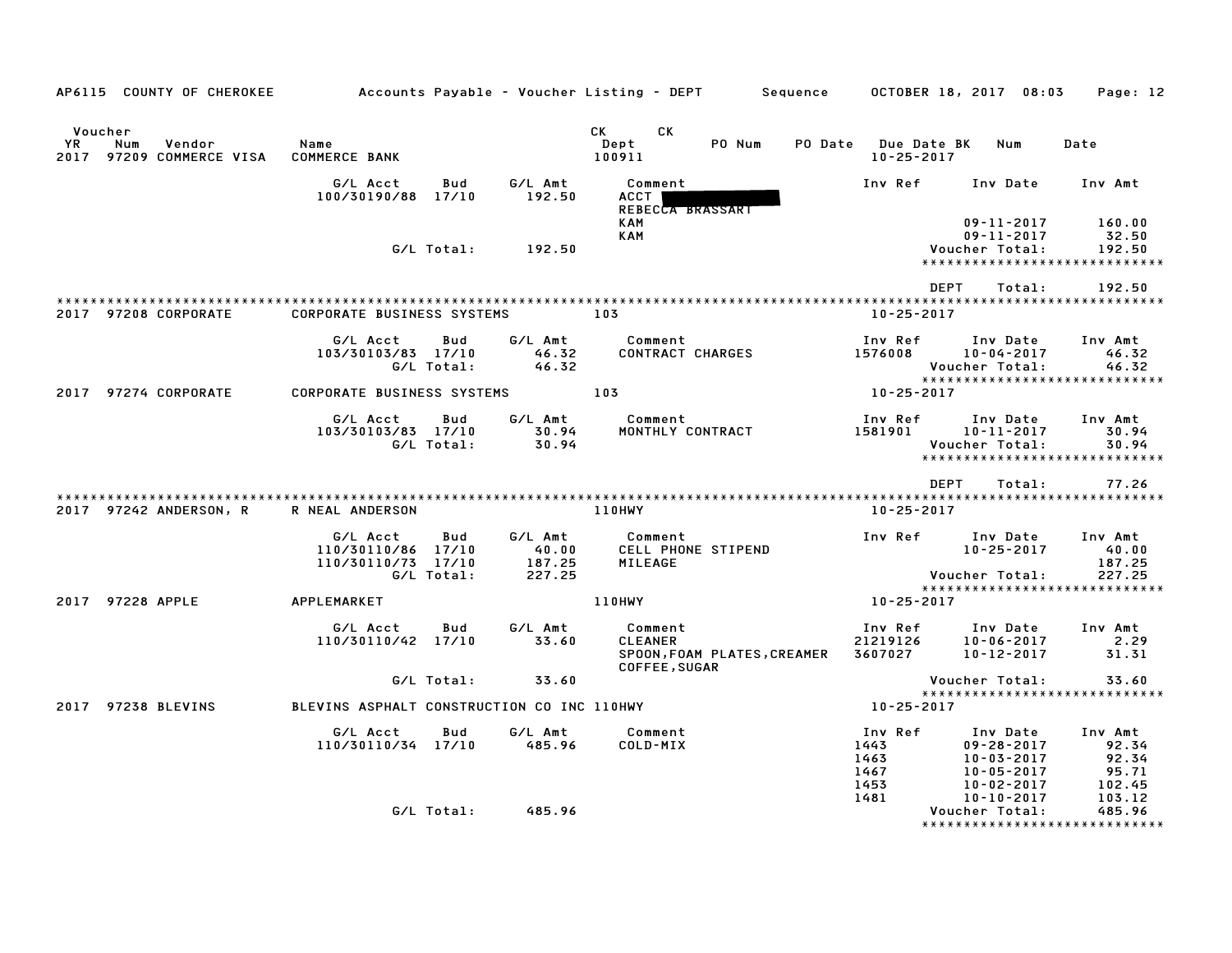| AP6115 COUNTY OF CHEROKEE                                            | Accounts Payable – Voucher Listing – DEPT         Sequence |                   |                                      |                                            |                             |                                         | OCTOBER 18, 2017 08:03                                                                  | Page: 12                                     |
|----------------------------------------------------------------------|------------------------------------------------------------|-------------------|--------------------------------------|--------------------------------------------|-----------------------------|-----------------------------------------|-----------------------------------------------------------------------------------------|----------------------------------------------|
| Voucher<br><b>YR</b><br>Num<br>Vendor<br>2017<br>97209 COMMERCE VISA | Name<br><b>COMMERCE BANK</b>                               |                   |                                      | CK<br>CK<br>Dept<br>100911                 | PO Num                      | PO Date Due Date BK<br>$10 - 25 - 2017$ | Num                                                                                     | Date                                         |
|                                                                      | G/L Acct<br>100/30190/88 17/10                             | Bud               | G/L Amt<br>192.50                    | Comment<br><b>ACCT</b><br>REBECCA BRASSART |                             | Inv Ref                                 | Inv Date                                                                                | Inv Amt                                      |
|                                                                      |                                                            | G/L Total:        | 192.50                               | KAM<br><b>KAM</b>                          |                             |                                         | $09 - 11 - 2017$<br>$09 - 11 - 2017$<br>Voucher Total:<br>***************************** | 160.00<br>32.50<br>192.50                    |
|                                                                      |                                                            |                   |                                      |                                            |                             |                                         | <b>DEPT</b><br>Total:                                                                   | 192.50                                       |
| 2017 97208 CORPORATE                                                 | <b>CORPORATE BUSINESS SYSTEMS</b>                          |                   | 103                                  |                                            |                             | 10-25-2017                              |                                                                                         |                                              |
|                                                                      | G/L Acct<br>103/30103/83 17/10                             | Bud<br>G/L Total: | G/L Amt<br>46.32<br>46.32            | Comment<br>CONTRACT CHARGES                |                             | Inv Ref<br>1576008                      | Inv Date<br>10-04-2017<br>Voucher Total:                                                | Inv Amt<br>46.32<br>46.32                    |
| 2017 97274 CORPORATE                                                 | <b>CORPORATE BUSINESS SYSTEMS</b>                          |                   |                                      | 103                                        |                             | 10-25-2017                              | *****************************                                                           |                                              |
|                                                                      | G/L Acct<br>103/30103/83 17/10                             | Bud<br>G/L Total: | G/L Amt<br>30.94<br>30.94            | Comment                                    | MONTHLY CONTRACT            | Inv Ref<br>1581901                      | Inv Date<br>$10 - 11 - 2017$<br>Voucher Total:<br>*****************************         | Inv Amt<br>30.94<br>30.94                    |
|                                                                      |                                                            |                   |                                      |                                            |                             |                                         | DEPT<br>Total:                                                                          | 77.26                                        |
| 2017 97242 ANDERSON, R                                               | R NEAL ANDERSON                                            |                   |                                      | 110HWY                                     |                             | $10 - 25 - 2017$                        |                                                                                         |                                              |
|                                                                      | G/L Acct<br>110/30110/86 17/10<br>110/30110/73 17/10       | Bud<br>G/L Total: | G/L Amt<br>40.00<br>187.25<br>227.25 | Comment<br>MILEAGE                         | <b>CELL PHONE STIPEND</b>   | Inv Ref                                 | Inv Date<br>$10 - 25 - 2017$<br>Voucher Total:                                          | Inv Amt<br>40.00<br>187.25<br>227.25         |
| 2017 97228 APPLE                                                     | APPLEMARKET                                                |                   |                                      | <b>110HWY</b>                              |                             | 10-25-2017                              | *****************************                                                           |                                              |
|                                                                      | G/L Acct<br>110/30110/42 17/10                             | Bud               | G/L Amt<br>33.60                     | Comment<br><b>CLEANER</b>                  | SPOON, FOAM PLATES, CREAMER | Inv Ref<br>21219126                     | Inv Date<br>10-06-2017<br>3607027 10-12-2017                                            | Inv Amt<br>2.29<br>31.31                     |
|                                                                      |                                                            | G/L Total:        | 33.60                                | COFFEE, SUGAR                              |                             |                                         | Voucher Total:                                                                          | 33.60                                        |
| 2017 97238 BLEVINS                                                   | BLEVINS ASPHALT CONSTRUCTION CO INC 110HWY                 |                   |                                      |                                            |                             | 10-25-2017                              | *****************************                                                           |                                              |
|                                                                      | G/L Acct<br>110/30110/34 17/10                             | Bud               | G/L Amt<br>485.96                    | Comment<br>COLD-MIX                        |                             | Inv Ref<br>1443<br>1463<br>1467<br>1453 | Inv Date<br>$09 - 28 - 2017$<br>$10 - 03 - 2017$<br>$10 - 05 - 2017$<br>10-02-2017      | Inv Amt<br>92.34<br>92.34<br>95.71<br>102.45 |
|                                                                      |                                                            | G/L Total:        | 485.96                               |                                            |                             | 1481                                    | 10-10-2017<br>Voucher Total:<br>*****************************                           | 103.12<br>485.96                             |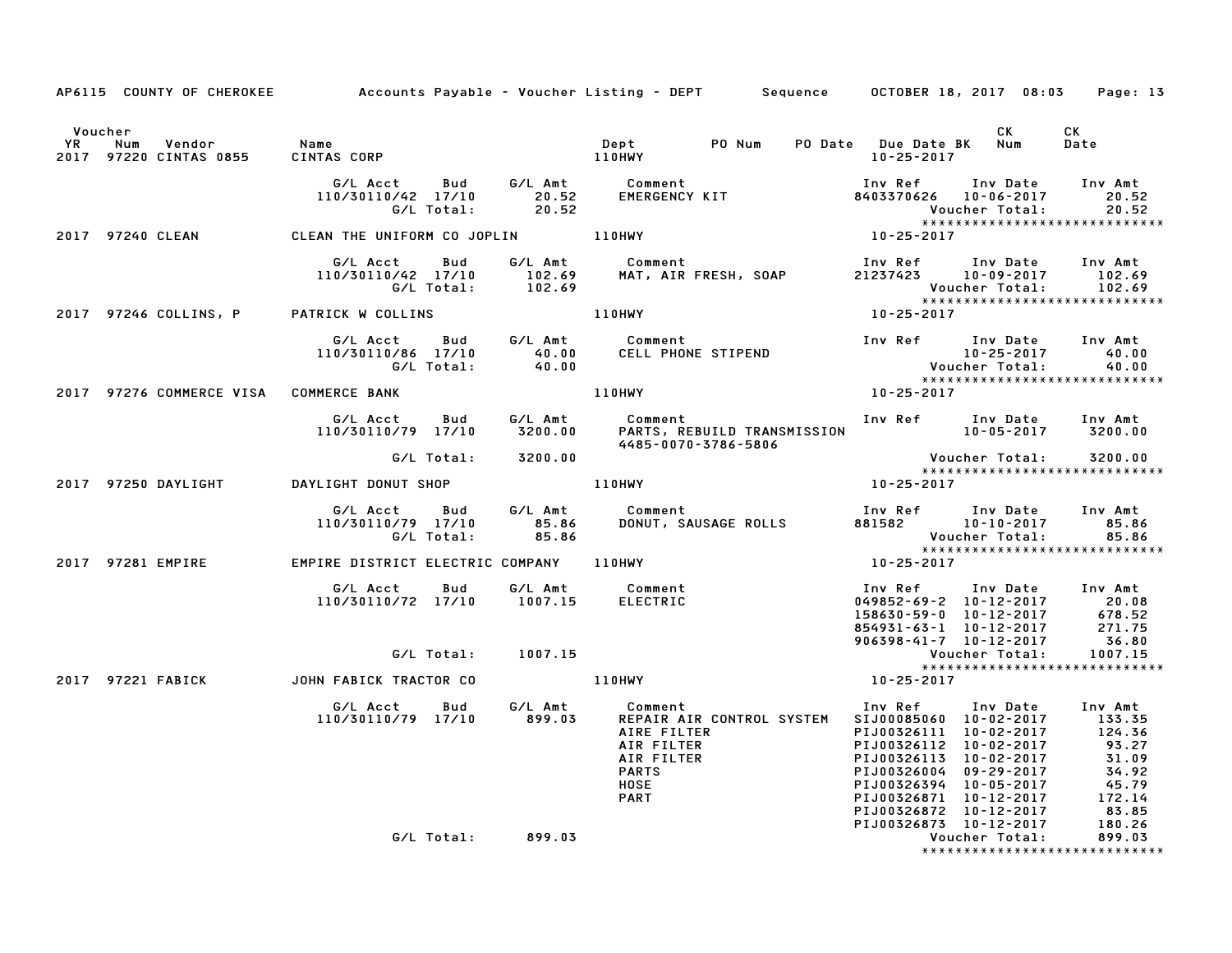|         |                                                     | AP6115 COUNTY OF CHEROKEE Accounts Payable - Voucher Listing - DEPT Sequence OCTOBER 18, 2017 08:03                                                                                                                                     |                                                                                                                                                                                                                                                                                                                            | Page: 13                        |
|---------|-----------------------------------------------------|-----------------------------------------------------------------------------------------------------------------------------------------------------------------------------------------------------------------------------------------|----------------------------------------------------------------------------------------------------------------------------------------------------------------------------------------------------------------------------------------------------------------------------------------------------------------------------|---------------------------------|
| Voucher |                                                     |                                                                                                                                                                                                                                         | <b>CK</b>                                                                                                                                                                                                                                                                                                                  | CK<br>Date                      |
|         |                                                     | G/LAcct Bud G/LAmt Comment Inv Ref Inv Date Inv Amt<br>110/30110/42 17/10 20.52 EMERGENCY KIT 8403370626 10-06-2017 20.52<br>G/LTotal: 20.52 BMERGENCY KIT Woucher Total: 20.52<br>EAN THE UNIFORM CO JOPLIN 110HWY 10-25-2017 10-25-20 |                                                                                                                                                                                                                                                                                                                            | *****************************   |
|         | 2017 97240 CLEAN CLEAN THE UNIFORM CO JOPLIN 110HWY |                                                                                                                                                                                                                                         |                                                                                                                                                                                                                                                                                                                            |                                 |
|         |                                                     | G/L Acct Bud G/L Amt Comment<br>110/30110/42 17/10 102.69 MAT, AIR FRESH, SOAP 21237423 10-09-2017 102.69<br>G/L Total: 102.69 MAT, AIR FRESH, SOAP 21237423 10-09-2017 102.69<br>TRICK W COLLINS 102.69 110HWY 10-25-2017              |                                                                                                                                                                                                                                                                                                                            |                                 |
|         | 2017 97246 COLLINS, P PATRICK W COLLINS             |                                                                                                                                                                                                                                         |                                                                                                                                                                                                                                                                                                                            |                                 |
|         |                                                     | G/LAcct Bud G/LAmt Comment Inv Ref Inv Date Inv Amt<br>110/30110/86 17/10 40.00 CELLPHONE STIPEND 10-25-2017 40.00<br>G/LTotal: 40.00 110HWY 10-25-2017 40.00<br>MMERCE BANK 10-25-2017 10HWY 10-25-2017                                |                                                                                                                                                                                                                                                                                                                            |                                 |
|         | 2017 97276 COMMERCE VISA COMMERCE BANK              |                                                                                                                                                                                                                                         |                                                                                                                                                                                                                                                                                                                            |                                 |
|         |                                                     | G/L Acct   Bud    G/L Amt      Comment                              Inv Ref    Inv Date   Inv Amt<br>110/30110/79 17/10     3200.00      PARTS, REBUILD TRANSMISSION                      10-05-2017     3200.00                        |                                                                                                                                                                                                                                                                                                                            |                                 |
|         | G/L Total: 3200.00                                  |                                                                                                                                                                                                                                         |                                                                                                                                                                                                                                                                                                                            | *****************************   |
|         |                                                     |                                                                                                                                                                                                                                         |                                                                                                                                                                                                                                                                                                                            |                                 |
|         |                                                     | G/L Acct Bud G/L Amt Comment<br>110/30110/79 17/10 85.86 DONUT, SAUSAGE_ROLLS<br>G/L Total: 85.86<br>Comment Inv Ref Inv Date Inv Amt<br>DONUT, SAUSAGE ROLLS 881582 10-10-2017 85.86<br>OHWY 10-25-2017<br>25.86<br>25-2017            |                                                                                                                                                                                                                                                                                                                            |                                 |
|         |                                                     | 2017 97281 EMPIRE EMPIRE DISTRICT ELECTRIC COMPANY 110HWY                                                                                                                                                                               |                                                                                                                                                                                                                                                                                                                            |                                 |
|         |                                                     | 6/L Acct  Bud  6/L Amt  Comment   Comment   Inv Ref   Inv Date   Inv Amt<br>110/30110/72 17/10   1007.15   ELECTRIC   CHO   109852–69–2   10–12–2017   20.08                                                                            |                                                                                                                                                                                                                                                                                                                            |                                 |
|         | G/L Total: 1007.15                                  |                                                                                                                                                                                                                                         |                                                                                                                                                                                                                                                                                                                            | *****************************   |
|         |                                                     |                                                                                                                                                                                                                                         |                                                                                                                                                                                                                                                                                                                            |                                 |
|         |                                                     | G/L Acct Bud G/L Amt Comment<br>110/30110/79 17/10 899.03 REPAIRAIRCONTROLSYST<br>REPAIR AIR CONTROL SYSTEM SIJ00085060 10-02-2017<br><b>EXERIBLE AIR CONTROL STOTENT</b><br>AIR FILTER<br>AIR FILTER<br>PARTS<br>PARTS<br>HOSE<br>PART | Inv Ref      Inv Date    Inv Amt<br>SIJ00085060   10–02–2017        133.35<br>81J00085060 10-02-2017 133.35<br>PIJ00326111 10-02-2017 124.36<br>PIJ00326112 10-02-2017 93.27<br>PIJ0032613 10-02-2017 31.09<br>PIJ00326004 09-29-2017 34.92<br>PIJ00326394 10-05-2017 45.79<br>PIJ00326871 10-12-2017 172.14<br>PIJ0032687 |                                 |
|         | G/L Total: 899.03                                   |                                                                                                                                                                                                                                         |                                                                                                                                                                                                                                                                                                                            | ******************************* |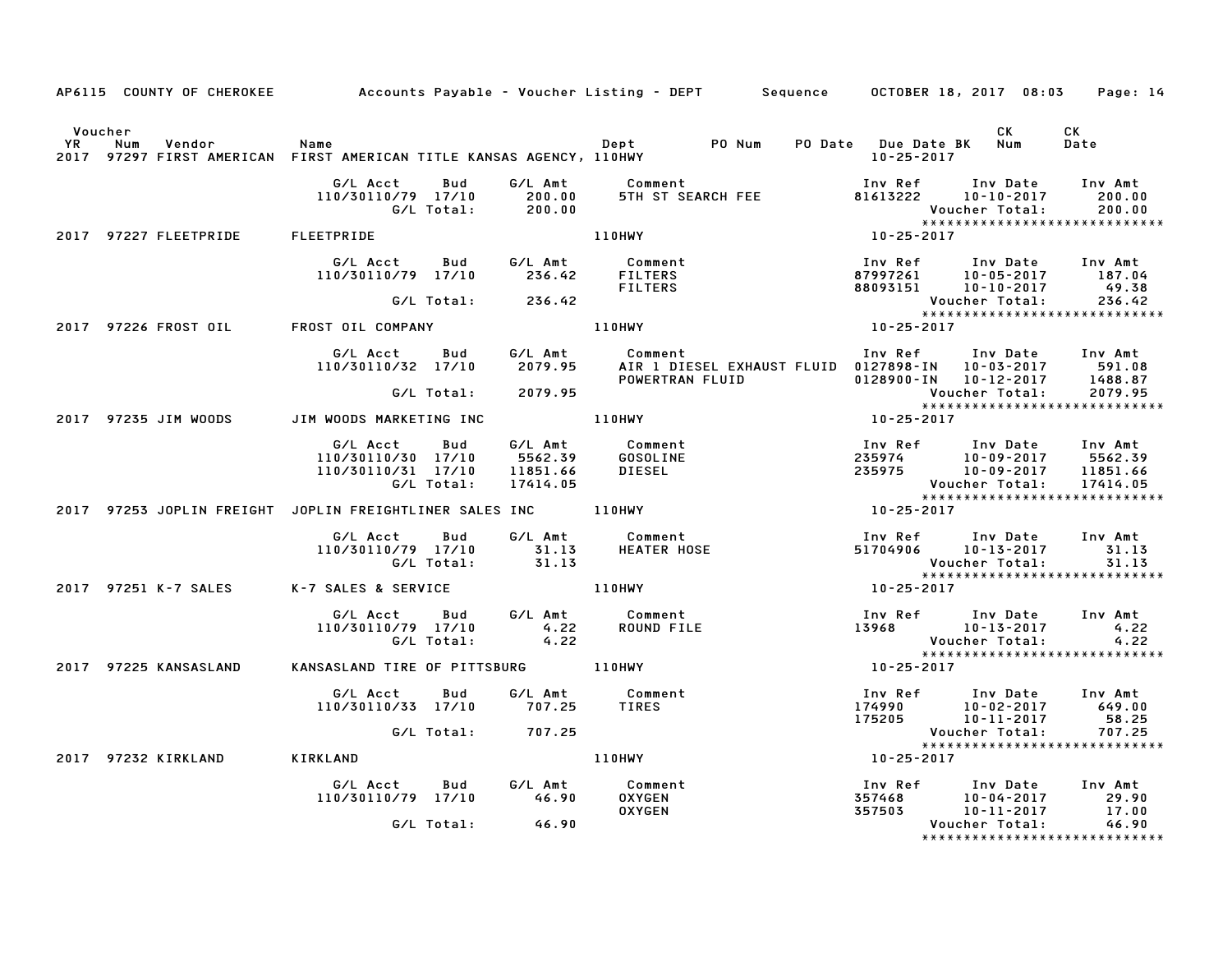|                      |                                                                                       |                                                                        |            |                                            | AP6115 COUNTY OF CHEROKEE Accounts Payable – Voucher Listing – DEPT Sequence OCTOBER 18, 2017 08:03 Page: 14      |                                                                                                                                                                                    |                                          |                                                               |
|----------------------|---------------------------------------------------------------------------------------|------------------------------------------------------------------------|------------|--------------------------------------------|-------------------------------------------------------------------------------------------------------------------|------------------------------------------------------------------------------------------------------------------------------------------------------------------------------------|------------------------------------------|---------------------------------------------------------------|
| Voucher<br><b>YR</b> | Num<br>Vendor<br>2017 97297 FIRST AMERICAN FIRST AMERICAN TITLE KANSAS AGENCY, 110HWY | Name                                                                   |            |                                            |                                                                                                                   | 10-25-2017                                                                                                                                                                         | CK                                       | CK<br>Date                                                    |
|                      |                                                                                       | G/L Acct<br>110/30110/79 17/10                                         | Bud        | G/L Amt<br>200.00<br>G/L Total: 200.00     | Comment<br>5TH ST SEARCH FEE                                                                                      | Inv Ref<br>81613222                                                                                                                                                                | Inv Date<br>10-10-2017<br>Voucher Total: | Inv Amt<br>200.00<br>200.00<br>****************************** |
|                      | 2017 97227 FLEETPRIDE                                                                 | FLEETPRIDE                                                             |            |                                            | 110HWY                                                                                                            | $10 - 25 - 2017$                                                                                                                                                                   |                                          |                                                               |
|                      |                                                                                       | G/L Acct Bud G/L Amt Comment<br>110/30110/79 17/10 236.42 FILTERS      |            |                                            | FILTERS                                                                                                           | Inv Ref      Inv Date     Inv Amt                                                                                                                                                  |                                          |                                                               |
|                      |                                                                                       |                                                                        |            | G/L Total: 236.42                          |                                                                                                                   |                                                                                                                                                                                    | Voucher Total:                           | 236.42                                                        |
|                      | 2017 97226 FROST OIL FROST OIL COMPANY                                                |                                                                        |            |                                            | 110HWY                                                                                                            | $10 - 25 - 2017$                                                                                                                                                                   |                                          |                                                               |
|                      |                                                                                       | G/L Acct                                                               | <b>Bud</b> |                                            | G/L Amt Comment<br>110/30110/32 17/10 2079.95 AIR 1 DIESEL EXHAUST FLUID 0127898-IN 10-03-2017<br>POWERTRAN FLUID | Inv Ref<br>0128900-IN 10-12-2017                                                                                                                                                   | Inv Date Inv Amt                         | 591.08<br>1488.87                                             |
|                      |                                                                                       |                                                                        |            | G/L Total: 2079.95                         |                                                                                                                   |                                                                                                                                                                                    | Voucher Total:                           | 2079.95<br>*****************************                      |
|                      | 2017 97235 JIM WOODS                                                                  | JIM WOODS MARKETING INC                                                |            | 110HWY                                     |                                                                                                                   | 10-25-2017                                                                                                                                                                         |                                          |                                                               |
|                      |                                                                                       | G/L Acct Bud<br>110/30110/30 17/10<br>110/30110/31 17/10<br>G/L Total: |            | G/L Amt<br>5562.39<br>11851.66<br>17414.05 | Comment<br>GOSOLINE<br><b>DIESEL</b>                                                                              | 1nv Ref       Inv Date     Inv Amt<br>235974          10-09-2017      5562.39<br>235975         10-09-2017     11851.66<br>Voucher Total: 17414.05<br>**************************** |                                          |                                                               |
|                      | 2017 97253 JOPLIN FREIGHT JOPLIN FREIGHTLINER SALES INC ________________________      |                                                                        |            |                                            |                                                                                                                   | 10-25-2017                                                                                                                                                                         |                                          |                                                               |
|                      |                                                                                       | G/L Acct<br>110/30110/79 17/10<br>G/L Total:                           | Bud        | 31.13<br>31.13                             | G/L Amt Comment<br>31.13 HEATER HOSE                                                                              | Inv Ref Inv Date<br>51704906<br><b>Voucher Total:</b>                                                                                                                              | 10-13-2017                               | Inv Amt<br>31.13<br>31.13                                     |
|                      | 2017 97251 K-7 SALES                                                                  | K-7 SALES & SERVICE                                                    |            |                                            | 110HWY                                                                                                            | 10-25-2017                                                                                                                                                                         |                                          | *****************************                                 |
|                      |                                                                                       | G/L Acct<br>110/30110/79 17/10<br>G/L Total:                           | Bud        | 4.22                                       | G/L Amt Comment<br>4.22 ROUND FILE<br><b>ROUND FILE</b>                                                           | Inv Ref Inv Date<br>13968                                                                                                                                                          | 10-13-2017<br>Voucher Total:             | Inv Amt<br>4.22<br>4.22                                       |
|                      | 2017 97225 KANSASLAND                                                                 | KANSASLAND TIRE OF PITTSBURG 110HWY                                    |            |                                            |                                                                                                                   | 10-25-2017                                                                                                                                                                         |                                          |                                                               |
|                      |                                                                                       | G/L Acct<br>110/30110/33 17/10 707.25                                  |            | Bud G/LAmt                                 | Comment<br>TIRES                                                                                                  | 174990<br>175205                                                                                                                                                                   | 10-11-2017                               | 58.25                                                         |
|                      |                                                                                       |                                                                        |            | G/L Total: 707.25                          |                                                                                                                   |                                                                                                                                                                                    | Voucher Total:                           | 707.25<br>*****************************                       |
|                      | 2017 97232 KIRKLAND                                                                   | KIRKLAND                                                               |            |                                            | 110HWY                                                                                                            | 10-25-2017                                                                                                                                                                         |                                          |                                                               |
|                      |                                                                                       | G/L Acct<br>110/30110/79 17/10 46.90                                   | <b>Bud</b> |                                            | G/L Amt Comment<br><b>OXYGEN</b><br><b>OXYGEN</b>                                                                 | Inv Ref      Inv Date<br>357468 10-04-2017<br>357503 10-11-2017                                                                                                                    | 10-04-2017                               | Inv Amt<br>29.90<br>17.00                                     |
|                      |                                                                                       |                                                                        | G/L Total: | 46.90                                      |                                                                                                                   |                                                                                                                                                                                    | Voucher Total:                           | 46.90<br>*****************************                        |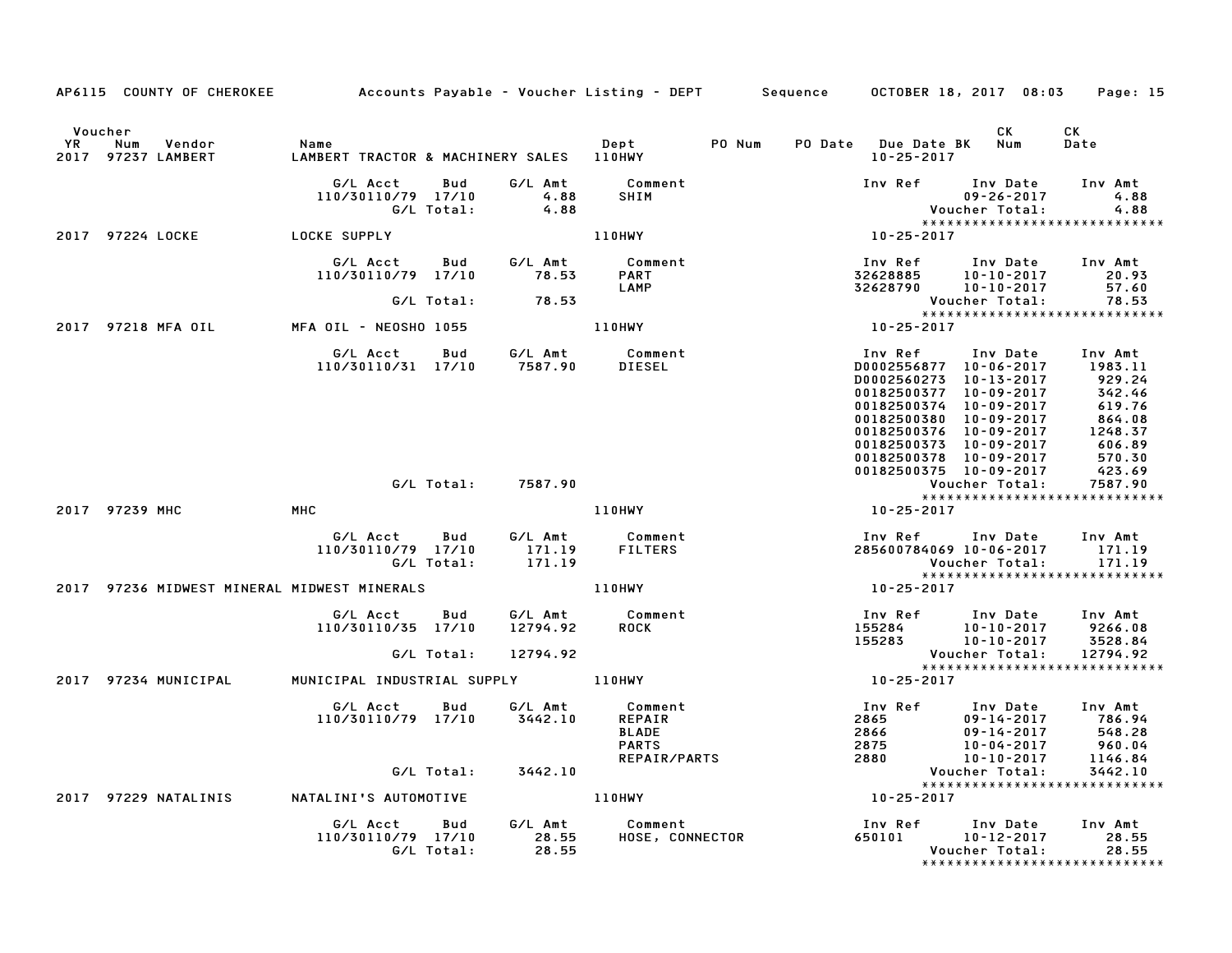|    | AP6115 COUNTY OF CHEROKEE Accounts Payable - Voucher Listing - DEPT Sequence OCTOBER 18, 2017 08:03 |                                                  |                   |                                 |                                                   |        |                                                                                                                                                                                                   |                                                                | Page: 15                                                                                  |
|----|-----------------------------------------------------------------------------------------------------|--------------------------------------------------|-------------------|---------------------------------|---------------------------------------------------|--------|---------------------------------------------------------------------------------------------------------------------------------------------------------------------------------------------------|----------------------------------------------------------------|-------------------------------------------------------------------------------------------|
| YR | Voucher<br>Num<br>Vendor<br>2017 97237 LAMBERT                                                      | Name<br>LAMBERT TRACTOR & MACHINERY SALES 110HWY |                   |                                 | Depter                                            | PO Num | PO Date Due Date BK Num<br>$10 - 25 - 2017$                                                                                                                                                       | CK                                                             | CK<br>Date                                                                                |
|    |                                                                                                     | G/L Acct<br>110/30110/79 17/10                   | Bud<br>G/L Total: | G/L Amt<br>4.88<br>4.88         | Comment<br><b>SHIM</b>                            |        | Inv Ref                                                                                                                                                                                           | Inv Date<br>$09 - 26 - 2017$<br>Voucher Total:                 | Inv Amt<br>4.88<br>4.88<br>*****************************                                  |
|    | 2017 97224 LOCKE                                                                                    | <b>LOCKE SUPPLY</b>                              |                   |                                 | 110HWY                                            |        | 10-25-2017                                                                                                                                                                                        |                                                                |                                                                                           |
|    |                                                                                                     | G/L Acct<br>110/30110/79 17/10                   | <b>Bud</b>        | G/L Amt<br>78.53                | Comment<br><b>PART</b><br>LAMP                    |        | Inv Ref<br>32628885<br>32628790  10-10-2017                                                                                                                                                       | Inv Date<br>$10 - 10 - 2017$                                   | Inv Amt<br>20.93<br>57.60                                                                 |
|    |                                                                                                     |                                                  | G/L Total:        | 78.53                           |                                                   |        |                                                                                                                                                                                                   | Voucher Total:                                                 | 78.53                                                                                     |
|    | 2017 97218 MFA OIL                                                                                  | MFA OIL - NEOSHO 1055                            |                   |                                 | 110HWY                                            |        | 10-25-2017                                                                                                                                                                                        |                                                                | *****************************                                                             |
|    |                                                                                                     | G/L Acct<br>110/30110/31 17/10                   | Bud               | 7587.90                         | G/L Amt Comment<br>DIESEL                         |        | Inv Ref<br>D0002556877 10-06-2017<br>D0002560273 10-13-2017<br>00182500377<br>00182500374 10-09-2017<br>00182500380<br>00182500376 10-09-2017<br>00182500373 10-09-2017<br>00182500378 10-09-2017 | Inv Date<br>10-09-2017<br>10-09-2017                           | Inv Amt<br>1983.11<br>929.24<br>342.46<br>619.76<br>864.08<br>1248.37<br>606.89<br>570.30 |
|    |                                                                                                     |                                                  | G/L Total:        | 7587.90                         |                                                   |        | 00182500375 10-09-2017                                                                                                                                                                            | Voucher Total:                                                 | 423.69<br>7587.90                                                                         |
|    |                                                                                                     |                                                  |                   |                                 |                                                   |        |                                                                                                                                                                                                   |                                                                | *****************************                                                             |
|    | 2017 97239 MHC                                                                                      | MHC                                              |                   |                                 | 110HWY                                            |        | 10-25-2017                                                                                                                                                                                        |                                                                |                                                                                           |
|    |                                                                                                     | G/L Acct<br>110/30110/79 17/10                   | Bud<br>G/L Total: | G/L Amt<br>171.19<br>171.19     | Comment<br>FILTFP°                                |        | Inv Ref      Inv Date<br>285600784069 10-06-2017                                                                                                                                                  | Voucher Total:                                                 | Inv Amt<br>171.19<br>171.19<br>*****************************                              |
|    | 2017 97236 MIDWEST MINERAL MIDWEST MINERALS                                                         |                                                  |                   |                                 | <b>110HWY</b>                                     |        | 10-25-2017                                                                                                                                                                                        |                                                                |                                                                                           |
|    |                                                                                                     | G/L Acct<br>110/30110/35 17/10                   | Bud<br>G/L Total: | G/L Amt<br>12794.92<br>12794.92 | Comment<br><b>ROCK</b>                            |        | Inv Ref Inv Date<br>155284<br>155283                                                                                                                                                              | 10-10-2017<br>10-10-2017<br>Voucher Total:                     | Inv Amt<br>9266.08<br>3528.84<br>12794.92                                                 |
|    |                                                                                                     |                                                  |                   |                                 |                                                   |        |                                                                                                                                                                                                   |                                                                | *****************************                                                             |
|    | 2017 97234 MUNICIPAL                                                                                | MUNICIPAL INDUSTRIAL SUPPLY 110HWY               |                   |                                 |                                                   |        | 10-25-2017                                                                                                                                                                                        |                                                                |                                                                                           |
|    |                                                                                                     | G/L Acct<br>110/30110/79 17/10                   | Bud               | G/L Amt<br>3442.10              | Comment<br>REPAIR<br><b>BLADE</b><br><b>PARTS</b> |        | Inv Ref<br>2865<br>2866<br>2875<br>2880                                                                                                                                                           | Inv Date<br>$09 - 14 - 2017$<br>$09 - 14 - 2017$<br>10-04-2017 | Inv Amt<br>786.94<br>548.28<br>960.04                                                     |
|    |                                                                                                     |                                                  | G/L Total:        | 3442.10                         | REPAIR/PARTS                                      |        | 2880                                                                                                                                                                                              | 10-10-2017<br>Voucher Total:                                   | 1146.84<br>3442.10                                                                        |
|    | 2017 97229 NATALINIS                                                                                | NATALINI'S AUTOMOTIVE                            |                   |                                 | 110HWY                                            |        | 10-25-2017                                                                                                                                                                                        |                                                                | *****************************                                                             |
|    |                                                                                                     | G/L Acct<br>110/30110/79 17/10                   | Bud<br>G/L Total: | G/L Amt<br>28.55<br>28.55       | Comment<br>HOSE, CONNECTOR                        |        | Inv Ref      Inv Date<br>650101                                                                                                                                                                   | 10-12-2017<br>Voucher Total:                                   | Inv Amt<br>28.55<br>28.55<br>*****************************                                |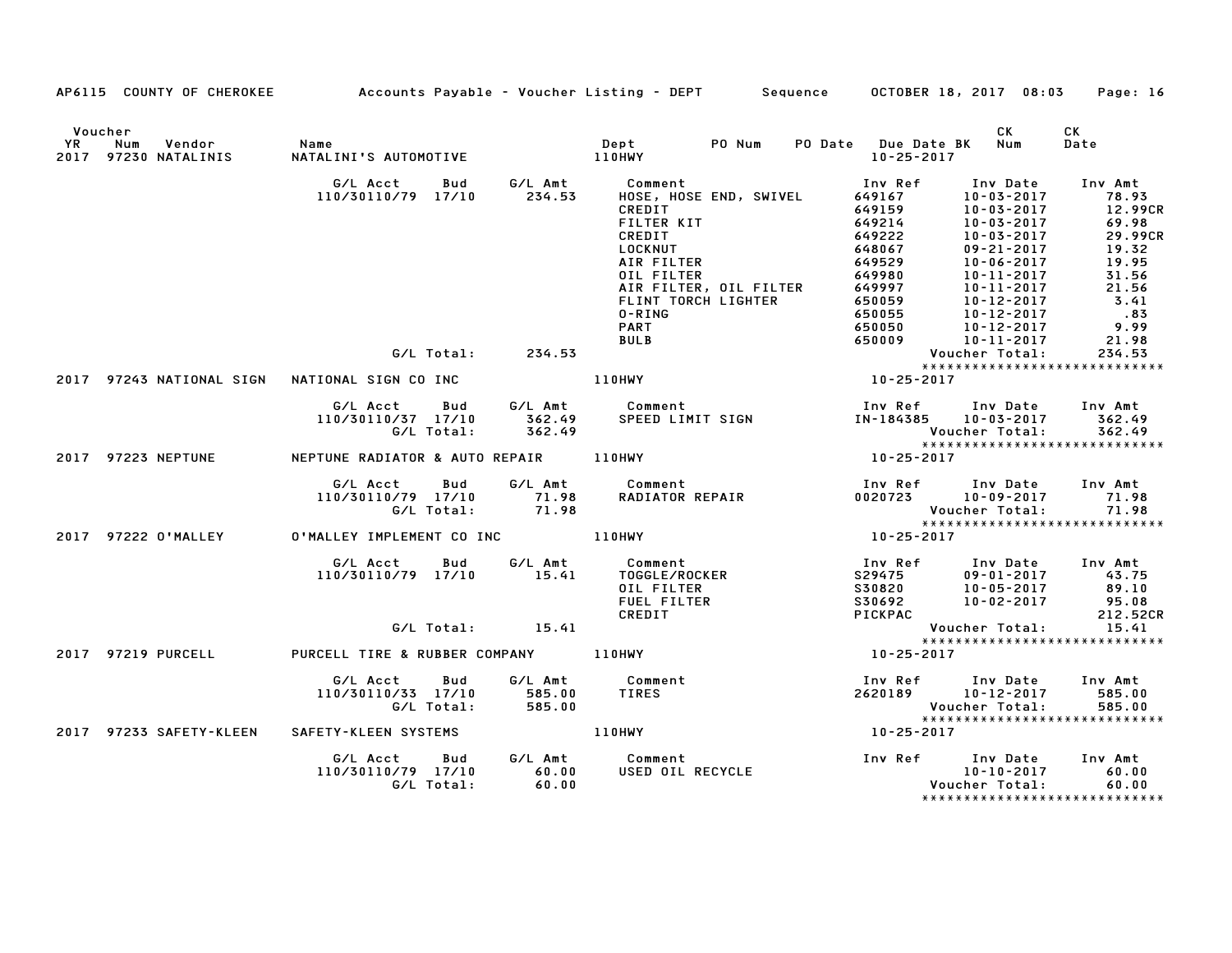|    |                                                       |                                                              |                           | AP6115 COUNTY OF CHEROKEE           Accounts Payable – Voucher Listing – DEPT       Sequence                                                                                                                |                                                                                                                                                              | OCTOBER 18, 2017 08:03                                                                                                                                                                                                                       | Page: 16                                                                                                            |
|----|-------------------------------------------------------|--------------------------------------------------------------|---------------------------|-------------------------------------------------------------------------------------------------------------------------------------------------------------------------------------------------------------|--------------------------------------------------------------------------------------------------------------------------------------------------------------|----------------------------------------------------------------------------------------------------------------------------------------------------------------------------------------------------------------------------------------------|---------------------------------------------------------------------------------------------------------------------|
| YR | Voucher<br>Vendor Name<br>Num<br>2017 97230 NATALINIS | NATALINI'S AUTOMOTIVE                                        |                           | Dept<br>110HWY<br>PO Num                                                                                                                                                                                    | PO Date Due Date BK Num<br>10-25-2017                                                                                                                        | <b>CK</b>                                                                                                                                                                                                                                    | CK.<br>Date                                                                                                         |
|    |                                                       | G/L Acct<br>Bud<br>110/30110/79 17/10                        | 234.53                    | G/L Amt Comment<br>HOSE, HOSE END, SWIVEL<br>CREDIT<br>FILTER KIT<br>CREDIT<br>LOCKNUT<br>AIR FILTER<br>OIL FILTER<br>AIR FILTER, OIL FILTER<br>FLINT TORCH LIGHTER<br>0-RING<br><b>PART</b><br><b>BULB</b> | Inv Ref<br>649167<br>649159<br>649214<br>649222<br>648067<br>649529<br>649980<br>649997<br>650059<br>650055<br>650050<br>650009                              | Inv Date<br>$10 - 03 - 2017$<br>$10 - 03 - 2017$<br>$10 - 03 - 2017$<br>$10 - 03 - 2017$<br>$09 - 21 - 2017$<br>$10 - 06 - 2017$<br>$10 - 11 - 2017$<br>$10 - 11 - 2017$<br>$10 - 12 - 2017$<br>10-12-2017<br>10-12-2017<br>$10 - 11 - 2017$ | Inv Amt<br>78.93<br>12.99CR<br>69.98<br>29.99CR<br>19.32<br>19.95<br>31.56<br>21.56<br>3.41<br>.83<br>9.99<br>21.98 |
|    |                                                       | G/L Total:                                                   | 234.53                    |                                                                                                                                                                                                             |                                                                                                                                                              | Voucher Total:                                                                                                                                                                                                                               | 234.53<br>******************************                                                                            |
|    |                                                       |                                                              |                           | <b>110HWY</b>                                                                                                                                                                                               | ∶××××<br>1025-2017                                                                                                                                           |                                                                                                                                                                                                                                              |                                                                                                                     |
|    |                                                       | G/L Acct<br>110/30110/37 17/10<br>G/L Total:                 | 362.49<br>362.49          | Bud G/L Amt Comment<br>SPEED LIMIT SIGN                                                                                                                                                                     | Inv Ref<br>IN-184385<br>Voucher Total:                                                                                                                       | Inv Date Inv Amt<br>10–03–2017 - 362.49                                                                                                                                                                                                      | 362.49<br>362.49                                                                                                    |
|    | 2017 97223 NEPTUNE                                    | NEPTUNE RADIATOR & AUTO REPAIR 110HWY                        |                           |                                                                                                                                                                                                             | $10 - 25 - 2017$                                                                                                                                             |                                                                                                                                                                                                                                              |                                                                                                                     |
|    |                                                       | G/L Acct Bud<br>110/30110/79 17/10 71.98<br>G/L Total: 71.98 |                           | G/L Amt Comment<br>Comment<br>RADIATOR REPAIR                                                                                                                                                               | Inv Ref Inv Date Inv Amt<br>$0.020723$ $10-09-2017$ $71.98$<br>Voucher Total: 71.98<br>****************************                                          |                                                                                                                                                                                                                                              |                                                                                                                     |
|    | 2017 97222 0'MALLEY                                   | 0'MALLEY IMPLEMENT CO INC 110HWY                             |                           |                                                                                                                                                                                                             | $10 - 25 - 2017$                                                                                                                                             |                                                                                                                                                                                                                                              |                                                                                                                     |
|    |                                                       | G/L Acct<br><b>Bud</b><br>110/30110/79 17/10                 | 15.41                     | G/L Amt           Comment<br>15.41       TOGGLE/ROCKER<br>OIL FILTER<br>FUEL FILTER<br>CREDIT                                                                                                               | Inv Ref Inv Date Inv Amt<br>200475<br>20075 109-01-2017 143.75<br>200820 10-05-2017 89.10<br>2008202 10-02-2017 95.08<br>2008202 10-02-2017 95.08<br>PICKPAC |                                                                                                                                                                                                                                              | 212.52CR                                                                                                            |
|    |                                                       | $G/L$ Total: $15.41$                                         |                           |                                                                                                                                                                                                             |                                                                                                                                                              | Voucher Total:                                                                                                                                                                                                                               | 15.41<br>******************************                                                                             |
|    | 2017 97219 PURCELL                                    | PURCELL TIRE & RUBBER COMPANY 110HWY                         |                           |                                                                                                                                                                                                             | $10 - 25 - 2017$                                                                                                                                             |                                                                                                                                                                                                                                              |                                                                                                                     |
|    |                                                       | <b>Bud</b><br>G/L Acct<br>110/30110/33 17/10<br>G/L Total:   | 585.00<br>585.00          | G/L Amt Comment<br><b>TIRES</b>                                                                                                                                                                             | Inv Ref       Inv Date<br>2620189        10–12–2017<br>Voucher Total:<br>Youcher Total:                                                                      |                                                                                                                                                                                                                                              | Inv Amt<br>585.00<br>585.00<br>*****************************                                                        |
|    | 2017 97233 SAFETY-KLEEN                               | SAFETY-KLEEN SYSTEMS                                         |                           | <b>110HWY</b>                                                                                                                                                                                               | $10 - 25 - 2017$                                                                                                                                             |                                                                                                                                                                                                                                              |                                                                                                                     |
|    |                                                       | G/L Acct<br><b>Bud</b><br>110/30110/79 17/10<br>G/L Total:   | G/L Amt<br>60.00<br>60.00 | Comment<br>USED OIL RECYCLE                                                                                                                                                                                 | Inv Ref Inv Date                                                                                                                                             | 10-10-2017<br>Voucher Total:                                                                                                                                                                                                                 | Inv Amt<br>60.00<br>60.00                                                                                           |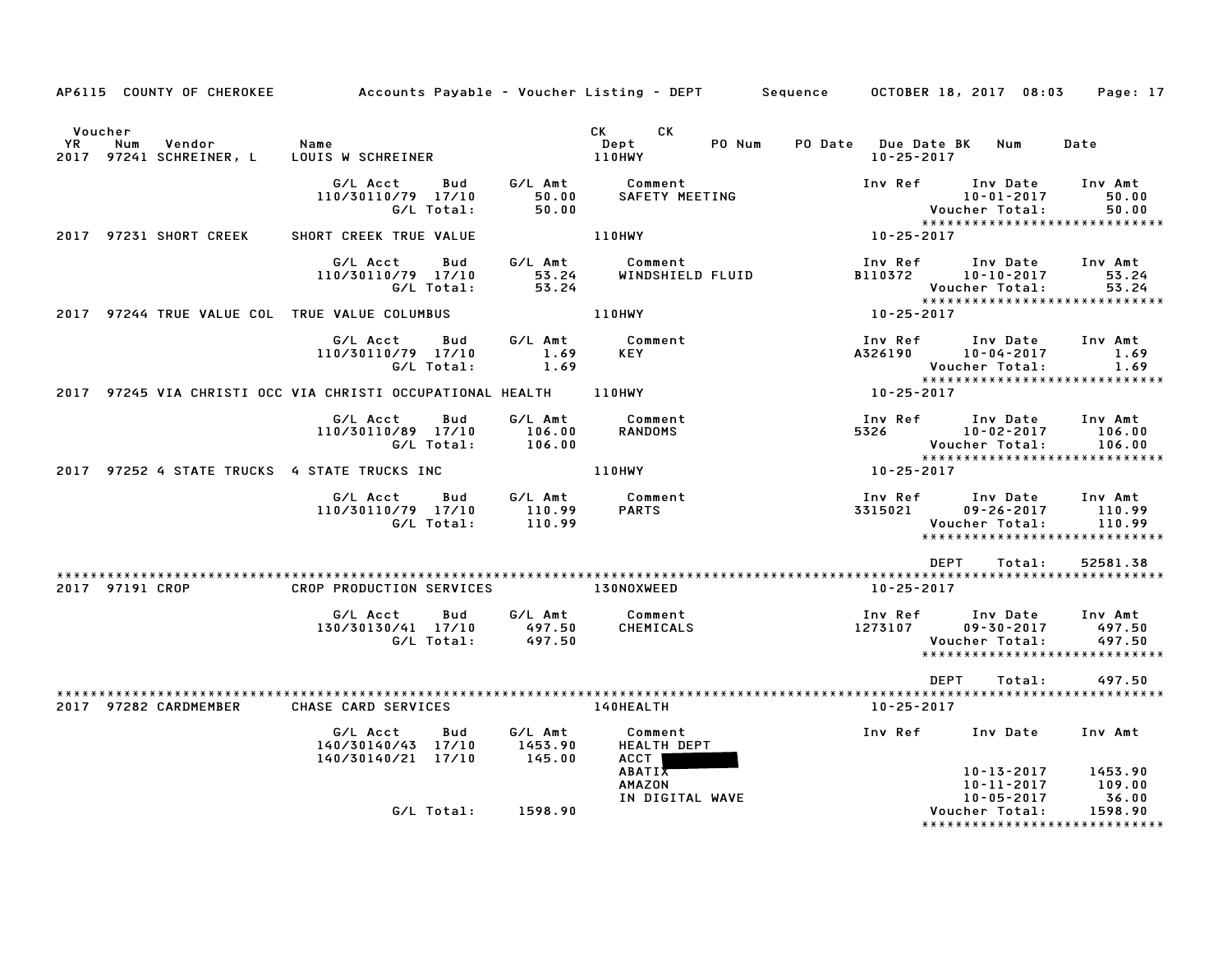|                                                                   |                                                                          |                                                | AP6115 COUNTY OF CHEROKEE Accounts Payable - Voucher Listing - DEPT Sequence OCTOBER 18, 2017 08:03 |                                                                                                            | Page: 17                    |
|-------------------------------------------------------------------|--------------------------------------------------------------------------|------------------------------------------------|-----------------------------------------------------------------------------------------------------|------------------------------------------------------------------------------------------------------------|-----------------------------|
| Voucher<br>Vendor<br><b>YR</b><br>Num<br>2017 97241 SCHREINER, L  | Name<br>LOUIS W SCHREINER                                                |                                                | CK CK<br>PO Num<br>Dept<br>110HWY                                                                   | PO Date Due Date BK Num<br>10-25-2017                                                                      | Date                        |
|                                                                   | G/L Acct<br>Bud<br>110/30110/79 17/10<br>G/L Total:                      | $\begin{bmatrix} 50.00 \\ 50.00 \end{bmatrix}$ | G/L Amt Comment<br>SAFETY MEETING                                                                   | Inv Ref Inv Date<br>10-01-2017<br>Voucher Total: 50.00<br>*****************************                    | Inv Amt<br>50.00            |
| 2017 97231 SHORT CREEK                                            | SHORT CREEK TRUE VALUE                                                   |                                                | 110HWY                                                                                              | $10 - 25 - 2017$                                                                                           |                             |
|                                                                   | G/L Acct<br><b>Bud</b><br>110/30110/79 17/10<br>G/L Total:               | 53.24<br>53.24                                 | G/L Amt Comment<br>WINDSHIELD FLUID                                                                 | Inv Ref      Inv Date<br>B110372 10-10-2017<br>Voucher Total: 53.24<br>***************************         | Inv Amt<br>53.24            |
| 2017 97244 TRUE VALUE COL TRUE VALUE COLUMBUS                     |                                                                          |                                                | <b>110HWY</b>                                                                                       | 10-25-2017                                                                                                 |                             |
|                                                                   | G/L Acct Bud<br>110/30110/79 17/10<br>G/L Total:                         | G/L Amt<br>1.69<br>1.69                        | Comment<br>KEY                                                                                      | Inv Ref Inv Date<br>A326190 10-04-2017<br>Voucher Total:                                                   | Inv Amt<br>1.69<br>1.69     |
| 2017 97245 VIA CHRISTI OCC VIA CHRISTI OCCUPATIONAL HEALTH 110HWY |                                                                          |                                                |                                                                                                     | 10-25-2017                                                                                                 |                             |
|                                                                   | G/L Acct<br><b>Bud</b><br>110/30110/89 17/10 106.00<br>G/L Total: 106.00 |                                                | G/L Amt Comment<br><b>RANDOMS</b>                                                                   | Inv Ref Inv Date Inv Amt<br>5326 10-02-2017<br>Voucher Total:<br>*****************************             | 106.00<br>106.00            |
| 2017 97252 4 STATE TRUCKS 4 STATE TRUCKS INC                      |                                                                          |                                                | <b>110HWY</b>                                                                                       | 10-25-2017                                                                                                 |                             |
|                                                                   | G/L Acct<br>110/30110/79 17/10<br>G/L Total:                             | 110.99                                         | Bud G/LAmt Comment<br>17/10 110.99 PARTS                                                            | Inv Ref Inv Date Inv Amt<br>3315021<br>$09 - 26 - 2017$<br>Voucher Total:<br>***************************** | 110.99<br>110.99            |
| 2017 97191 CROP                                                   | CROP PRODUCTION SERVICES 130NOXWEED                                      |                                                |                                                                                                     | DEPT<br>Total:<br>10-25-2017                                                                               | 52581.38                    |
|                                                                   | G/L Acct<br>Bud<br>130/30130/41 17/10<br>G/L Total:                      | 497.50<br>497.50                               | G/L Amt Comment<br>CHEMICALS                                                                        | Inv Ref      Inv Date<br>1273107<br>$09 - 30 - 2017$<br>Voucher Total:<br>*****************************    | Inv Amt<br>497.50<br>497.50 |
| 2017 97282 CARDMEMBER                                             | CHASE CARD SERVICES                                                      |                                                | <b>140HEALTH</b>                                                                                    | DEPT<br>Total:<br>10-25-2017                                                                               | 497.50                      |
|                                                                   | G/L Acct<br>Bud<br>140/30140/43 17/10<br>140/30140/21 17/10              | G/L Amt<br>1453.90<br>145.00                   | Comment<br>HEALTH DEPT<br>ACCT  <br><b>ABATIX</b>                                                   | Inv Ref Inv Date<br>10-13-2017                                                                             | Inv Amt<br>1453.90          |
|                                                                   | G/L Total: 1598.90                                                       |                                                | <b>AMAZON</b><br>IN DIGITAL WAVE                                                                    | $10 - 11 - 2017$<br>10-05-2017<br>Voucher Total:<br>*****************************                          | 109.00<br>36.00<br>1598.90  |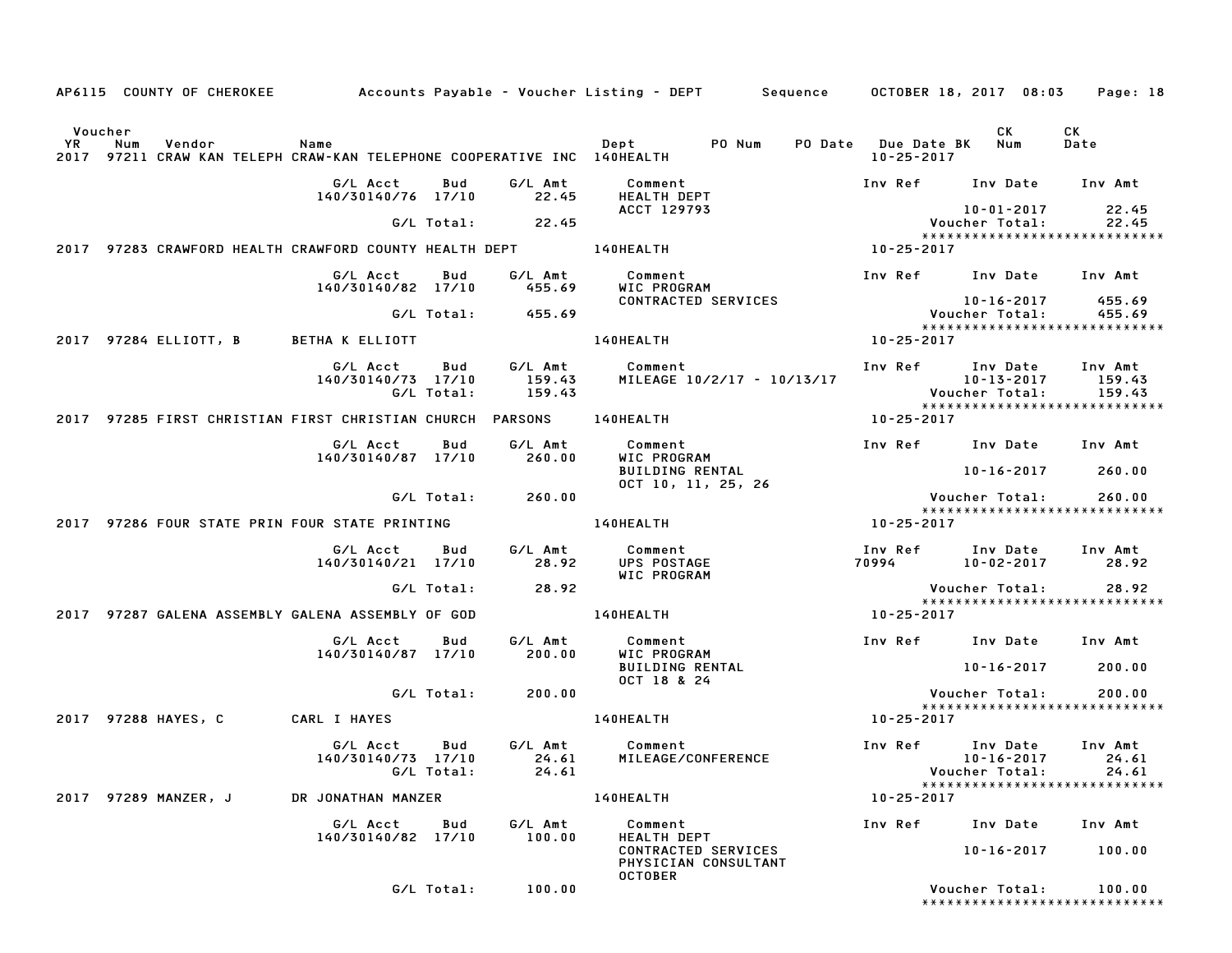|               |     |                       |                                                   |          |                   |                                                           | AP6115 COUNTY OF CHEROKEE Accounts Payable – Voucher Listing – DEPT Sequence OCTOBER 18, 2017 08:03 |                                             |                                         |                                                                                   | Page: 18                                 |
|---------------|-----|-----------------------|---------------------------------------------------|----------|-------------------|-----------------------------------------------------------|-----------------------------------------------------------------------------------------------------|---------------------------------------------|-----------------------------------------|-----------------------------------------------------------------------------------|------------------------------------------|
| Voucher<br>YR | Num | Vendor                | Name                                              |          |                   |                                                           | Dept PO Num<br>2017 97211 CRAW KAN TELEPH CRAW-KAN TELEPHONE COOPERATIVE INC 140HEALTH              |                                             | PO Date Due Date BK<br>$10 - 25 - 2017$ | CK<br>Num                                                                         | CK<br>Date                               |
|               |     |                       | G/L Acct<br>140/30140/76 17/10                    |          | Bud               | G/L Amt<br>22.45                                          | Comment<br>HEALTH DEPT                                                                              |                                             |                                         | Inv Ref Inv Date Inv Amt                                                          |                                          |
|               |     |                       |                                                   |          |                   | $G/L$ Total: 22.45                                        | ACCT 129793                                                                                         |                                             |                                         | 10-01-2017<br>Voucher Total:                                                      | 22.45<br>22.45                           |
|               |     |                       |                                                   |          |                   |                                                           | 2017 97283 CRAWFORD HEALTH CRAWFORD COUNTY HEALTH DEPT __________________________                   |                                             | 10-25-2017                              | ******************************                                                    |                                          |
|               |     |                       | 140/30140/82 17/10                                | G/L Acct | Bud               | G/L Amt<br>455.69                                         | Comment<br>WIC PROGRAM                                                                              |                                             |                                         | Inv Ref Inv Date                                                                  | Inv Amt                                  |
|               |     |                       |                                                   |          |                   | $G/L$ Total: $455.69$                                     |                                                                                                     | CONTRACTED SERVICES                         |                                         | 10-16-2017<br>Voucher Total:                                                      | 455.69<br>455.69                         |
|               |     | 2017 97284 ELLIOTT, B | <b>BETHA K ELLIOTT</b>                            |          |                   |                                                           | 140HEALTH                                                                                           |                                             | 10-25-2017                              | *****************************                                                     |                                          |
|               |     |                       | 140/30140/73 17/10                                | G/L Acct | Bud<br>G/L Total: | 159.43<br>159.43                                          | G/L Amt Comment                                                                                     | MILEAGE 10/2/17 - 10/13/17                  |                                         | Inv Ref Inv Date<br>10-13-2017<br>Voucher Total:<br>***************************** | Inv Amt<br>159.43<br>159.43              |
|               |     |                       |                                                   |          |                   | 2017 97285 FIRST CHRISTIAN FIRST CHRISTIAN CHURCH PARSONS | 140HEALTH                                                                                           |                                             | 10-25-2017                              |                                                                                   |                                          |
|               |     |                       | G/L Acct<br>140/30140/87 17/10                    |          | Bud               | G/L Amt<br>260.00                                         | Comment<br>WIC PROGRAM                                                                              |                                             |                                         | Inv Ref Inv Date Inv Amt                                                          |                                          |
|               |     |                       |                                                   |          |                   |                                                           | <b>BUILDING RENTAL</b>                                                                              | OCT 10, 11, 25, 26                          |                                         | 10-16-2017                                                                        | 260.00                                   |
|               |     |                       |                                                   |          | G/L Total:        | 260.00                                                    |                                                                                                     |                                             |                                         | Voucher Total:<br>*****************************                                   | 260.00                                   |
|               |     |                       | 2017 97286 FOUR STATE PRIN FOUR STATE PRINTING    |          |                   |                                                           | 140HEALTH                                                                                           |                                             | 10-25-2017                              |                                                                                   |                                          |
|               |     |                       | G/L Acct<br>140/30140/21 17/10                    |          | Bud               | G/L Amt<br>28.92                                          | Comment<br>UPS POSTAGE<br>WIC PROGRAM                                                               |                                             |                                         | Inv Ref       Inv Date<br>70994             10–02–2017                            | Inv Amt<br>28.92                         |
|               |     |                       |                                                   |          | G/L Total:        | 28.92                                                     |                                                                                                     |                                             |                                         | Voucher Total:<br>*****************************                                   | 28.92                                    |
|               |     |                       | 2017 97287 GALENA ASSEMBLY GALENA ASSEMBLY OF GOD |          |                   |                                                           | 140HEALTH                                                                                           |                                             | 10-25-2017                              |                                                                                   |                                          |
|               |     |                       | G/L Acct<br>140/30140/87 17/10                    |          | Bud               | G/L Amt<br>200.00                                         | Comment<br>WIC PROGRAM                                                                              |                                             |                                         | Inv Ref Inv Date                                                                  | Inv Amt                                  |
|               |     |                       |                                                   |          |                   |                                                           | <b>BUILDING RENTAL</b><br>OCT 18 & 24                                                               |                                             |                                         | 10-16-2017                                                                        | 200.00                                   |
|               |     |                       |                                                   |          | G/L Total:        | 200.00                                                    |                                                                                                     |                                             |                                         | Voucher Total:<br>*****************************                                   | 200.00                                   |
|               |     | 2017 97288 HAYES, C   | CARL I HAYES                                      |          |                   |                                                           | 140HEALTH                                                                                           |                                             | 10-25-2017                              |                                                                                   |                                          |
|               |     |                       | G/L Acct                                          |          | Bud<br>G/L Total: | G/L Amt<br>24.61                                          | Comment<br>140/30140/73  17/10  24.61  MILEAGE/CONFERENCE                                           |                                             | Inv Ref                                 | Inv Date<br>Voucher Total:                                                        | Inv Amt<br>10-16-2017 24.61<br>24.61     |
|               |     | 2017 97289 MANZER, J  | DR JONATHAN MANZER                                |          |                   |                                                           | 140HEALTH                                                                                           |                                             | 10-25-2017                              | *****************************                                                     |                                          |
|               |     |                       | 140/30140/82 17/10                                | G/L Acct | Bud               | G/L Amt<br>100.00                                         | Comment<br><b>HEALTH DEPT</b>                                                                       |                                             | Inv Ref                                 | Inv Date                                                                          | Inv Amt                                  |
|               |     |                       |                                                   |          |                   |                                                           | <b>OCTOBER</b>                                                                                      | CONTRACTED SERVICES<br>PHYSICIAN CONSULTANT |                                         | 10-16-2017                                                                        | 100.00                                   |
|               |     |                       |                                                   |          | G/L Total:        | 100.00                                                    |                                                                                                     |                                             |                                         | Voucher Total:                                                                    | 100.00<br>****************************** |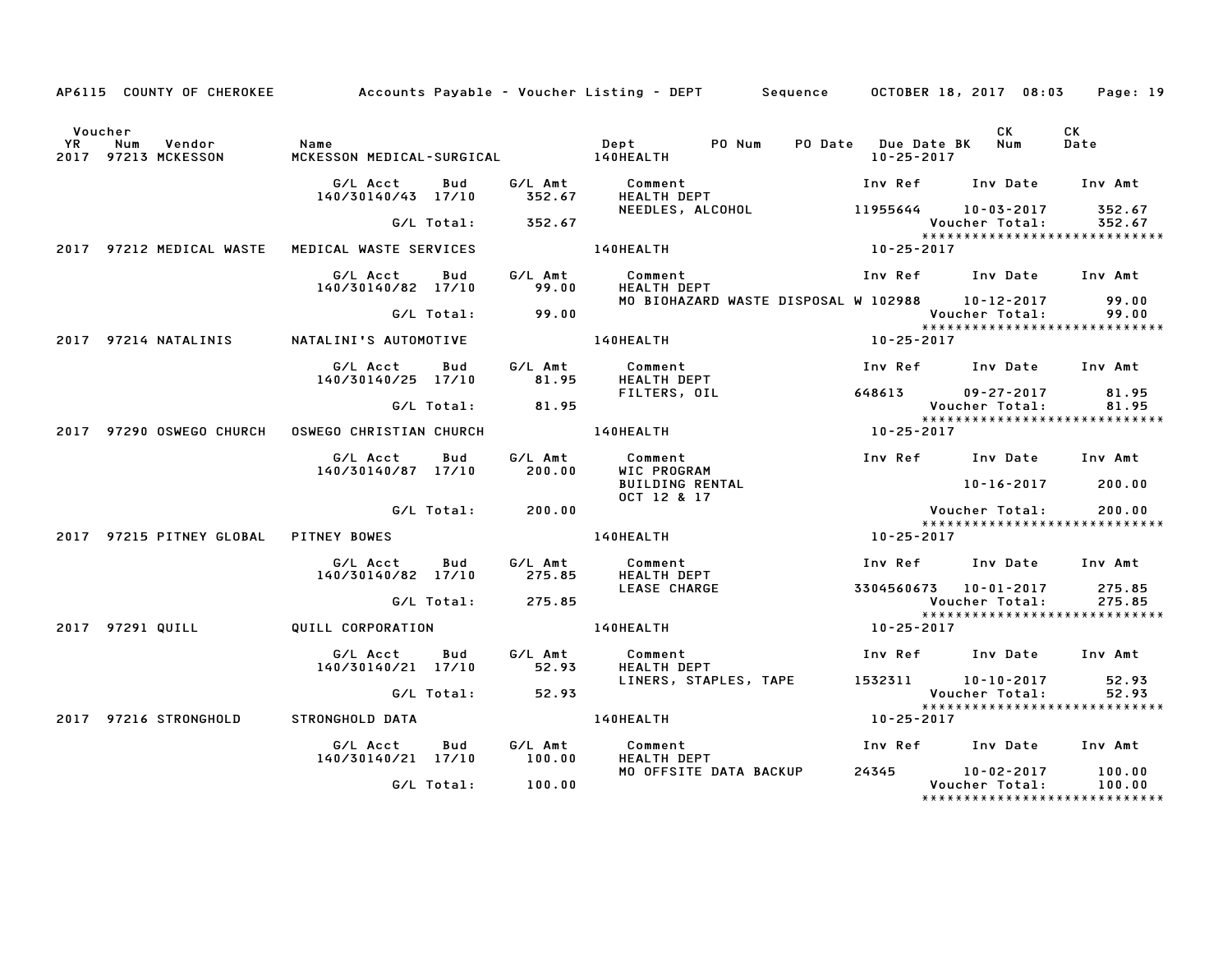|           |                                                 |                                |                          | AP6115 COUNTY OF CHEROKEE Accounts Payable - Voucher Listing - DEPT Sequence OCTOBER 18, 2017 08:03 |                                       |                                                       | Page: 19         |
|-----------|-------------------------------------------------|--------------------------------|--------------------------|-----------------------------------------------------------------------------------------------------|---------------------------------------|-------------------------------------------------------|------------------|
| <b>YR</b> | Voucher<br>Vendor<br>Num<br>2017 97213 MCKESSON | Name                           |                          | PO Num                                                                                              | PO Date Due Date BK Num<br>10-25-2017 | CK                                                    | CK<br>Date       |
|           |                                                 | G/L Acct<br>140/30140/43 17/10 | Bud<br>352.67            | G/L Amt Comment<br><b>HEALTH DEPT</b>                                                               |                                       | Inv Ref      Inv Date     Inv Amt                     |                  |
|           |                                                 |                                | G/L Total:<br>352.67     | NEEDLES, ALCOHOL 11955644 10-03-2017 352.67<br>Voucher Total: 352.67                                |                                       |                                                       |                  |
|           | 2017 97212 MEDICAL WASTE                        | MEDICAL WASTE SERVICES         |                          | 140HEALTH                                                                                           | $10 - 25 - 2017$                      | ******************************                        |                  |
|           |                                                 | G/L Acct<br>140/30140/82 17/10 | G/L Amt<br>Bud<br>99.00  | Comment<br><b>HEALTH DEPT</b>                                                                       |                                       | Inv Ref      Inv Date     Inv Amt                     |                  |
|           |                                                 | G/L Total:                     | 99.00                    | MO BIOHAZARD WASTE DISPOSAL W 102988 10–12–2017                                                     |                                       | Voucher Total:<br>*****************************       | 99.00<br>99.00   |
|           | 2017 97214 NATALINIS                            | NATALINI'S AUTOMOTIVE          |                          | 140HEALTH                                                                                           | 10-25-2017                            |                                                       |                  |
|           |                                                 | G/L Acct<br>140/30140/25 17/10 | G/L Amt<br>Bud<br>81.95  | Comment<br>HEALTH DEPT                                                                              |                                       | Inv Ref      Inv Date     Inv Amt                     |                  |
|           |                                                 |                                | 81.95<br>G/L Total:      | FILTERS, OIL                                                                                        |                                       | 648613 09-27-2017<br>Voucher Total:                   | 81.95<br>81.95   |
|           | 2017 97290 OSWEGO CHURCH                        | OSWEGO CHRISTIAN CHURCH        |                          | <b>140HEALTH</b>                                                                                    | $10 - 25 - 2017$                      | *****************************                         |                  |
|           |                                                 | G/L Acct<br>140/30140/87 17/10 | G/L Amt<br>Bud<br>200.00 | Comment<br>WIC PROGRAM<br><b>BUILDING RENTAL</b>                                                    |                                       | Inv Ref Inv Date Inv Amt<br>10-16-2017 200.00         |                  |
|           |                                                 |                                | G/L Total:<br>200.00     | OCT 12 & 17                                                                                         |                                       | Voucher Total:                                        | 200.00           |
|           | 2017 97215 PITNEY GLOBAL                        | <b>PITNEY BOWES</b>            |                          | 140HEALTH                                                                                           | $10 - 25 - 2017$                      | *****************************                         |                  |
|           |                                                 | G/L Acct<br>140/30140/82 17/10 | Bud<br>G/L Amt<br>275.85 | Comment<br><b>HEALTH DEPT</b>                                                                       |                                       | Inv Ref Inv Date Inv Amt                              |                  |
|           |                                                 |                                | G/L Total:<br>275.85     | <b>LEASE CHARGE</b>                                                                                 |                                       | 3304560673 10-01-2017 275.85<br><b>Voucher Total:</b> | 275.85           |
|           | 2017 97291 QUILL                                | QUILL CORPORATION              |                          | <b>140HEALTH</b>                                                                                    | 10-25-2017                            | *****************************                         |                  |
|           |                                                 | G/L Acct<br>140/30140/21 17/10 | Bud<br>G/L Amt<br>52.93  | Comment<br><b>HEALTH DEPT</b>                                                                       |                                       | Inv Ref Inv Date Inv Amt                              |                  |
|           |                                                 |                                | 52.93<br>G/L Total:      | LINERS, STAPLES, TAPE                                                                               |                                       | 1532311 10-10-2017<br>Voucher Total:                  | 52.93<br>52.93   |
|           | 2017 97216 STRONGHOLD                           | STRONGHOLD DATA                |                          | <b>140HEALTH</b>                                                                                    | 10-25-2017                            | *****************************                         |                  |
|           |                                                 | G/L Acct<br>140/30140/21 17/10 | G/L Amt<br>Bud<br>100.00 | Comment<br>HEALTH DEPT                                                                              |                                       | Inv Ref Inv Date Inv Amt                              |                  |
|           |                                                 |                                | G/L Total:<br>100.00     | MO OFFSITE DATA BACKUP                                                                              |                                       | 24345 10-02-2017<br>Voucher Total:                    | 100.00<br>100.00 |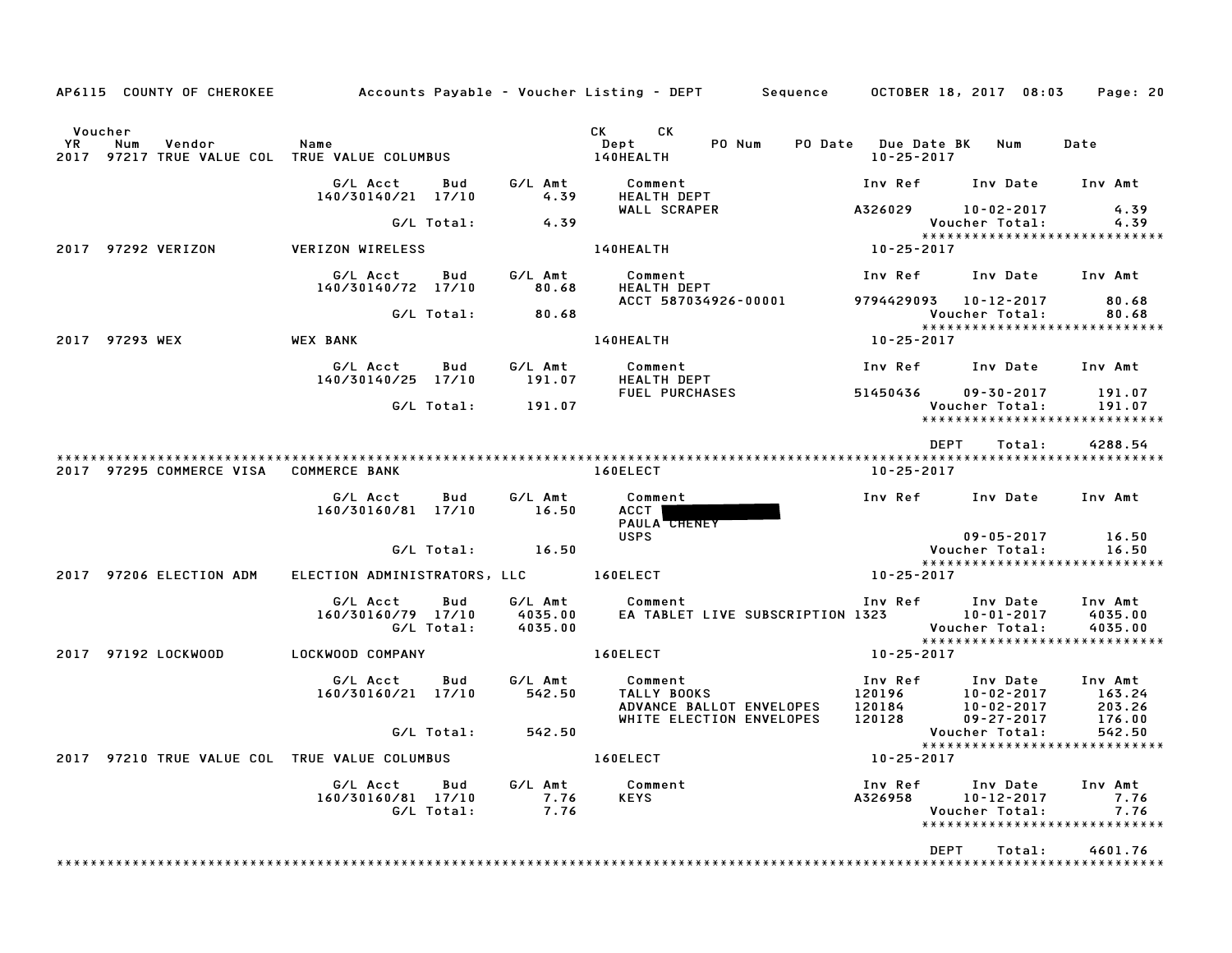| AP6115 COUNTY OF CHEROKEE                                                              |                                                     |                               | Accounts Payable – Voucher Listing – DEPT         Sequence       OCTOBER 18, 2017  08:03 |                                             |                                                                                           | Page: 20                      |
|----------------------------------------------------------------------------------------|-----------------------------------------------------|-------------------------------|------------------------------------------------------------------------------------------|---------------------------------------------|-------------------------------------------------------------------------------------------|-------------------------------|
| Voucher<br><b>YR</b><br>Num<br>Vendor<br>2017 97217 TRUE VALUE COL TRUE VALUE COLUMBUS | Name                                                |                               | CK<br>CK C<br>PO Num<br>Dept<br>140HEALTH                                                | PO Date Due Date BK Num<br>$10 - 25 - 2017$ |                                                                                           | Date                          |
|                                                                                        | G/L Acct<br>Bud<br>140/30140/21 17/10               | G/L Amt<br>4.39               | Comment<br><b>HEALTH DEPT</b>                                                            | Inv Ref                                     | Inv Date Inv Amt                                                                          |                               |
|                                                                                        |                                                     |                               | WALL SCRAPER                                                                             |                                             | A326029 10-02-2017                                                                        | 4.39                          |
|                                                                                        | G/L Total:                                          | 4.39                          |                                                                                          |                                             | Voucher Total:<br>*****************************                                           | 4.39                          |
| 2017 97292 VERIZON                                                                     | VERIZON WIRELESS                                    |                               | 140HEALTH                                                                                | $10 - 25 - 2017$                            |                                                                                           |                               |
|                                                                                        | G/L Acct<br>Bud<br>140/30140/72 17/10               | G/L Amt<br>80.68              | FRALTH DEPT                                                                              | Inv Ref                                     | Inv Date                                                                                  | Inv Amt                       |
|                                                                                        | G/L Total:                                          | 80.68                         | ACCT 587034926-00001                                                                     |                                             | 9794429093  10-12-2017<br>Voucher Total:<br>*****************************                 | 80.68<br>80.68                |
| 2017 97293 WEX                                                                         | <b>WEX BANK</b>                                     |                               | 140HEALTH                                                                                | $10 - 25 - 2017$                            |                                                                                           |                               |
|                                                                                        | G/L Acct<br>Bud<br>140/30140/25 17/10               | G/L Amt<br>191.07             | Comment<br>HEALTH DEPT                                                                   |                                             | Inv Ref      Inv Date     Inv Amt                                                         |                               |
|                                                                                        |                                                     |                               | FUEL PURCHASES                                                                           | 51450436                                    | 09-30-2017                                                                                | 191.07                        |
|                                                                                        | G/L Total:                                          | 191.07                        |                                                                                          |                                             | Voucher Total:<br>*****************************                                           | 191.07                        |
|                                                                                        |                                                     |                               |                                                                                          |                                             | <b>DEPT</b><br>Total:                                                                     | 4288.54                       |
| 2017 97295 COMMERCE VISA                                                               | <b>COMMERCE BANK</b>                                |                               | 160ELECT                                                                                 | $10 - 25 - 2017$                            |                                                                                           |                               |
|                                                                                        | G/L Acct<br>Bud<br>160/30160/81 17/10               | G/L Amt<br>16.50              | Comment<br>ACCT  <br>PAULA CHENEY                                                        | Inv Ref                                     | Inv Date Inv Amt                                                                          |                               |
|                                                                                        | G/L Total:                                          | 16.50                         | <b>USPS</b>                                                                              |                                             | $09 - 05 - 2017$<br>Voucher Total:                                                        | 16.50<br>16.50                |
|                                                                                        |                                                     |                               |                                                                                          |                                             | *****************************                                                             |                               |
| 2017 97206 ELECTION ADM                                                                | ELECTION ADMINISTRATORS, LLC 160ELECT               |                               |                                                                                          | $10 - 25 - 2017$                            |                                                                                           |                               |
|                                                                                        | G/L Acct<br>Bud<br>160/30160/79 17/10<br>G/L Total: | G/L Amt<br>4035.00<br>4035.00 | Comment<br>EA TABLET LIVE SUBSCRIPTION 1323                                              | Inv Ref                                     | Inv Date<br>$10 - 01 - 2017$<br>Voucher Total:                                            | Inv Amt<br>4035.00<br>4035.00 |
|                                                                                        |                                                     |                               |                                                                                          |                                             | *****************************                                                             |                               |
| 2017 97192 LOCKWOOD                                                                    | LOCKWOOD COMPANY                                    |                               | 160ELECT                                                                                 | $10 - 25 - 2017$                            |                                                                                           |                               |
|                                                                                        | G/L Acct<br>Bud                                     | G/L Amt                       | Comment                                                                                  | Inv Ref                                     | Inv Date                                                                                  | Inv Amt                       |
|                                                                                        | 160/30160/21 17/10                                  | 542.50                        | TALLY BOOKS<br>ADVANCE BALLOT ENVELOPES                                                  |                                             | 120196 10-02-2017<br>120184 10-02-2017<br>10-02-2017                                      | 163.24<br>203.26              |
|                                                                                        |                                                     |                               | WHITE ELECTION ENVELOPES                                                                 | 120128                                      | 09-27-2017                                                                                | 176.00                        |
|                                                                                        | G/L Total: 542.50                                   |                               |                                                                                          |                                             | Voucher Total:<br>******************************                                          | 542.50                        |
| 2017 97210 TRUE VALUE COL TRUE VALUE COLUMBUS                                          |                                                     |                               | 160ELECT                                                                                 | 10-25-2017                                  |                                                                                           |                               |
|                                                                                        | G/L Acct<br>Bud<br>160/30160/81 17/10<br>G/L Total: | G/L Amt<br>7.76<br>7.76       | Comment<br><b>KEYS</b>                                                                   |                                             | Inv Ref Inv Date<br>A326958 10-12-2017<br>Voucher Total:<br>***************************** | Inv Amt<br>7.76<br>7.76       |
|                                                                                        |                                                     |                               |                                                                                          |                                             | <b>DEPT</b><br>Total:                                                                     | 4601.76                       |
|                                                                                        |                                                     |                               |                                                                                          |                                             |                                                                                           |                               |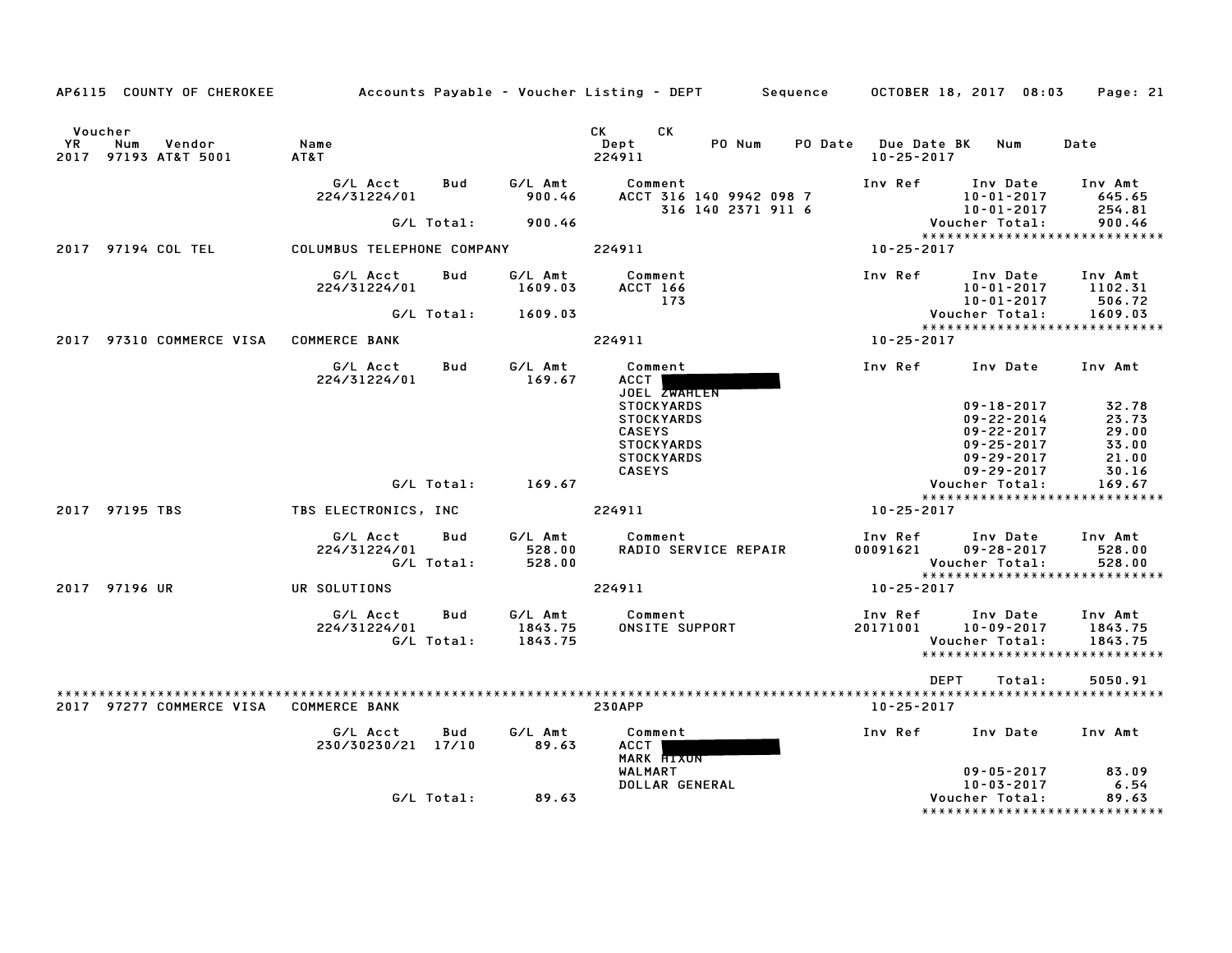|               |                                        |                                   |            |                    | AP6115 COUNTY OF CHEROKEE         Accounts Payable – Voucher Listing – DEPT      Sequence     OCTOBER 18, 2017 08:03 |                                             |                                      | Page: 21                                 |
|---------------|----------------------------------------|-----------------------------------|------------|--------------------|----------------------------------------------------------------------------------------------------------------------|---------------------------------------------|--------------------------------------|------------------------------------------|
| Voucher<br>YR | Vendor<br>Num<br>2017 97193 AT&T 5001  | Name<br>AT&T                      |            |                    | CK<br>CK.<br>PO Num<br>Dept<br>224911                                                                                | PO Date Due Date BK Num<br>$10 - 25 - 2017$ |                                      | Date                                     |
|               |                                        | G/L Acct<br>224/31224/01          | Bud        | G/L Amt<br>900.46  | Comment<br>ACCT 316 140 9942 098 7<br>316 140 2371 911 6                                                             | Inv Ref Inv Date                            | 10-01-2017<br>$10 - 01 - 2017$       | Inv Amt<br>645.65<br>254.81              |
|               |                                        |                                   |            | G/L Total: 900.46  |                                                                                                                      |                                             | Voucher Total:                       | 900.46                                   |
|               |                                        |                                   |            |                    |                                                                                                                      |                                             |                                      | *****************************            |
|               | 2017 97194 COL TEL                     | COLUMBUS TELEPHONE COMPANY 224911 |            |                    |                                                                                                                      | 10-25-2017                                  |                                      |                                          |
|               |                                        | G/L Acct<br>224/31224/01          | Bud        | G/L Amt<br>1609.03 | Comment<br><b>ACCT 166</b><br>173                                                                                    | Inv Ref                                     | Inv Date<br>10-01-2017<br>10-01-2017 | Inv Amt<br>1102.31<br>506.72             |
|               |                                        |                                   |            | G/L Total: 1609.03 |                                                                                                                      |                                             | Voucher Total:                       | 1609.03                                  |
|               | 2017 97310 COMMERCE VISA COMMERCE BANK |                                   |            |                    | 224911                                                                                                               | 10-25-2017                                  |                                      | *****************************            |
|               |                                        | G/L Acct<br>224/31224/01          | Bud        | G/L Amt<br>169.67  | Comment<br>ACCT I<br>JOEL ZWAHLEN                                                                                    | Inv Ref                                     | Inv Date                             | Inv Amt                                  |
|               |                                        |                                   |            |                    | <b>STOCKYARDS</b>                                                                                                    |                                             | $09 - 18 - 2017$                     | 32.78                                    |
|               |                                        |                                   |            |                    | <b>STOCKYARDS</b>                                                                                                    |                                             | 09-22-2014                           | 23.73                                    |
|               |                                        |                                   |            |                    | <b>CASEYS</b><br><b>STOCKYARDS</b>                                                                                   |                                             | $09 - 22 - 2017$<br>$09 - 25 - 2017$ | 29.00<br>33.00                           |
|               |                                        |                                   |            |                    | <b>STOCKYARDS</b>                                                                                                    |                                             | $09 - 29 - 2017$                     | 21.00                                    |
|               |                                        |                                   |            |                    | <b>CASEYS</b>                                                                                                        |                                             | $09 - 29 - 2017$                     | 30.16                                    |
|               |                                        |                                   | G/L Total: | 169.67             |                                                                                                                      |                                             | Voucher Total:                       | 169.67                                   |
|               |                                        |                                   |            |                    |                                                                                                                      |                                             |                                      | *****************************            |
|               | 2017 97195 TBS                         | TBS ELECTRONICS, INC              |            |                    | 224911                                                                                                               | 10-25-2017                                  |                                      |                                          |
|               |                                        | G/L Acct<br>224/31224/01          | Bud        | G/L Amt<br>528.00  | Comment<br>RADIO SERVICE REPAIR                                                                                      | Inv Ref<br>00091621                         | Inv Date<br>$09 - 28 - 2017$         | Inv Amt<br>528.00                        |
|               |                                        | G/L Total:                        |            | 528.00             |                                                                                                                      |                                             | Voucher Total:                       | 528.00<br>****************************** |
|               | 2017 97196 UR                          | UR SOLUTIONS                      |            |                    | 224911                                                                                                               | 10-25-2017                                  |                                      |                                          |
|               |                                        | G/L Acct                          | Bud        | G/L Amt            | Comment                                                                                                              | Inv Ref Inv Date                            |                                      | Inv Amt                                  |
|               |                                        | 224/31224/01                      |            | 1843.75            | ONSITE SUPPORT                                                                                                       | 20171001                                    | 10-09-2017                           | 1843.75                                  |
|               |                                        | G/L Total:                        |            | 1843.75            |                                                                                                                      |                                             | Voucher Total:                       | 1843.75<br>***************************** |
|               |                                        |                                   |            |                    |                                                                                                                      |                                             |                                      |                                          |
|               |                                        |                                   |            |                    |                                                                                                                      | DEPT                                        | Total:                               | 5050.91                                  |
|               | 2017 97277 COMMERCE VISA COMMERCE BANK |                                   |            |                    | <b>230APP</b>                                                                                                        | 10-25-2017                                  |                                      |                                          |
|               |                                        | G/L Acct<br>230/30230/21 17/10    | Bud        | G/L Amt<br>89.63   | Comment<br>ACCT  <br>MARK HIXON                                                                                      | Inv Ref                                     | Inv Date Inv Amt                     |                                          |
|               |                                        |                                   |            |                    | WALMART                                                                                                              |                                             | $09 - 05 - 2017$                     | 83.09                                    |
|               |                                        |                                   | G/L Total: | 89.63              | <b>DOLLAR GENERAL</b>                                                                                                |                                             | $10 - 03 - 2017$<br>Voucher Total:   | 6.54<br>89.63                            |
|               |                                        |                                   |            |                    |                                                                                                                      |                                             |                                      | *******************************          |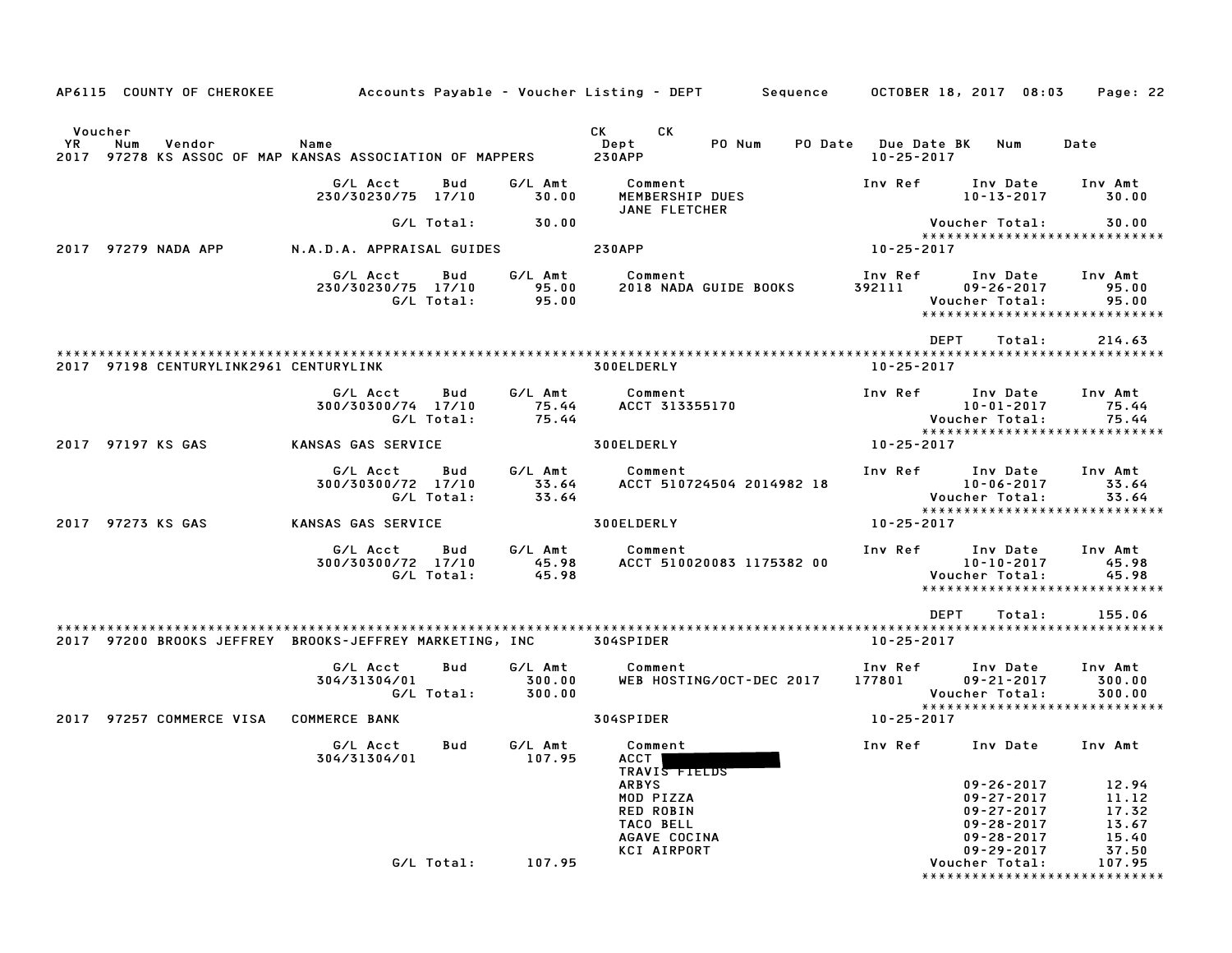| AP6115 COUNTY OF CHEROKEE                                                                                |                                                     |                             | Accounts Payable – Voucher Listing – DEPT         Sequence       OCTOBER 18, 2017  08:03                                      |                                                                                                                                             | Page: 22                                                      |
|----------------------------------------------------------------------------------------------------------|-----------------------------------------------------|-----------------------------|-------------------------------------------------------------------------------------------------------------------------------|---------------------------------------------------------------------------------------------------------------------------------------------|---------------------------------------------------------------|
| Voucher<br><b>YR</b><br>Num<br>Vendor<br>2017 97278 KS ASSOC OF MAP KANSAS ASSOCIATION OF MAPPERS 230APP | Name                                                |                             | CK<br>CK C<br>PO Num<br>Dept                                                                                                  | PO Date Due Date BK Num<br>$10 - 25 - 2017$                                                                                                 | Date                                                          |
|                                                                                                          | G/L Acct<br>Bud<br>230/30230/75 17/10               | G/L Amt<br>30.00            | Comment<br>MEMBERSHIP DUES<br>JANE FLETCHER                                                                                   | Inv Ref<br>Inv Date<br>10-13-2017                                                                                                           | Inv Amt<br>30.00                                              |
|                                                                                                          | G/L Total:                                          | 30.00                       |                                                                                                                               | Voucher Total:                                                                                                                              | 30.00                                                         |
| 2017 97279 NADA APP                                                                                      | N.A.D.A. APPRAISAL GUIDES 230APP                    |                             |                                                                                                                               | *****************************<br>10-25-2017                                                                                                 |                                                               |
|                                                                                                          | G/L Acct<br>Bud<br>230/30230/75 17/10<br>G/L Total: | G/L Amt<br>95.00<br>95.00   | Comment<br>2018 NADA GUIDE BOOKS                                                                                              | Inv Ref Inv Date<br>392111<br>$09 - 26 - 2017$<br>Voucher Total:<br>*****************************                                           | Inv Amt<br>95.00<br>95.00                                     |
| 2017 97198 CENTURYLINK2961 CENTURYLINK                                                                   |                                                     |                             | 300ELDERLY                                                                                                                    | DEPT<br>Total:<br>$10 - 25 - 2017$                                                                                                          | 214.63                                                        |
|                                                                                                          | G/L Acct<br>Bud<br>300/30300/74 17/10<br>G/L Total: | G/L Amt<br>75.44<br>75.44   | Comment<br>ACCT 313355170                                                                                                     | Inv Ref<br>Inv Date<br>10-01-2017<br>Voucher Total:<br>*****************************                                                        | Inv Amt<br>75.44<br>75.44                                     |
| 2017 97197 KS GAS                                                                                        | KANSAS GAS SERVICE                                  |                             | 300ELDERLY                                                                                                                    | 10-25-2017                                                                                                                                  |                                                               |
|                                                                                                          | G/L Acct<br>Bud<br>300/30300/72 17/10<br>G/L Total: | G/L Amt<br>33.64<br>33.64   | Comment<br>ACCT 510724504 2014982 18                                                                                          | Inv Ref Inv Date<br>10-06-2017<br>Voucher Total:                                                                                            | Inv Amt<br>33.64<br>33.64                                     |
| 2017 97273 KS GAS                                                                                        | KANSAS GAS SERVICE                                  |                             | 300ELDERLY                                                                                                                    | *****************************<br>10-25-2017                                                                                                 |                                                               |
|                                                                                                          | G/L Acct<br>Bud<br>300/30300/72 17/10<br>G/L Total: | G/L Amt<br>45.98<br>45.98   | Comment<br>ACCT 510020083 1175382 00                                                                                          | Inv Ref Inv Date<br>10-10-2017<br>Voucher Total:<br>*****************************                                                           | Inv Amt<br>45.98<br>45.98                                     |
| 2017 97200 BROOKS JEFFREY BROOKS-JEFFREY MARKETING, INC 304SPIDER                                        |                                                     |                             |                                                                                                                               | <b>DEPT</b><br>Total:<br>10-25-2017                                                                                                         | 155.06                                                        |
|                                                                                                          | G/L Acct<br>Bud<br>304/31304/01<br>G/L Total:       | G/L Amt<br>300.00<br>300.00 | Comment<br>WEB HOSTING/OCT-DEC 2017                                                                                           | Inv Ref Inv Date<br>177801<br>09-21-2017<br>Voucher Total:                                                                                  | Inv Amt<br>300.00<br>300.00                                   |
| 2017 97257 COMMERCE VISA                                                                                 | <b>COMMERCE BANK</b>                                |                             | 304SPIDER                                                                                                                     | *****************************<br>10-25-2017                                                                                                 |                                                               |
|                                                                                                          | G/L Acct<br>Bud<br>304/31304/01                     | G/L Amt                     | Comment<br>107.95 ACCT<br>TRAVIS FIELDS<br><b>ARBYS</b><br>MOD PIZZA<br>RED ROBIN<br>TACO BELL<br>AGAVE COCINA<br>KCI AIRPORT | Inv Ref<br>Inv Date<br>$09 - 26 - 2017$<br>$09 - 27 - 2017$<br>$09 - 27 - 2017$<br>$09 - 28 - 2017$<br>$09 - 28 - 2017$<br>$09 - 29 - 2017$ | Inv Amt<br>12.94<br>11.12<br>17.32<br>13.67<br>15.40<br>37.50 |
|                                                                                                          | G/L Total:                                          | 107.95                      |                                                                                                                               | Voucher Total:<br>*****************************                                                                                             | 107.95                                                        |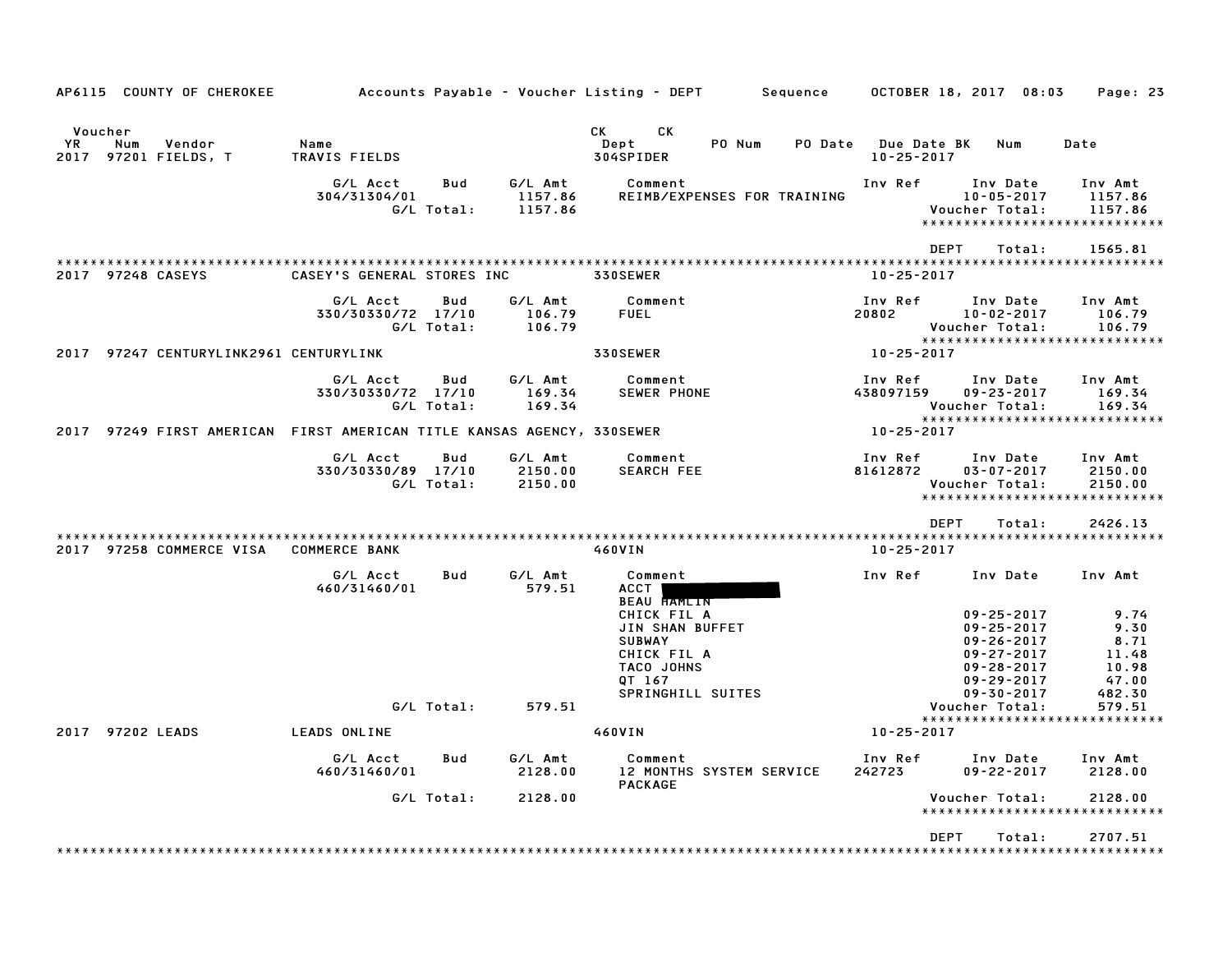| AP6115 COUNTY OF CHEROKEE                                              |                                |                   |                               | Accounts Payable – Voucher Listing – DEPT                                              | Sequence                    | OCTOBER 18, 2017 08:03                                                                                               | Page: 23                                        |
|------------------------------------------------------------------------|--------------------------------|-------------------|-------------------------------|----------------------------------------------------------------------------------------|-----------------------------|----------------------------------------------------------------------------------------------------------------------|-------------------------------------------------|
| Voucher<br>YR<br>Num<br>Vendor<br>97201 FIELDS, T<br>2017              | Name<br>TRAVIS FIELDS          |                   |                               | CK .<br>CK<br>Dept<br>PO Num<br>304SPIDER                                              | PO Date<br>$10 - 25 - 2017$ | <b>Due Date BK</b><br>Num                                                                                            | Date                                            |
|                                                                        | G/L Acct<br>304/31304/01       | Bud<br>G/L Total: | G/L Amt<br>1157.86<br>1157.86 | Comment<br>REIMB/EXPENSES FOR TRAINING                                                 | Inv Ref                     | Inv Date<br>$10 - 05 - 2017$<br>Voucher Total:<br>*****************************                                      | Inv Amt<br>1157.86<br>1157.86                   |
| 2017 97248 CASEYS                                                      | CASEY'S GENERAL STORES INC     |                   |                               | 330SEWER                                                                               | $10 - 25 - 2017$            | <b>DEPT</b><br>Total:                                                                                                | 1565.81                                         |
|                                                                        | G/L Acct<br>330/30330/72 17/10 | Bud<br>G/L Total: | G/L Amt<br>106.79<br>106.79   | Comment<br>FUEL                                                                        | Inv Ref<br>20802            | Inv Date<br>$10 - 02 - 2017$<br>Voucher Total:<br>*****************************                                      | Inv Amt<br>106.79<br>106.79                     |
| 2017 97247 CENTURYLINK2961 CENTURYLINK                                 |                                |                   |                               | 330SEWER                                                                               | 10-25-2017                  |                                                                                                                      |                                                 |
|                                                                        | G/L Acct<br>330/30330/72 17/10 | Bud<br>G/L Total: | G/L Amt<br>169.34<br>169.34   | Comment<br><b>SEWER PHONE</b>                                                          | Inv Ref<br>438097159        | Inv Date<br>$09 - 23 - 2017$<br>Voucher Total:<br>*****************************                                      | Inv Amt<br>169.34<br>169.34                     |
| 2017 97249 FIRST AMERICAN FIRST AMERICAN TITLE KANSAS AGENCY, 330SEWER |                                |                   |                               |                                                                                        | 10-25-2017                  |                                                                                                                      |                                                 |
|                                                                        | G/L Acct<br>330/30330/89 17/10 | Bud<br>G/L Total: | G/L Amt<br>2150.00<br>2150.00 | Comment<br><b>SEARCH FEE</b>                                                           | Inv Ref<br>81612872         | Inv Date<br>$03 - 07 - 2017$<br>Voucher Total:<br>******************************                                     | Inv Amt<br>2150.00<br>2150.00                   |
|                                                                        |                                |                   |                               |                                                                                        |                             | <b>DEPT</b><br>Total:                                                                                                | 2426.13                                         |
| 2017 97258 COMMERCE VISA                                               | <b>COMMERCE BANK</b>           |                   |                               | 460VIN                                                                                 | $10 - 25 - 2017$            |                                                                                                                      |                                                 |
|                                                                        | G/L Acct<br>460/31460/01       | Bud               | G/L Amt<br>579.51             | Comment<br>ACCT  <br>BEAU HAMLIN                                                       | Inv Ref                     | Inv Date                                                                                                             | Inv Amt                                         |
|                                                                        |                                |                   |                               | CHICK FIL A<br>JIN SHAN BUFFET<br><b>SUBWAY</b><br>CHICK FIL A<br>TACO JOHNS<br>QT 167 |                             | $09 - 25 - 2017$<br>$09 - 25 - 2017$<br>$09 - 26 - 2017$<br>$09 - 27 - 2017$<br>$09 - 28 - 2017$<br>$09 - 29 - 2017$ | 9.74<br>9.30<br>8.71<br>11.48<br>10.98<br>47.00 |
|                                                                        |                                | G/L Total:        | 579.51                        | SPRINGHILL SUITES                                                                      |                             | $09 - 30 - 2017$<br>Voucher Total:                                                                                   | 482.30<br>579.51                                |
|                                                                        |                                |                   |                               |                                                                                        |                             | *****************************                                                                                        |                                                 |
| 2017 97202 LEADS                                                       | LEADS ONLINE                   |                   |                               | 460VIN                                                                                 | 10-25-2017                  |                                                                                                                      |                                                 |
|                                                                        | G/L Acct<br>460/31460/01       | Bud               | G/L Amt<br>2128.00            | Comment<br>12 MONTHS SYSTEM SERVICE<br><b>PACKAGE</b>                                  | Inv Ref<br>242723           | Inv Date<br>$09 - 22 - 2017$                                                                                         | Inv Amt<br>2128.00                              |
|                                                                        |                                | G/L Total:        | 2128.00                       |                                                                                        |                             | Voucher Total:<br>*****************************                                                                      | 2128.00                                         |
|                                                                        |                                |                   |                               |                                                                                        |                             | <b>DEPT</b>                                                                                                          |                                                 |
|                                                                        |                                |                   |                               |                                                                                        |                             | Total:                                                                                                               | 2707.51<br><b>**********</b>                    |